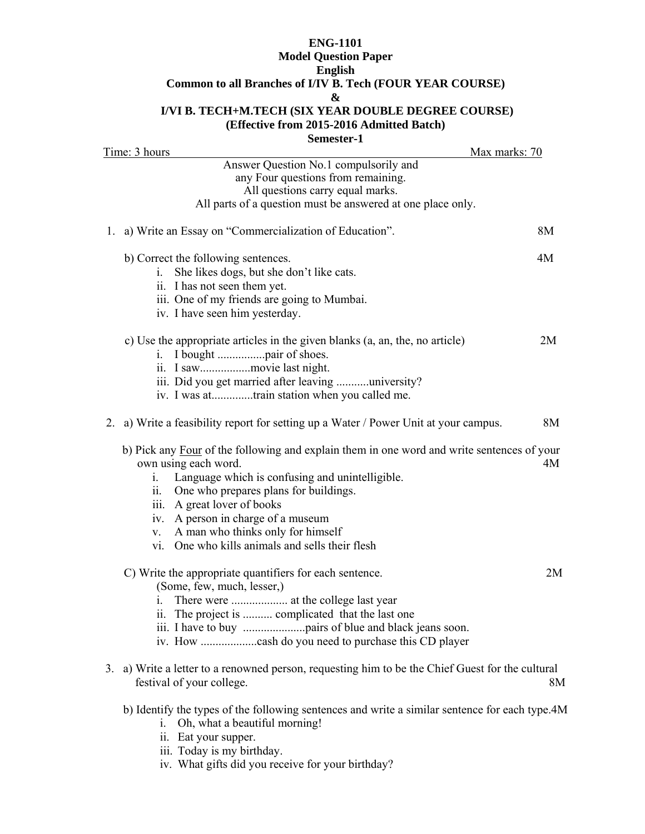## **ENG-1101 Model Question Paper English Common to all Branches of I/IV B. Tech (FOUR YEAR COURSE) & I/VI B. TECH+M.TECH (SIX YEAR DOUBLE DEGREE COURSE) (Effective from 2015-2016 Admitted Batch)**

**Semester-1** 

| Time: 3 hours<br>Max marks: 70                                                                                                                                                                                                                                                                                                                                                                                |    |
|---------------------------------------------------------------------------------------------------------------------------------------------------------------------------------------------------------------------------------------------------------------------------------------------------------------------------------------------------------------------------------------------------------------|----|
| Answer Question No.1 compulsorily and<br>any Four questions from remaining.<br>All questions carry equal marks.<br>All parts of a question must be answered at one place only.                                                                                                                                                                                                                                |    |
| 1. a) Write an Essay on "Commercialization of Education".                                                                                                                                                                                                                                                                                                                                                     | 8M |
| b) Correct the following sentences.<br>She likes dogs, but she don't like cats.<br>1.<br>ii. I has not seen them yet.<br>iii. One of my friends are going to Mumbai.<br>iv. I have seen him yesterday.                                                                                                                                                                                                        | 4M |
| c) Use the appropriate articles in the given blanks (a, an, the, no article)<br>iii. Did you get married after leaving university?<br>iv. I was attrain station when you called me.                                                                                                                                                                                                                           | 2M |
| 2. a) Write a feasibility report for setting up a Water / Power Unit at your campus.                                                                                                                                                                                                                                                                                                                          | 8M |
| b) Pick any Four of the following and explain them in one word and write sentences of your<br>own using each word.<br>Language which is confusing and unintelligible.<br>$\mathbf{i}$ .<br>One who prepares plans for buildings.<br>11.<br>iii. A great lover of books<br>A person in charge of a museum<br>iv.<br>A man who thinks only for himself<br>V.<br>vi. One who kills animals and sells their flesh | 4M |
| C) Write the appropriate quantifiers for each sentence.<br>(Some, few, much, lesser,)<br>1.<br>ii. The project is  complicated that the last one                                                                                                                                                                                                                                                              | 2M |
| 3. a) Write a letter to a renowned person, requesting him to be the Chief Guest for the cultural<br>festival of your college.                                                                                                                                                                                                                                                                                 | 8M |
| b) Identify the types of the following sentences and write a similar sentence for each type.4M                                                                                                                                                                                                                                                                                                                |    |

- i. Oh, what a beautiful morning!
	- ii. Eat your supper.
	- iii. Today is my birthday.
	- iv. What gifts did you receive for your birthday?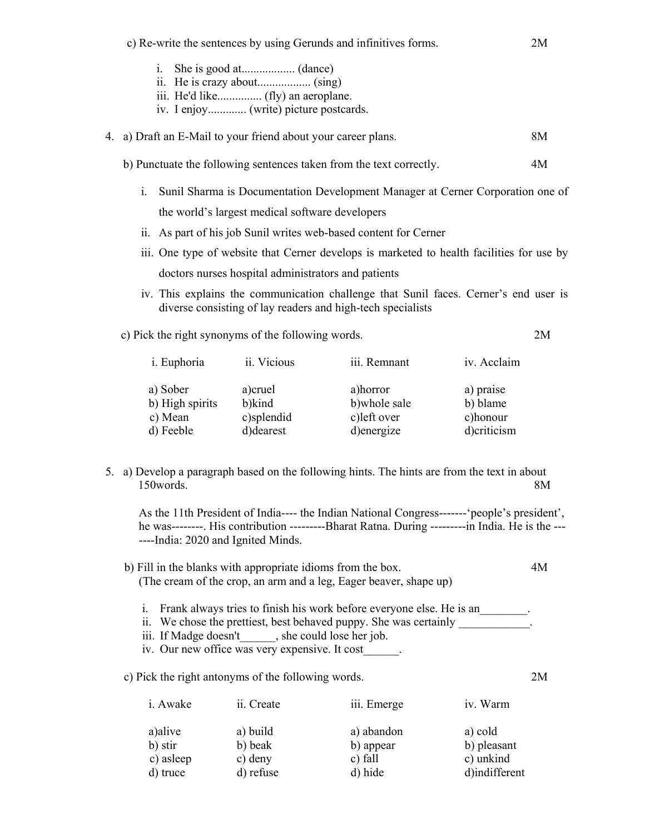c) Re-write the sentences by using Gerunds and infinitives forms. 2M i. She is good at.................. (dance) ii. He is crazy about.................. (sing) iii. He'd like............... (fly) an aeroplane. iv. I enjoy............. (write) picture postcards. 4. a) Draft an E-Mail to your friend about your career plans. 8M b) Punctuate the following sentences taken from the text correctly. 4M i. Sunil Sharma is Documentation Development Manager at Cerner Corporation one of the world's largest medical software developers ii. As part of his job Sunil writes web-based content for Cerner iii. One type of website that Cerner develops is marketed to health facilities for use by doctors nurses hospital administrators and patients iv. This explains the communication challenge that Sunil faces. Cerner's end user is diverse consisting of lay readers and high-tech specialists c) Pick the right synonyms of the following words. 2M i. Euphoria ii. Vicious iii. Remnant iv. Acclaim a) Sober a)cruel a)horror a) praise b) High spirits b)kind b)whole sale b) blame c) Mean c)splendid c)left over c)honour d) Feeble d)dearest d)energize d)criticism 5. a) Develop a paragraph based on the following hints. The hints are from the text in about 150words. 8M As the 11th President of India---- the Indian National Congress-------'people's president', he was--------. His contribution ---------Bharat Ratna. During ---------in India. He is the --- ----India: 2020 and Ignited Minds. b) Fill in the blanks with appropriate idioms from the box. 4M (The cream of the crop, an arm and a leg, Eager beaver, shape up) i. Frank always tries to finish his work before everyone else. He is an ii. We chose the prettiest, best behaved puppy. She was certainly iii. If Madge doesn't\_\_\_\_\_\_, she could lose her job. iv. Our new office was very expensive. It cost\_\_\_\_\_\_. c) Pick the right antonyms of the following words. 2M i. Awake ii. Create iii. Emerge iv. Warm a)alive a) build a) abandon a) cold b) stir b) beak b) appear b) pleasant c) asleep c) deny c) fall c) unkind d) truce d) refuse d) hide d)indifferent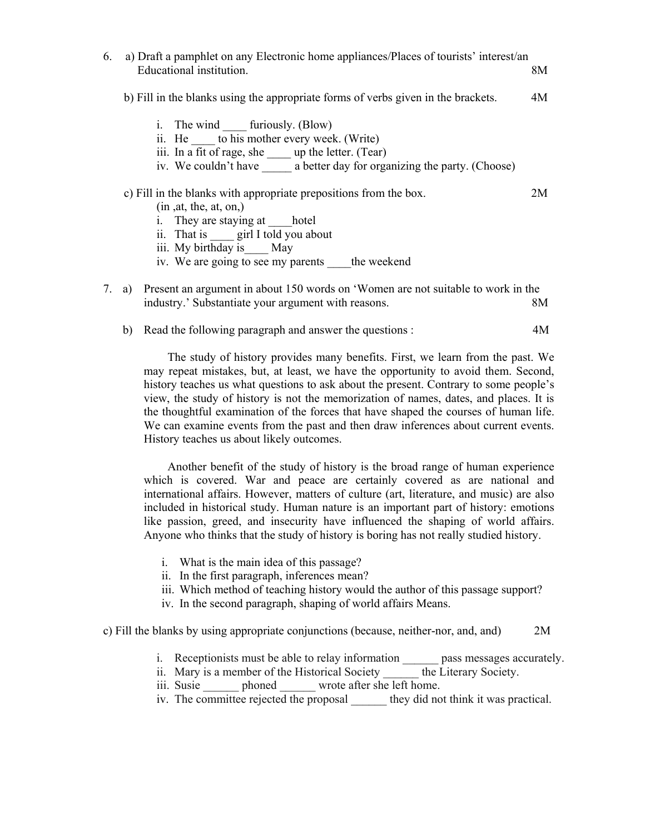| 6. | a) Draft a pamphlet on any Electronic home appliances/Places of tourists' interest/an<br>Educational institution.                                                                                                                             | 8M |
|----|-----------------------------------------------------------------------------------------------------------------------------------------------------------------------------------------------------------------------------------------------|----|
|    | b) Fill in the blanks using the appropriate forms of verbs given in the brackets.                                                                                                                                                             | 4M |
|    | i. The wind furiously. (Blow)<br>ii. He to his mother every week. (Write)<br>iii. In a fit of rage, she _____ up the letter. (Tear)<br>iv. We couldn't have a better day for organizing the party. (Choose)                                   |    |
|    | c) Fill in the blanks with appropriate prepositions from the box.<br>(in, at, the, at, on,)<br>i. They are staying at hotel<br>ii. That is girl I told you about<br>iii. My birthday is May<br>iv. We are going to see my parents the weekend | 2M |
| 7. | a) Present an argument in about 150 words on 'Women are not suitable to work in the<br>industry.' Substantiate your argument with reasons.                                                                                                    | 8M |
|    | b) Read the following paragraph and answer the questions :                                                                                                                                                                                    | 4M |

 The study of history provides many benefits. First, we learn from the past. We may repeat mistakes, but, at least, we have the opportunity to avoid them. Second, history teaches us what questions to ask about the present. Contrary to some people's view, the study of history is not the memorization of names, dates, and places. It is the thoughtful examination of the forces that have shaped the courses of human life. We can examine events from the past and then draw inferences about current events. History teaches us about likely outcomes.

 Another benefit of the study of history is the broad range of human experience which is covered. War and peace are certainly covered as are national and international affairs. However, matters of culture (art, literature, and music) are also included in historical study. Human nature is an important part of history: emotions like passion, greed, and insecurity have influenced the shaping of world affairs. Anyone who thinks that the study of history is boring has not really studied history.

- i. What is the main idea of this passage?
- ii. In the first paragraph, inferences mean?
- iii. Which method of teaching history would the author of this passage support?
- iv. In the second paragraph, shaping of world affairs Means.

c) Fill the blanks by using appropriate conjunctions (because, neither-nor, and, and) 2M

- i. Receptionists must be able to relay information pass messages accurately.
- ii. Mary is a member of the Historical Society the Literary Society.
- iii. Susie bhoned wrote after she left home.
- iv. The committee rejected the proposal \_\_\_\_\_\_ they did not think it was practical.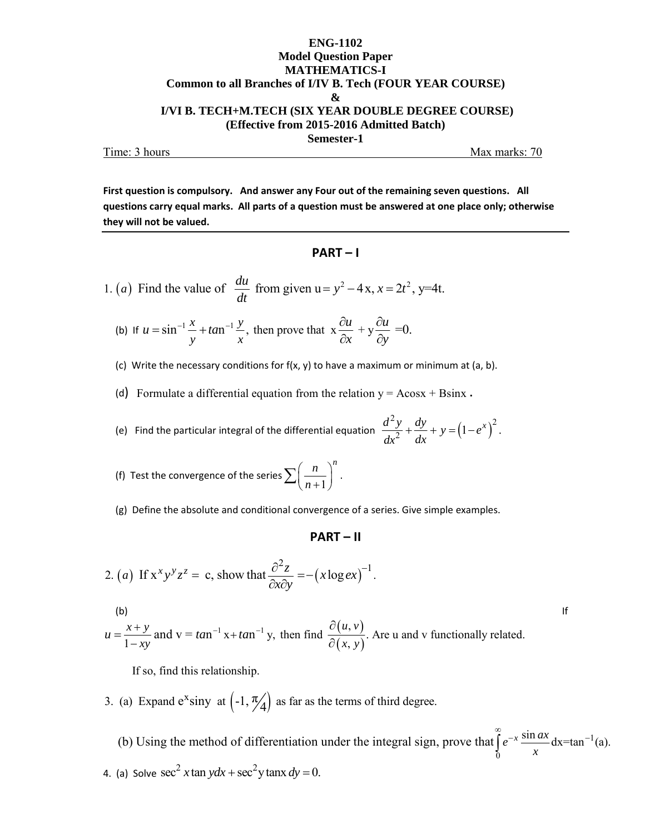#### **ENG-1102 Model Question Paper MATHEMATICS-I Common to all Branches of I/IV B. Tech (FOUR YEAR COURSE) & I/VI B. TECH+M.TECH (SIX YEAR DOUBLE DEGREE COURSE) (Effective from 2015-2016 Admitted Batch) Semester-1**  Time: 3 hours Max marks: 70

**First question is compulsory. And answer any Four out of the remaining seven questions. All** questions carry equal marks. All parts of a question must be answered at one place only; otherwise **they will not be valued.**

#### **PART – I**

1. (a) Find the value of 
$$
\frac{du}{dt}
$$
 from given  $u = y^2 - 4x$ ,  $x = 2t^2$ ,  $y=4t$ .

(b) If  $u = \sin^{-1}\frac{x}{2} + \tan^{-1}\frac{y}{2}$ , then prove that  $x \frac{\partial u}{\partial x} + y \frac{\partial u}{\partial y} = 0$ . *y x*  $u = \sin^{-1} \frac{x}{2} + \tan^{-1} \frac{y}{2}$ , then prove that  $x \frac{\partial u}{\partial x} + y \frac{\partial u}{\partial y}$  $x \rightarrow \partial y$  $=\sin^{-1}\frac{x}{2} + \tan^{-1}\frac{y}{2}$ , then prove that  $x \frac{\partial u}{\partial x} + y \frac{\partial u}{\partial y}$  $\partial x$   $\partial$ 

(c) Write the necessary conditions for  $f(x, y)$  to have a maximum or minimum at (a, b).

(d) Formulate a differential equation from the relation  $y = A\cos x + B\sin x$ .

(e) Find the particular integral of the differential equation 
$$
\frac{d^2y}{dx^2} + \frac{dy}{dx} + y = (1 - e^x)^2.
$$

(f) Test the convergence of the series 
$$
\sum \left(\frac{n}{n+1}\right)^n
$$
.

(g) Define the absolute and conditional convergence of a series. Give simple examples.

#### **PART – II**

2. (a) If 
$$
x^x y^y z^z = c
$$
, show that  $\frac{\partial^2 z}{\partial x \partial y} = -(x \log e x)^{-1}$ .

(b)  
\n
$$
u = \frac{x+y}{1-xy}
$$
 and  $v = \tan^{-1} x + \tan^{-1} y$ , then find  $\frac{\partial(u, v)}{\partial(x, y)}$ . Are u and v functionally related.

If so, find this relationship.

- 3. (a) Expand  $e^x$ siny at  $\left(-1, \frac{\pi}{4}\right)$  as far as the terms of third degree.
- 1  $\overline{0}$ (b) Using the method of differentiation under the integral sign, prove that  $\int e^{-x} \frac{\sin ax}{\cos ax} dx = \tan^{-1}(a)$ .  $\int_{0}^{\infty} e^{-x} \frac{\sin ax}{x} dx = \tan^{-1}$ 4. (a) Solve  $\sec^2 x \tan y dx + \sec^2 y \tan x dy = 0$ .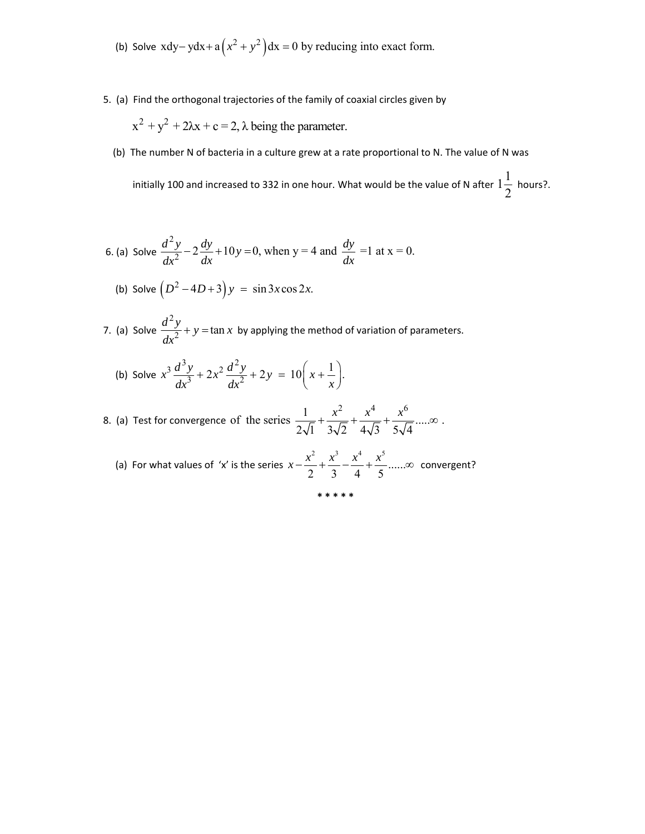- (b) Solve  $xdy ydx + a(x^2 + y^2)dx = 0$  by reducing into exact form.
- 5. (a) Find the orthogonal trajectories of the family of coaxial circles given by

$$
x^{2} + y^{2} + 2\lambda x + c = 2
$$
,  $\lambda$  being the parameter.

(b) The number N of bacteria in a culture grew at a rate proportional to N. The value of N was

initially 100 and increased to 332 in one hour. What would be the value of N after  $1\frac{1}{2}$  $\frac{1}{2}$  hours?.

6. (a) Solve 
$$
\frac{d^2 y}{dx^2} - 2\frac{dy}{dx} + 10y = 0
$$
, when  $y = 4$  and  $\frac{dy}{dx} = 1$  at  $x = 0$ .

(b) Solve 
$$
(D^2 - 4D + 3)y = \sin 3x \cos 2x.
$$

7. (a) Solve  $\frac{d^2y}{dx^2} + y = \tan x$  by applying the method of variation of parameters.

(b) Solve 
$$
x^3 \frac{d^3 y}{dx^3} + 2x^2 \frac{d^2 y}{dx^2} + 2y = 10\left(x + \frac{1}{x}\right)
$$
.

8. (a) Test for convergence  $\frac{1}{2\sqrt{1}} + \frac{x^2}{3\sqrt{2}} + \frac{x^4}{4\sqrt{3}} + \frac{x^6}{5\sqrt{4}}$ ..... of the series  $\frac{1}{\sqrt{1-\frac{1}{2}}}+\frac{x}{\sqrt{1-\frac{1}{2}}}+\frac{x}{\sqrt{1-\frac{1}{2}}}....\infty$ .  $5\sqrt{4}$  $+\frac{x^2}{\sqrt{2}}+\frac{x^4}{\sqrt{2}}+\frac{x^6}{\sqrt{2}}... \infty$ 

 (a) For what values of 'x' is the series 2  $3^{3}$   $4^{4}$   $1^{5}$  $x - \frac{x^2}{2} + \frac{x^3}{3} - \frac{x^4}{4} + \frac{x^5}{5}$ ......∞ convergent?

**\* \* \* \* \***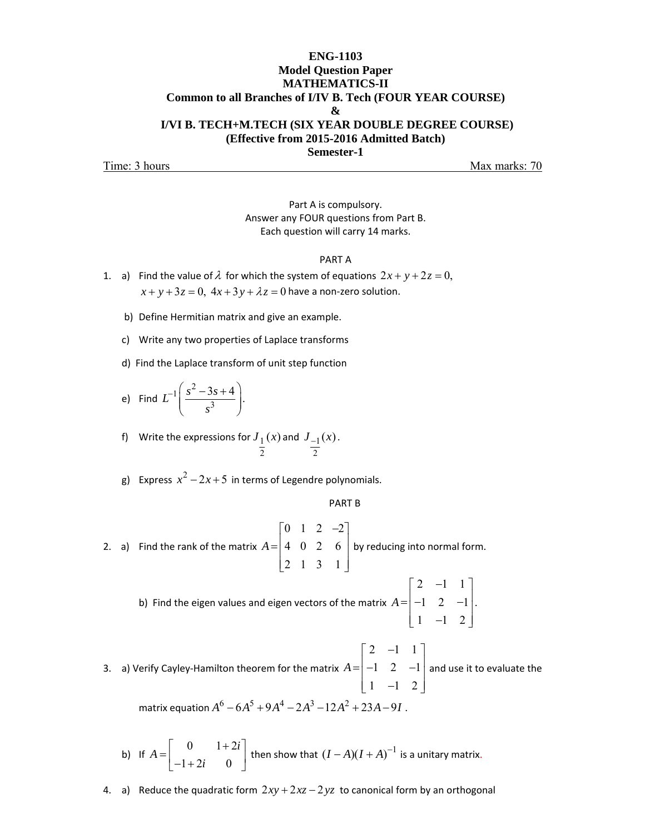#### **ENG-1103 Model Question Paper MATHEMATICS-II Common to all Branches of I/IV B. Tech (FOUR YEAR COURSE) & I/VI B. TECH+M.TECH (SIX YEAR DOUBLE DEGREE COURSE) (Effective from 2015-2016 Admitted Batch) Semester-1**

Time: 3 hours Max marks: 70

Part A is compulsory. Answer any FOUR questions from Part B. Each question will carry 14 marks.

#### PART A

- 1. a) Find the value of  $\lambda$  for which the system of equations  $2x + y + 2z = 0$ ,  $x + y + 3z = 0$ ,  $4x + 3y + \lambda z = 0$  have a non-zero solution.
	- b) Define Hermitian matrix and give an example.
	- c) Write any two properties of Laplace transforms
	- d) Find the Laplace transform of unit step function
	- e) Find  $\int$   $s^2$  $L^{-1} \left( \frac{s^2 - 3s + 4}{s^3} \right)$ . *s*  $\frac{-1}{s^2-3s+4}$  $\begin{pmatrix} s^3 & \end{pmatrix}$
	- f) Write the expressions for  ${\overline J}_1$ 2  $J_1(x)$  and  $J_{-1}$ 2  $J_{-1}(x)$ .
	- g) Express  $x^2 2x + 5$  in terms of Legendre polynomials.

#### PART B

- 2. a) Find the rank of the matrix  $0 \quad 1 \quad 2 \quad -2$ 402 6 213 1 *A*  $=\begin{bmatrix} 0 & 1 & 2 & -2 \\ 4 & 0 & 2 & 6 \\ 2 & 1 & 3 & 1 \end{bmatrix}$ by reducing into normal form.
	- b) Find the eigen values and eigen vectors of the matrix 2  $-1$  1  $-1$  2  $-1$  $1 -1 2$ *A*  $=\begin{bmatrix} 2 & -1 & 1 \\ -1 & 2 & -1 \\ 1 & -1 & 2 \end{bmatrix}$ .

3. a) Verify Cayley‐Hamilton theorem for the matrix 2  $-1$  1  $-1$  2  $-1$  $1 -1 2$ *A*  $=\begin{bmatrix} 2 & -1 & 1 \\ -1 & 2 & -1 \\ 1 & -1 & 2 \end{bmatrix}$ and use it to evaluate the matrix equation  $A^6 - 6A^5 + 9A^4 - 2A^3 - 12A^2 + 23A - 9I$ .

b) If 
$$
A = \begin{bmatrix} 0 & 1+2i \\ -1+2i & 0 \end{bmatrix}
$$
 then show that  $(I-A)(I+A)^{-1}$  is a unitary matrix.

4. a) Reduce the quadratic form  $2xy + 2xz - 2yz$  to canonical form by an orthogonal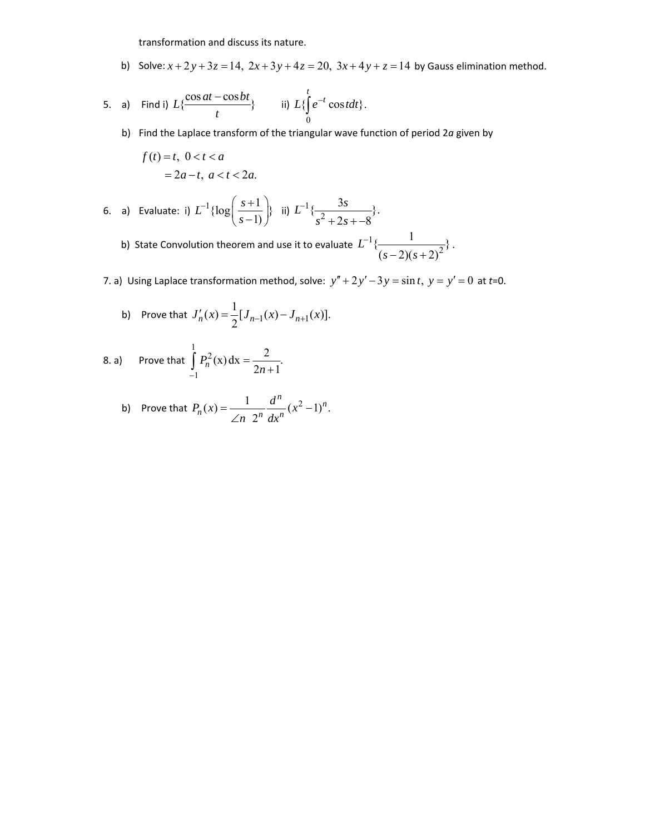transformation and discuss its nature.

b) Solve:  $x + 2y + 3z = 14$ ,  $2x + 3y + 4z = 20$ ,  $3x + 4y + z = 14$  by Gauss elimination method.

5. a) Find i) 
$$
L\{\frac{\cos at - \cos bt}{t}\}\
$$
 ii)  $L\{\int_{0}^{t} e^{-t} \cos t dt\}.$ 

b) Find the Laplace transform of the triangular wave function of period 2*a* given by

$$
f(t) = t, \ 0 < t < a
$$
\n
$$
= 2a - t, \ a < t < 2a.
$$

6. a) Evaluate: i) 
$$
L^{-1} \{ \log \left( \frac{s+1}{s-1} \right) \}
$$
 ii)  $L^{-1} \{ \frac{3s}{s^2 + 2s + -8} \}$ .

b) State Convolution theorem and use it to evaluate  $L^{-1}\{\frac{1}{(s-2)(s+2)^2}\}$  $(s-2)(s+2)$ *L*  $(s-2)(s)$  $\frac{1}{(s-2)(s+2)^2}$ .

7. a) Using Laplace transformation method, solve:  $y'' + 2y' - 3y = \sin t$ ,  $y = y' = 0$  at  $t=0$ .

b) Prove that 
$$
J'_n(x) = \frac{1}{2} [J_{n-1}(x) - J_{n+1}(x)].
$$

8. a) Prove that 
$$
\int_{-1}^{1} P_n^2(x) dx = \frac{2}{2n+1}.
$$

b) Prove that 
$$
P_n(x) = \frac{1}{\angle n} \frac{d^n}{dx^n} (x^2 - 1)^n
$$
.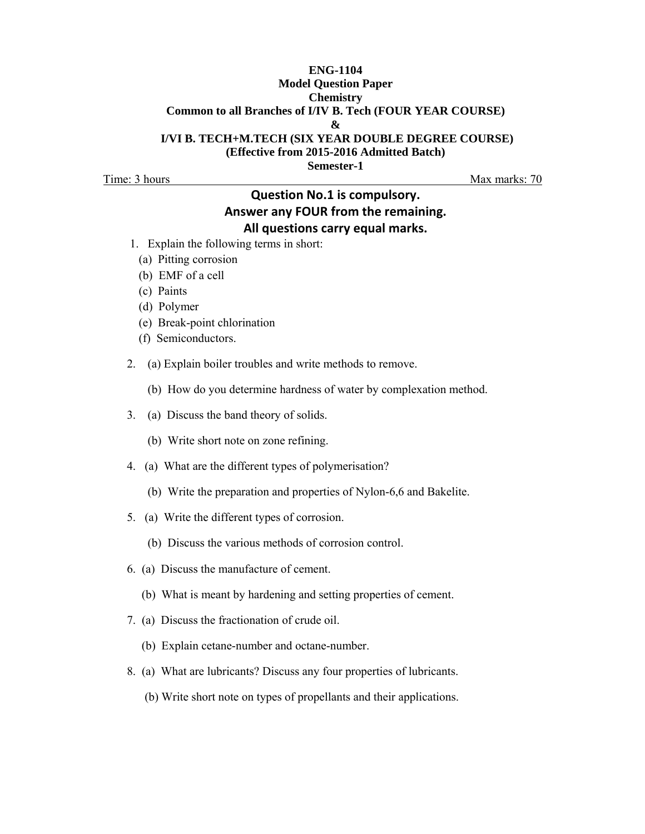#### **ENG-1104 Model Question Paper Chemistry Common to all Branches of I/IV B. Tech (FOUR YEAR COURSE) & I/VI B. TECH+M.TECH (SIX YEAR DOUBLE DEGREE COURSE) (Effective from 2015-2016 Admitted Batch)**

**Semester-1** 

Time: 3 hours Max marks: 70

# **Question No.1 is compulsory. Answer any FOUR from the remaining. All questions carry equal marks.**

- 1. Explain the following terms in short:
	- (a) Pitting corrosion
	- (b) EMF of a cell
	- (c) Paints
	- (d) Polymer
	- (e) Break-point chlorination
	- (f) Semiconductors.
- 2. (a) Explain boiler troubles and write methods to remove.
	- (b) How do you determine hardness of water by complexation method.
- 3. (a) Discuss the band theory of solids.
	- (b) Write short note on zone refining.
- 4. (a) What are the different types of polymerisation?
	- (b) Write the preparation and properties of Nylon-6,6 and Bakelite.
- 5. (a) Write the different types of corrosion.
	- (b) Discuss the various methods of corrosion control.
- 6. (a) Discuss the manufacture of cement.
	- (b) What is meant by hardening and setting properties of cement.
- 7. (a) Discuss the fractionation of crude oil.
	- (b) Explain cetane-number and octane-number.
- 8. (a) What are lubricants? Discuss any four properties of lubricants.
	- (b) Write short note on types of propellants and their applications.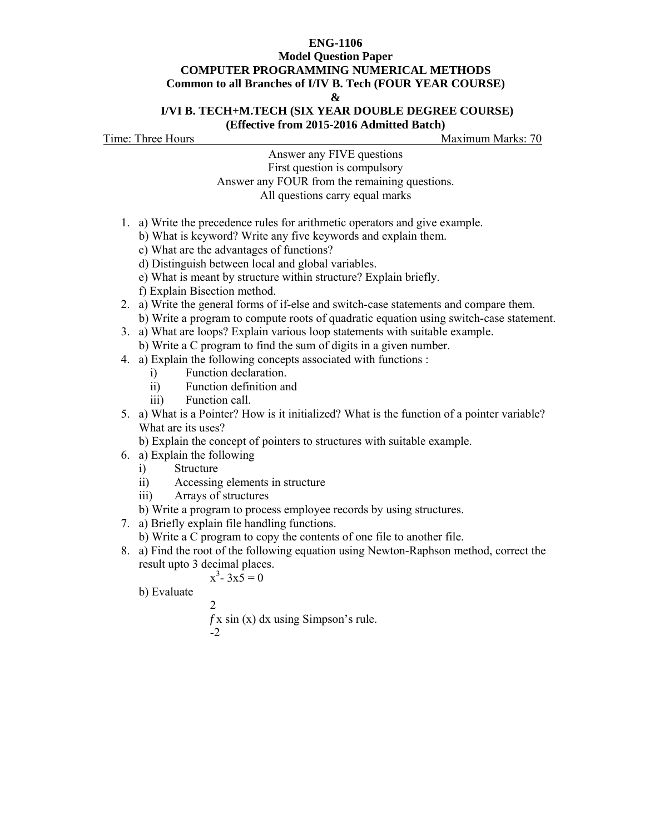## **ENG-1106 Model Question Paper COMPUTER PROGRAMMING NUMERICAL METHODS Common to all Branches of I/IV B. Tech (FOUR YEAR COURSE)**

**&** 

#### **I/VI B. TECH+M.TECH (SIX YEAR DOUBLE DEGREE COURSE) (Effective from 2015-2016 Admitted Batch)**

Time: Three Hours Maximum Marks: 70

Answer any FIVE questions First question is compulsory Answer any FOUR from the remaining questions. All questions carry equal marks

- 1. a) Write the precedence rules for arithmetic operators and give example.
	- b) What is keyword? Write any five keywords and explain them.
		- c) What are the advantages of functions?
		- d) Distinguish between local and global variables.
	- e) What is meant by structure within structure? Explain briefly.
	- f) Explain Bisection method.
- 2. a) Write the general forms of if-else and switch-case statements and compare them.
	- b) Write a program to compute roots of quadratic equation using switch-case statement.
- 3. a) What are loops? Explain various loop statements with suitable example. b) Write a C program to find the sum of digits in a given number.
- 4. a) Explain the following concepts associated with functions :
	- i) Function declaration.
	- ii) Function definition and
	- iii) Function call.
- 5. a) What is a Pointer? How is it initialized? What is the function of a pointer variable? What are its uses?

b) Explain the concept of pointers to structures with suitable example.

- 6. a) Explain the following
	- i) Structure
	- ii) Accessing elements in structure
	- iii) Arrays of structures
	- b) Write a program to process employee records by using structures.
- 7. a) Briefly explain file handling functions.
- b) Write a C program to copy the contents of one file to another file.
- 8. a) Find the root of the following equation using Newton-Raphson method, correct the result upto 3 decimal places.

 $x^3 - 3x\overline{5} = 0$ 

b) Evaluate

2

 *f* x sin (x) dx using Simpson's rule. -2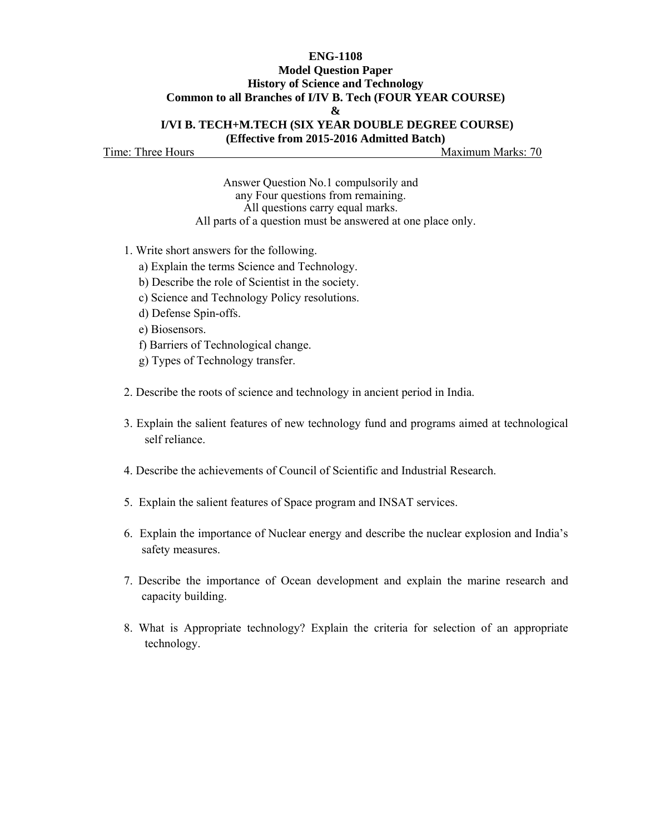#### **ENG-1108 Model Question Paper History of Science and Technology Common to all Branches of I/IV B. Tech (FOUR YEAR COURSE) & I/VI B. TECH+M.TECH (SIX YEAR DOUBLE DEGREE COURSE)**

**(Effective from 2015-2016 Admitted Batch)** 

Time: Three Hours Maximum Marks: 70

Answer Question No.1 compulsorily and any Four questions from remaining. All questions carry equal marks. All parts of a question must be answered at one place only.

- 1. Write short answers for the following.
	- a) Explain the terms Science and Technology.
	- b) Describe the role of Scientist in the society.
	- c) Science and Technology Policy resolutions.
	- d) Defense Spin-offs.
	- e) Biosensors.
	- f) Barriers of Technological change.
	- g) Types of Technology transfer.
- 2. Describe the roots of science and technology in ancient period in India.
- 3. Explain the salient features of new technology fund and programs aimed at technological self reliance.
- 4. Describe the achievements of Council of Scientific and Industrial Research.
- 5. Explain the salient features of Space program and INSAT services.
- 6. Explain the importance of Nuclear energy and describe the nuclear explosion and India's safety measures.
- 7. Describe the importance of Ocean development and explain the marine research and capacity building.
- 8. What is Appropriate technology? Explain the criteria for selection of an appropriate technology.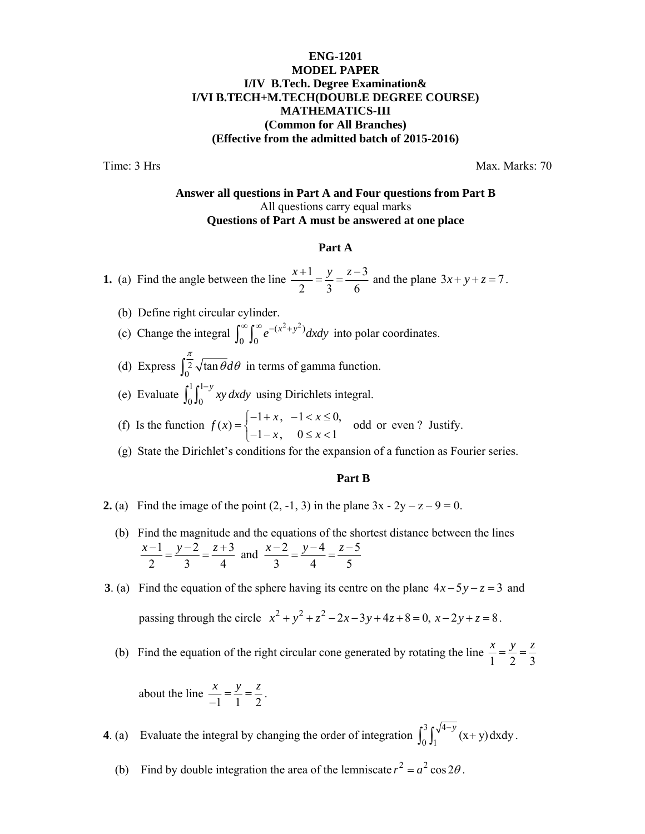## **ENG-1201 MODEL PAPER I/IV B.Tech. Degree Examination& I/VI B.TECH+M.TECH(DOUBLE DEGREE COURSE) MATHEMATICS-III (Common for All Branches) (Effective from the admitted batch of 2015-2016)**

Time: 3 Hrs Max. Marks: 70

#### **Answer all questions in Part A and Four questions from Part B**  All questions carry equal marks **Questions of Part A must be answered at one place**

#### **Part A**

**1.** (a) Find the angle between the line  $\frac{x+1}{2} = \frac{y}{2} = \frac{z-3}{4}$ 236  $\frac{x+1}{2} = \frac{y}{2} = \frac{z-3}{4}$  and the plane  $3x + y + z = 7$ .

- (b) Define right circular cylinder.
- (c) Change the integral  $\int_{0}^{\infty} \int_{0}^{\infty} e^{-(x^2+y^2)}$  $\int_0^\infty \int_0^\infty e^{-(x^2+y^2)} dx dy$  into polar coordinates.
- (d) Express  $\int_0^{\frac{\pi}{2}} \sqrt{\tan \theta} d\theta$  in terms of gamma function.
- (e) Evaluate  $\int_{0}^{1} \int_{0}^{1}$  $0\,$ <sup>0</sup>  $\int_0^1 \int_0^{1-y} xy \, dx dy$  using Dirichlets integral.
- (f) Is the function  $f(x) =\begin{cases} -1 + x, & -1 < x \le 0, \\ -1 x, & 0 \le x < 1 \end{cases}$ *f x*  $=\begin{cases} -1 + x, & -1 < x \le \\ -1 - x, & 0 \le x < \end{cases}$  $\begin{cases} 1+x, & x=0, \\ -1-x, & 0 \le x < 1 \end{cases}$  odd or even? Justify.
	- (g) State the Dirichlet's conditions for the expansion of a function as Fourier series.

#### **Part B**

- **2.** (a) Find the image of the point  $(2, -1, 3)$  in the plane  $3x 2y z 9 = 0$ .
	- (b) Find the magnitude and the equations of the shortest distance between the lines  $\frac{1}{2} = \frac{y-2}{2} = \frac{z+3}{4}$  and  $\frac{x-2}{2} = \frac{y-4}{4} = \frac{z-5}{4}$ 234 345  $\frac{x-1}{2} = \frac{y-2}{2} = \frac{z+3}{4}$  and  $\frac{x-2}{2} = \frac{y-4}{4} = \frac{z-3}{4}$

**3**. (a) Find the equation of the sphere having its centre on the plane  $4x-5y-z=3$  and passing through the circle  $x^2 + y^2 + z^2 - 2x - 3y + 4z + 8 = 0$ ,  $x - 2y + z = 8$ .

(b) Find the equation of the right circular cone generated by rotating the line  $\frac{x}{1} = \frac{y}{2} = \frac{z}{3}$ 

about the line 
$$
\frac{x}{-1} = \frac{y}{1} = \frac{z}{2}
$$
.

**4**. (a) Evaluate the integral by changing the order of integration  $\int_0^3 \int_1^{\sqrt{4-y}} (x+y) dxdy$ .

(b) Find by double integration the area of the lemniscate  $r^2 = a^2 \cos 2\theta$ .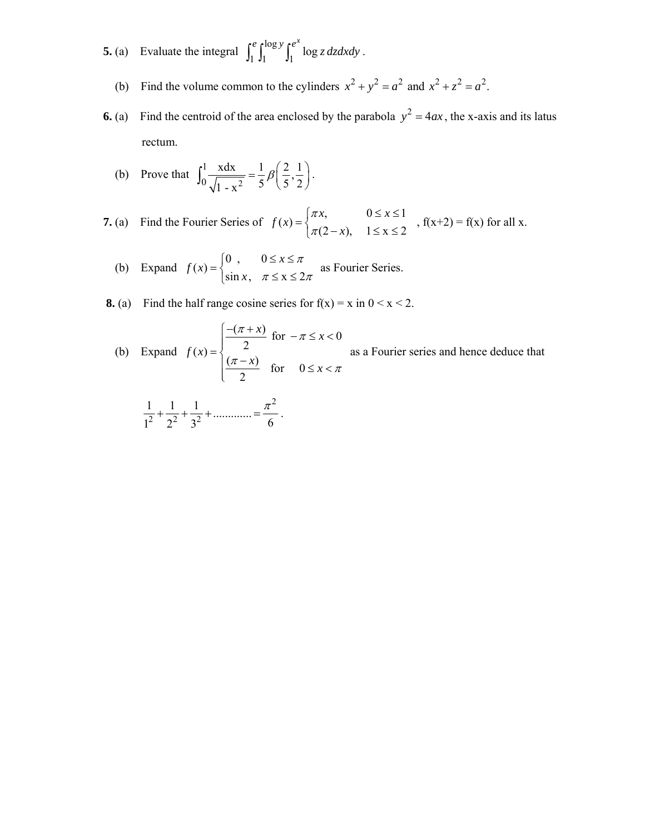- **5.** (a) Evaluate the integral  $\int_1^e \int_1^{\log y} \int_1^{e^x} \log z \, dz \, dx \, dy$ .
- (b) Find the volume common to the cylinders  $x^2 + y^2 = a^2$  and  $x^2 + z^2 = a^2$ .
- **6.** (a) Find the centroid of the area enclosed by the parabola  $y^2 = 4ax$ , the x-axis and its latus rectum.
- (b) Prove that  $\int_0^1 \frac{x dx}{\sqrt{1-x^2}}$  $\int_0^1 \frac{xdx}{\sqrt{1-x^2}} = \frac{1}{5} \beta \left( \frac{2}{5}, \frac{1}{2} \right).$

**7.** (a) Find the Fourier Series of  $f(x) = \begin{cases} \pi x, & 0 \le x \le 1 \\ \pi(2-x), & 1 \le x \le 2 \end{cases}$ *f x x* π  $=\begin{cases} \pi x, & 0 \leq x \leq \\ \pi(2-x), & 1 \leq x \leq \end{cases}$  $\int_{\pi/2-x}^{\pi/3} f(x+2) = f(x)$  for all x.<br> $\int_{\pi/2-x}^{\pi/3} f(x+2) = f(x)$ 

(b) Expand 
$$
f(x) = \begin{cases} 0, & 0 \le x \le \pi \\ \sin x, & \pi \le x \le 2\pi \end{cases}
$$
 as Fourier Series.

**8.** (a) Find the half range cosine series for  $f(x) = x$  in  $0 < x < 2$ .

(b) Expand 
$$
f(x) = \begin{cases} \frac{-(\pi + x)}{2} & \text{for } -\pi \leq x < 0 \\ \frac{(\pi - x)}{2} & \text{for } 0 \leq x < \pi \end{cases}
$$
 as a Fourier series and hence deduce that

$$
\frac{1}{1^2} + \frac{1}{2^2} + \frac{1}{3^2} + \dots \dots \dots = \frac{\pi^2}{6}.
$$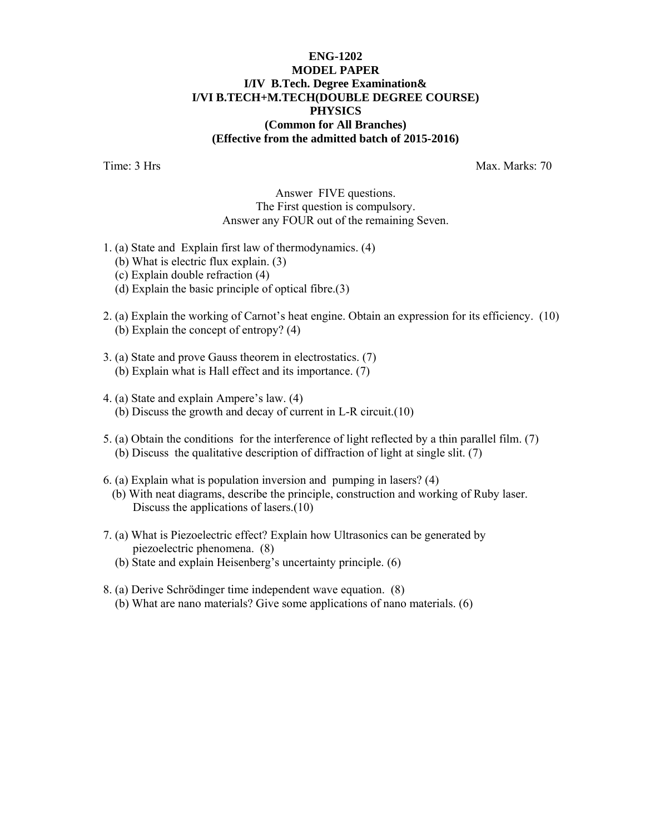## **ENG-1202 MODEL PAPER I/IV B.Tech. Degree Examination& I/VI B.TECH+M.TECH(DOUBLE DEGREE COURSE) PHYSICS (Common for All Branches) (Effective from the admitted batch of 2015-2016)**

Time: 3 Hrs Max. Marks: 70

#### Answer FIVE questions. The First question is compulsory. Answer any FOUR out of the remaining Seven.

- 1. (a) State and Explain first law of thermodynamics. (4)
	- (b) What is electric flux explain. (3)
	- (c) Explain double refraction (4)
	- (d) Explain the basic principle of optical fibre.(3)
- 2. (a) Explain the working of Carnot's heat engine. Obtain an expression for its efficiency. (10) (b) Explain the concept of entropy? (4)
- 3. (a) State and prove Gauss theorem in electrostatics. (7) (b) Explain what is Hall effect and its importance. (7)
- 4. (a) State and explain Ampere's law. (4) (b) Discuss the growth and decay of current in L-R circuit.(10)
- 5. (a) Obtain the conditions for the interference of light reflected by a thin parallel film. (7) (b) Discuss the qualitative description of diffraction of light at single slit. (7)
- 6. (a) Explain what is population inversion and pumping in lasers? (4)
	- (b) With neat diagrams, describe the principle, construction and working of Ruby laser. Discuss the applications of lasers.(10)
- 7. (a) What is Piezoelectric effect? Explain how Ultrasonics can be generated by piezoelectric phenomena. (8)
	- (b) State and explain Heisenberg's uncertainty principle. (6)
- 8. (a) Derive Schrödinger time independent wave equation. (8) (b) What are nano materials? Give some applications of nano materials. (6)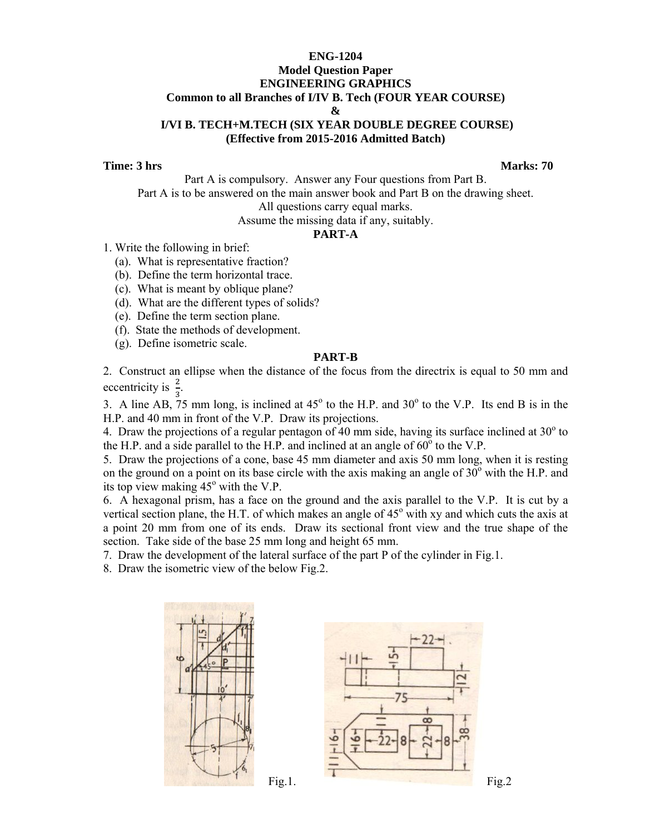#### **ENG-1204 Model Question Paper ENGINEERING GRAPHICS Common to all Branches of I/IV B. Tech (FOUR YEAR COURSE) & I/VI B. TECH+M.TECH (SIX YEAR DOUBLE DEGREE COURSE) (Effective from 2015-2016 Admitted Batch)**

**Time: 3 hrs** Marks: 70

Part A is compulsory. Answer any Four questions from Part B. Part A is to be answered on the main answer book and Part B on the drawing sheet. All questions carry equal marks.

Assume the missing data if any, suitably.

#### **PART-A**

- 1. Write the following in brief:
	- (a). What is representative fraction?
	- (b). Define the term horizontal trace.
	- (c). What is meant by oblique plane?
	- (d). What are the different types of solids?
	- (e). Define the term section plane.
	- (f). State the methods of development.
	- (g). Define isometric scale.

#### **PART-B**

2. Construct an ellipse when the distance of the focus from the directrix is equal to 50 mm and eccentricity is  $\frac{2}{3}$ .

3. A line AB, 75 mm long, is inclined at  $45^{\circ}$  to the H.P. and  $30^{\circ}$  to the V.P. Its end B is in the H.P. and 40 mm in front of the V.P. Draw its projections.

4. Draw the projections of a regular pentagon of 40 mm side, having its surface inclined at  $30^{\circ}$  to the H.P. and a side parallel to the H.P. and inclined at an angle of  $60^{\circ}$  to the V.P.

5. Draw the projections of a cone, base 45 mm diameter and axis 50 mm long, when it is resting on the ground on a point on its base circle with the axis making an angle of  $30^{\circ}$  with the H.P. and its top view making  $45^{\circ}$  with the V.P.

6. A hexagonal prism, has a face on the ground and the axis parallel to the V.P. It is cut by a vertical section plane, the H.T. of which makes an angle of  $45^{\circ}$  with xy and which cuts the axis at a point 20 mm from one of its ends. Draw its sectional front view and the true shape of the section. Take side of the base 25 mm long and height 65 mm.

7. Draw the development of the lateral surface of the part P of the cylinder in Fig.1.

8. Draw the isometric view of the below Fig.2.



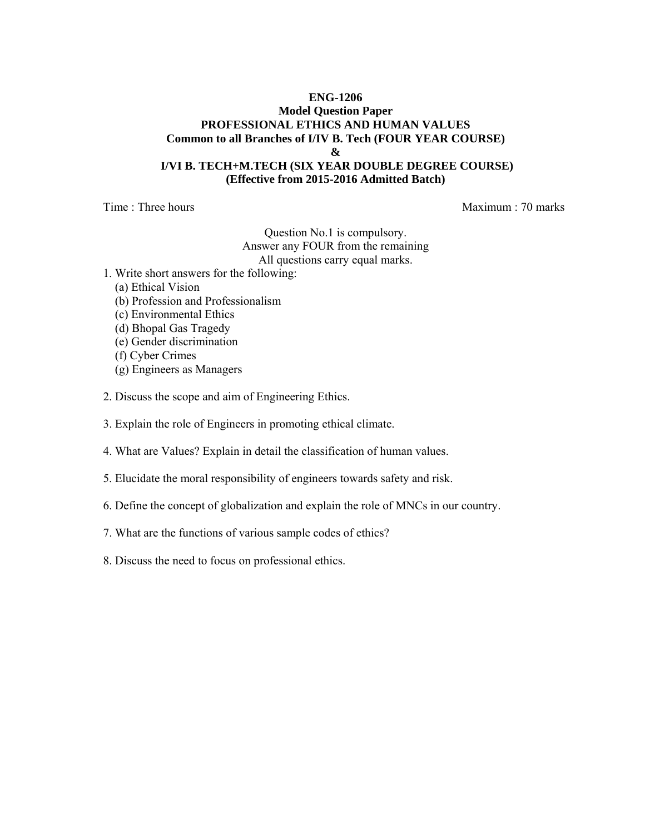## **ENG-1206 Model Question Paper PROFESSIONAL ETHICS AND HUMAN VALUES Common to all Branches of I/IV B. Tech (FOUR YEAR COURSE) &**

#### **I/VI B. TECH+M.TECH (SIX YEAR DOUBLE DEGREE COURSE) (Effective from 2015-2016 Admitted Batch)**

Time : Three hours and the matter of the matter of the Maximum : 70 marks

Question No.1 is compulsory. Answer any FOUR from the remaining All questions carry equal marks.

- 1. Write short answers for the following:
	- (a) Ethical Vision
	- (b) Profession and Professionalism
	- (c) Environmental Ethics
	- (d) Bhopal Gas Tragedy
	- (e) Gender discrimination
	- (f) Cyber Crimes
	- (g) Engineers as Managers
- 2. Discuss the scope and aim of Engineering Ethics.
- 3. Explain the role of Engineers in promoting ethical climate.
- 4. What are Values? Explain in detail the classification of human values.
- 5. Elucidate the moral responsibility of engineers towards safety and risk.
- 6. Define the concept of globalization and explain the role of MNCs in our country.
- 7. What are the functions of various sample codes of ethics?
- 8. Discuss the need to focus on professional ethics.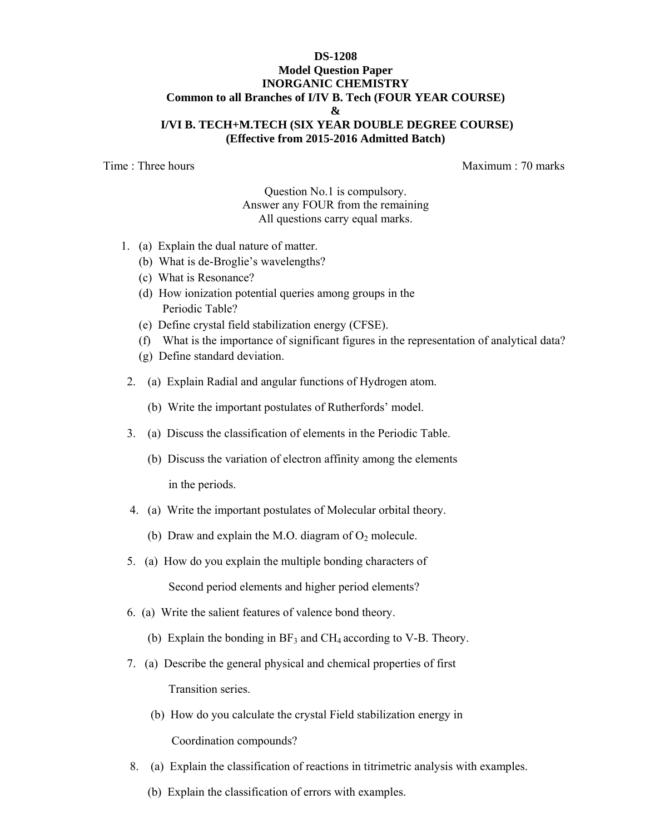#### **DS-1208 Model Question Paper INORGANIC CHEMISTRY Common to all Branches of I/IV B. Tech (FOUR YEAR COURSE) & I/VI B. TECH+M.TECH (SIX YEAR DOUBLE DEGREE COURSE) (Effective from 2015-2016 Admitted Batch)**

Time : Three hours and the matter of the matter of the Maximum : 70 marks

Question No.1 is compulsory. Answer any FOUR from the remaining All questions carry equal marks.

- 1. (a) Explain the dual nature of matter.
	- (b) What is de-Broglie's wavelengths?
	- (c) What is Resonance?
	- (d) How ionization potential queries among groups in the Periodic Table?
	- (e) Define crystal field stabilization energy (CFSE).
	- (f) What is the importance of significant figures in the representation of analytical data?
	- (g) Define standard deviation.
- 2. (a) Explain Radial and angular functions of Hydrogen atom.
	- (b) Write the important postulates of Rutherfords' model.
- 3. (a) Discuss the classification of elements in the Periodic Table.
	- (b) Discuss the variation of electron affinity among the elements in the periods.
- 4. (a) Write the important postulates of Molecular orbital theory.
	- (b) Draw and explain the M.O. diagram of  $O_2$  molecule.
- 5. (a) How do you explain the multiple bonding characters of Second period elements and higher period elements?
- 6. (a) Write the salient features of valence bond theory.
	- (b) Explain the bonding in  $BF_3$  and  $CH_4$  according to V-B. Theory.
- 7. (a) Describe the general physical and chemical properties of first Transition series.
	- (b) How do you calculate the crystal Field stabilization energy in Coordination compounds?
- 8. (a) Explain the classification of reactions in titrimetric analysis with examples.
	- (b) Explain the classification of errors with examples.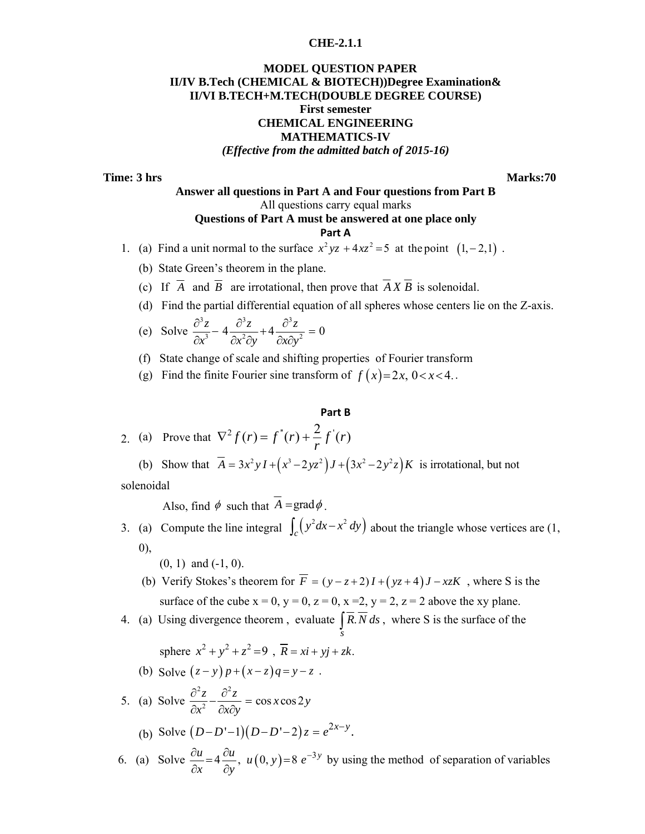#### **CHE-2.1.1**

#### **MODEL QUESTION PAPER II/IV B.Tech (CHEMICAL & BIOTECH))Degree Examination& II/VI B.TECH+M.TECH(DOUBLE DEGREE COURSE) First semester CHEMICAL ENGINEERING MATHEMATICS-IV**  *(Effective from the admitted batch of 2015-16)*

**Time: 3 hrs** Marks:70

#### **Answer all questions in Part A and Four questions from Part B**  All questions carry equal marks **Questions of Part A must be answered at one place only**

#### **Part A**

1. (a) Find a unit normal to the surface  $x^2yz + 4xz^2 = 5$  at the point  $(1, -2,1)$ .

- (b) State Green's theorem in the plane.
- (c) If  $\overline{A}$  and  $\overline{B}$  are irrotational, then prove that  $\overline{A} \overline{X} \overline{B}$  is solenoidal.
- (d) Find the partial differential equation of all spheres whose centers lie on the Z-axis.

(e) Solve 
$$
\frac{\partial^3 z}{\partial x^3} - 4 \frac{\partial^3 z}{\partial x^2 \partial y} + 4 \frac{\partial^3 z}{\partial x \partial y^2} = 0
$$

- (f) State change of scale and shifting properties of Fourier transform
- (g) Find the finite Fourier sine transform of  $f(x)=2x, 0 < x < 4$ .

#### **Part B**

2. (a) Prove that 
$$
\nabla^2 f(r) = f''(r) + \frac{2}{r} f'(r)
$$

(b) Show that  $\overline{A} = 3x^2yI + (x^3 - 2yz^2)J + (3x^2 - 2y^2z)K$  is irrotational, but not solenoidal

Also, find  $\phi$  such that  $\overline{A} = \text{grad}\phi$ .

3. (a) Compute the line integral  $\int_c (y^2 dx - x^2 dy)$  about the triangle whose vertices are (1, 0),

(0, 1) and (-1, 0).

- (b) Verify Stokes's theorem for  $\overline{F} = (y z + 2)I + (yz + 4)J xzK$ , where S is the surface of the cube  $x = 0$ ,  $y = 0$ ,  $z = 0$ ,  $x = 2$ ,  $y = 2$ ,  $z = 2$  above the xy plane.
- 4. (a) Using divergence theorem, evaluate  $\mid R$ .  $\int_s R.N \, ds$ , where S is the surface of the

sphere 
$$
x^2 + y^2 + z^2 = 9
$$
,  $\overline{R} = xi + yj + zk$ .

(b) Solve  $(z - y)p + (x - z)q = y - z$ .

5. (a) Solve 
$$
\frac{\partial^2 z}{\partial x^2} - \frac{\partial^2 z}{\partial x \partial y} = \cos x \cos 2y
$$
  
(b) Solve  $(D - D' - 1)(D - D' - 2)z = e^{2x - y}$ .

6. (a) Solve  $\frac{\partial u}{\partial x} = 4 \frac{\partial u}{\partial y}$ ,  $u(0, y) = 8 e^{-3y}$  by using the method of separation of variables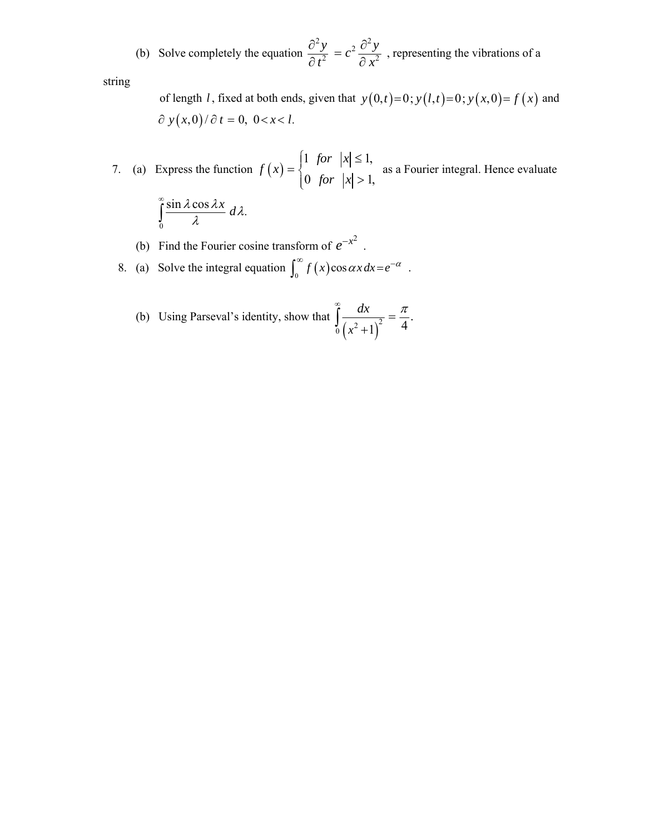(b) Solve completely the equation 
$$
\frac{\partial^2 y}{\partial t^2} = c^2 \frac{\partial^2 y}{\partial x^2}
$$
, representing the vibrations of a

string

of length *l*, fixed at both ends, given that  $y(0,t)=0$ ;  $y(l,t)=0$ ;  $y(x,0)=f(x)$  and  $\partial y(x,0)/\partial t = 0, 0 < x < l.$ 

7. (a) Express the function  $f(x) = \begin{cases} 1 & \text{for } |x| \leq 1, \\ 0 & \text{otherwise.} \end{cases}$  $f(x) = \begin{cases} 1 & \text{for} \quad |x| \leq 1, \\ 0 & \text{for} \quad |x| > 1, \end{cases}$ ⎨  $=\begin{cases} 1 & \text{for} \quad |x| \leq \\ 0 & \text{for} \quad |x| > \end{cases}$  as a Fourier integral. Hence evaluate 0  $\frac{\sin \lambda \cos \lambda x}{\lambda} d\lambda.$ ∞  $\int \frac{\sin \lambda \cos \lambda x}{\lambda} d\lambda.$ 

- (b) Find the Fourier cosine transform of  $e^{-x^2}$ .
	- 8. (a) Solve the integral equation  $\int_0^\infty f(x) \cos \alpha x \, dx = e^{-\alpha}$ .
- (b) Using Parseval's identity, show that  $\int_0^{\infty} \frac{dx}{(x^2+1)^2}$ .  $(x^2+1)^2$  4  $\int_{0}^{\infty} \frac{dx}{(x^2+1)^2} = \frac{\pi}{4}$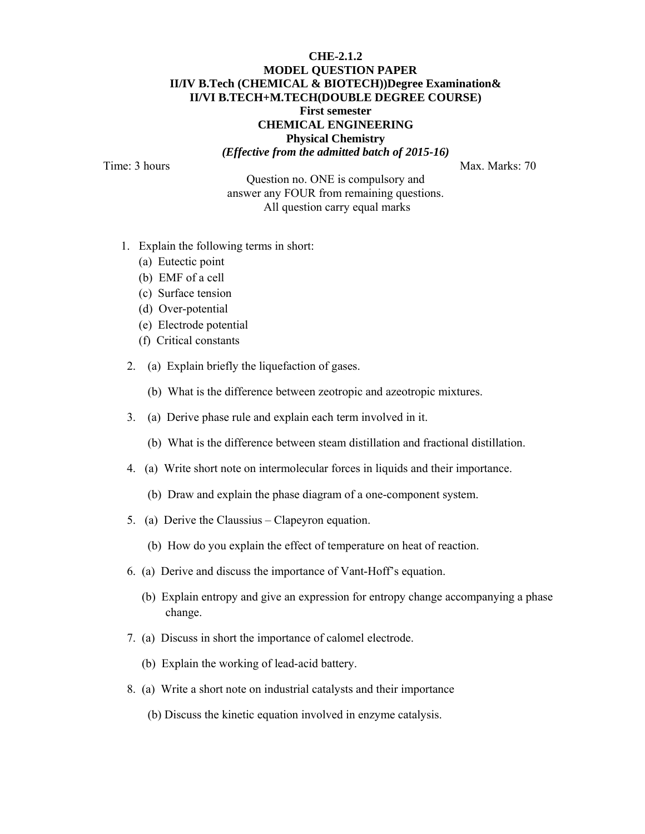# **CHE-2.1.2 MODEL QUESTION PAPER II/IV B.Tech (CHEMICAL & BIOTECH))Degree Examination& II/VI B.TECH+M.TECH(DOUBLE DEGREE COURSE) First semester CHEMICAL ENGINEERING Physical Chemistry**

*(Effective from the admitted batch of 2015-16)* 

Time: 3 hours Max. Marks: 70

Question no. ONE is compulsory and answer any FOUR from remaining questions. All question carry equal marks

- 1. Explain the following terms in short:
	- (a) Eutectic point
	- (b) EMF of a cell
	- (c) Surface tension
	- (d) Over-potential
	- (e) Electrode potential
	- (f) Critical constants
- 2. (a) Explain briefly the liquefaction of gases.
	- (b) What is the difference between zeotropic and azeotropic mixtures.
- 3. (a) Derive phase rule and explain each term involved in it.
	- (b) What is the difference between steam distillation and fractional distillation.
- 4. (a) Write short note on intermolecular forces in liquids and their importance.
	- (b) Draw and explain the phase diagram of a one-component system.
- 5. (a) Derive the Claussius Clapeyron equation.
	- (b) How do you explain the effect of temperature on heat of reaction.
- 6. (a) Derive and discuss the importance of Vant-Hoff's equation.
	- (b) Explain entropy and give an expression for entropy change accompanying a phase change.
- 7. (a) Discuss in short the importance of calomel electrode.
	- (b) Explain the working of lead-acid battery.
- 8. (a) Write a short note on industrial catalysts and their importance
	- (b) Discuss the kinetic equation involved in enzyme catalysis.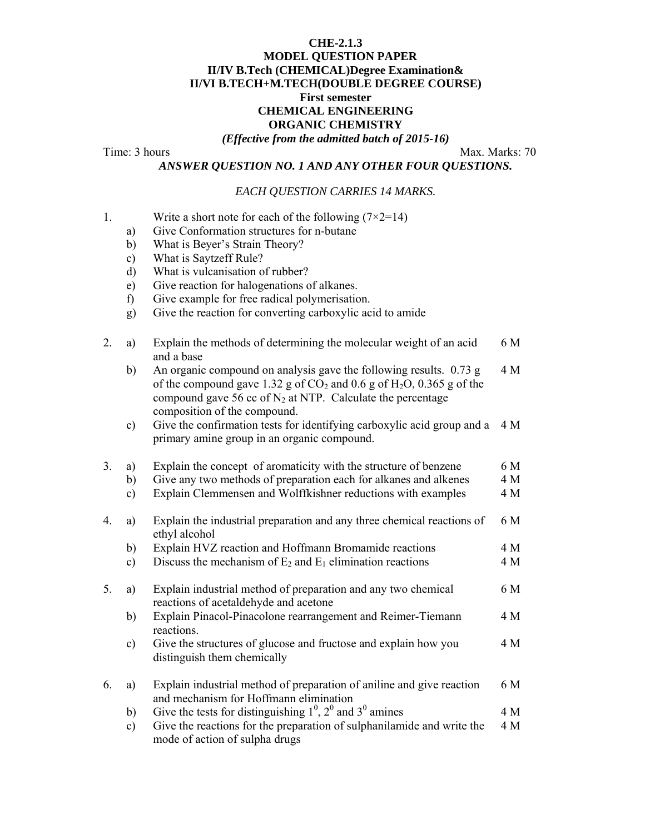# **CHE-2.1.3 MODEL QUESTION PAPER II/IV B.Tech (CHEMICAL)Degree Examination& II/VI B.TECH+M.TECH(DOUBLE DEGREE COURSE) First semester CHEMICAL ENGINEERING ORGANIC CHEMISTRY**

*(Effective from the admitted batch of 2015-16)* 

Time: 3 hours Max. Marks: 70

*ANSWER QUESTION NO. 1 AND ANY OTHER FOUR QUESTIONS.* 

#### *EACH QUESTION CARRIES 14 MARKS.*

- 1. Write a short note for each of the following  $(7\times2=14)$ 
	- a) Give Conformation structures for n-butane
	- b) What is Beyer's Strain Theory?
	- c) What is Saytzeff Rule?
	- d) What is vulcanisation of rubber?
	- e) Give reaction for halogenations of alkanes.
	- f) Give example for free radical polymerisation.
	- g) Give the reaction for converting carboxylic acid to amide

| 2. | a)            | Explain the methods of determining the molecular weight of an acid<br>and a base                                                                                                                                                                  | 6 M |
|----|---------------|---------------------------------------------------------------------------------------------------------------------------------------------------------------------------------------------------------------------------------------------------|-----|
|    | b)            | An organic compound on analysis gave the following results. 0.73 g<br>of the compound gave 1.32 g of $CO_2$ and 0.6 g of $H_2O$ , 0.365 g of the<br>compound gave 56 cc of $N_2$ at NTP. Calculate the percentage<br>composition of the compound. | 4 M |
|    | c)            | Give the confirmation tests for identifying carboxylic acid group and a<br>primary amine group in an organic compound.                                                                                                                            | 4 M |
| 3. | a)            | Explain the concept of aromaticity with the structure of benzene                                                                                                                                                                                  | 6 M |
|    | b)            | Give any two methods of preparation each for alkanes and alkenes                                                                                                                                                                                  | 4 M |
|    | $\mathbf{c})$ | Explain Clemmensen and Wolffkishner reductions with examples                                                                                                                                                                                      | 4 M |
| 4. | a)            | Explain the industrial preparation and any three chemical reactions of<br>ethyl alcohol                                                                                                                                                           | 6 M |
|    | b)            | Explain HVZ reaction and Hoffmann Bromamide reactions                                                                                                                                                                                             | 4 M |
|    | c)            | Discuss the mechanism of $E_2$ and $E_1$ elimination reactions                                                                                                                                                                                    | 4 M |
| 5. | a)            | Explain industrial method of preparation and any two chemical<br>reactions of acetaldehyde and acetone                                                                                                                                            | 6 M |
|    | b)            | Explain Pinacol-Pinacolone rearrangement and Reimer-Tiemann<br>reactions.                                                                                                                                                                         | 4 M |
|    | $\mathbf{c})$ | Give the structures of glucose and fructose and explain how you<br>distinguish them chemically                                                                                                                                                    | 4 M |
| 6. | a)            | Explain industrial method of preparation of aniline and give reaction<br>and mechanism for Hoffmann elimination                                                                                                                                   | 6 M |
|    | $\mathbf{b}$  | Give the tests for distinguishing $1^0$ , $2^0$ and $3^0$ amines                                                                                                                                                                                  | 4 M |
|    | $\mathbf{c})$ | Give the reactions for the preparation of sulphanilamide and write the<br>mode of action of sulpha drugs                                                                                                                                          | 4 M |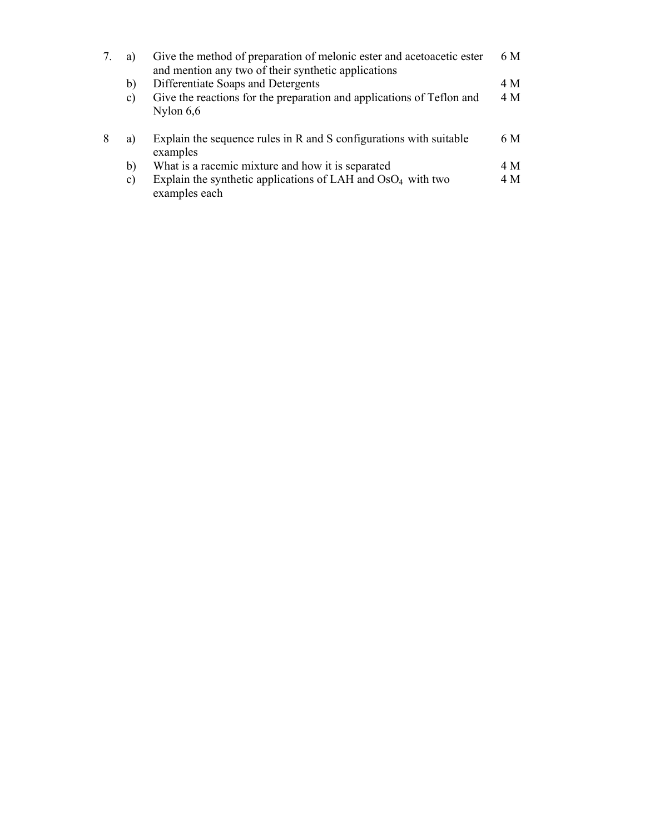|   | a)              | Give the method of preparation of melonic ester and acetoacetic ester<br>and mention any two of their synthetic applications | 6 M |
|---|-----------------|------------------------------------------------------------------------------------------------------------------------------|-----|
|   | b)              | Differentiate Soaps and Detergents                                                                                           | 4 M |
|   | $\mathcal{C}$ ) | Give the reactions for the preparation and applications of Teflon and<br>Nylon $6,6$                                         | 4 M |
| 8 | a)              | Explain the sequence rules in R and S configurations with suitable<br>examples                                               | 6 M |
|   | b)              | What is a racemic mixture and how it is separated                                                                            | 4 M |
|   | $\mathbf{c})$   | Explain the synthetic applications of LAH and $OsO4$ with two<br>examples each                                               | 4 M |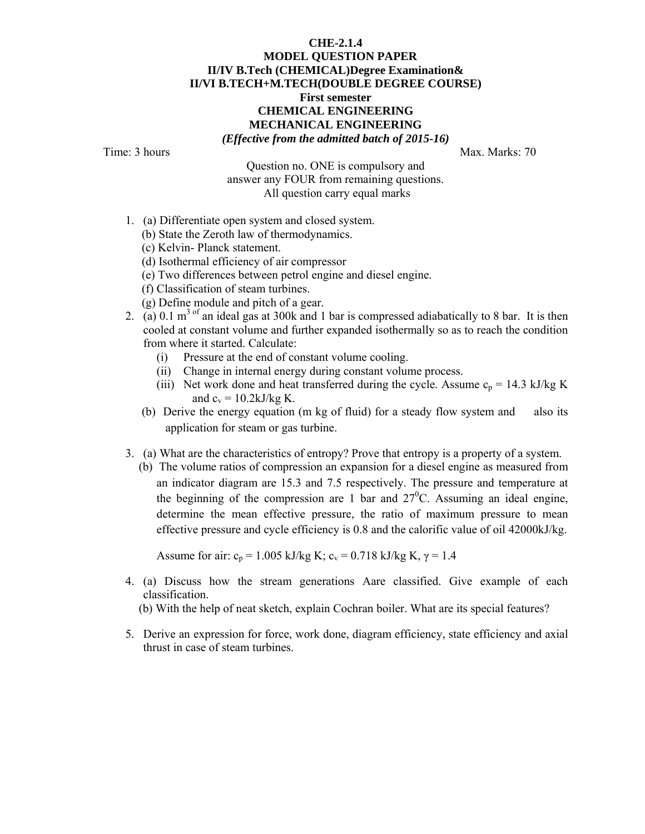#### **CHE-2.1.4 MODEL QUESTION PAPER II/IV B.Tech (CHEMICAL)Degree Examination& II/VI B.TECH+M.TECH(DOUBLE DEGREE COURSE) First semester CHEMICAL ENGINEERING MECHANICAL ENGINEERING**  *(Effective from the admitted batch of 2015-16)*

Time: 3 hours Max. Marks: 70

Question no. ONE is compulsory and

answer any FOUR from remaining questions. All question carry equal marks

- 1. (a) Differentiate open system and closed system.
	- (b) State the Zeroth law of thermodynamics.
	- (c) Kelvin- Planck statement.
	- (d) Isothermal efficiency of air compressor
	- (e) Two differences between petrol engine and diesel engine.
	- (f) Classification of steam turbines.
	- (g) Define module and pitch of a gear.
- 2. (a) 0.1 m<sup>3 of</sup> an ideal gas at 300k and 1 bar is compressed adiabatically to 8 bar. It is then cooled at constant volume and further expanded isothermally so as to reach the condition from where it started. Calculate:
	- (i) Pressure at the end of constant volume cooling.
	- (ii) Change in internal energy during constant volume process.
	- (iii) Net work done and heat transferred during the cycle. Assume  $c_p = 14.3$  kJ/kg K and  $c_v = 10.2 \text{kJ/kg K}$ .
	- (b) Derive the energy equation (m kg of fluid) for a steady flow system and also its application for steam or gas turbine.
- 3. (a) What are the characteristics of entropy? Prove that entropy is a property of a system.
	- (b) The volume ratios of compression an expansion for a diesel engine as measured from an indicator diagram are 15.3 and 7.5 respectively. The pressure and temperature at the beginning of the compression are 1 bar and  $27^{\circ}$ C. Assuming an ideal engine, determine the mean effective pressure, the ratio of maximum pressure to mean effective pressure and cycle efficiency is 0.8 and the calorific value of oil 42000kJ/kg.

Assume for air:  $c_p = 1.005 \text{ kJ/kg K}$ ;  $c_v = 0.718 \text{ kJ/kg K}$ ,  $\gamma = 1.4$ 

- 4. (a) Discuss how the stream generations Aare classified. Give example of each classification.
	- (b) With the help of neat sketch, explain Cochran boiler. What are its special features?
- 5. Derive an expression for force, work done, diagram efficiency, state efficiency and axial thrust in case of steam turbines.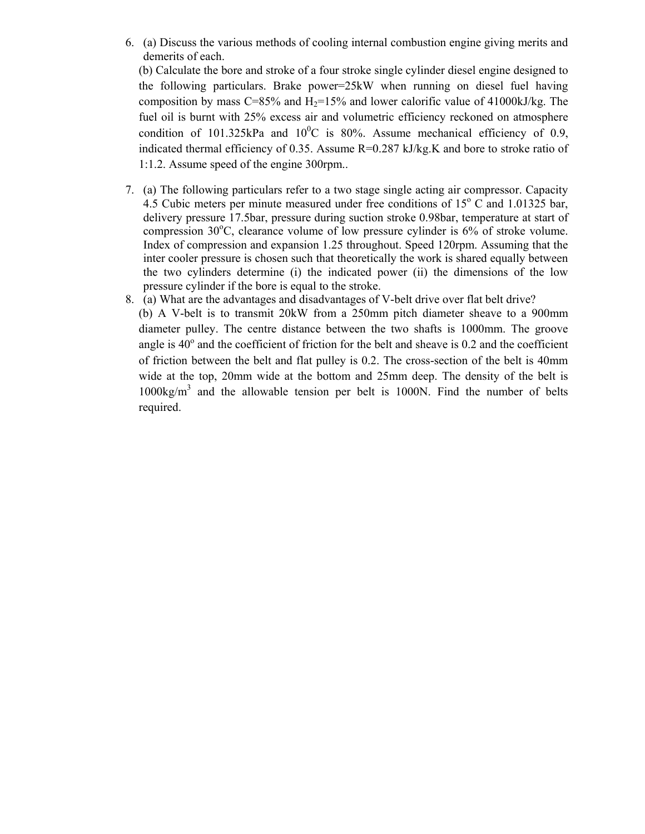6. (a) Discuss the various methods of cooling internal combustion engine giving merits and demerits of each.

(b) Calculate the bore and stroke of a four stroke single cylinder diesel engine designed to the following particulars. Brake power=25kW when running on diesel fuel having composition by mass C=85% and  $H_2=15%$  and lower calorific value of 41000kJ/kg. The fuel oil is burnt with 25% excess air and volumetric efficiency reckoned on atmosphere condition of 101.325kPa and  $10^{0}$ C is 80%. Assume mechanical efficiency of 0.9, indicated thermal efficiency of 0.35. Assume R=0.287 kJ/kg.K and bore to stroke ratio of 1:1.2. Assume speed of the engine 300rpm..

- 7. (a) The following particulars refer to a two stage single acting air compressor. Capacity  $4.5$  Cubic meters per minute measured under free conditions of  $15^{\circ}$  C and  $1.01325$  bar, delivery pressure 17.5bar, pressure during suction stroke 0.98bar, temperature at start of compression 30°C, clearance volume of low pressure cylinder is 6% of stroke volume. Index of compression and expansion 1.25 throughout. Speed 120rpm. Assuming that the inter cooler pressure is chosen such that theoretically the work is shared equally between the two cylinders determine (i) the indicated power (ii) the dimensions of the low pressure cylinder if the bore is equal to the stroke.
- 8. (a) What are the advantages and disadvantages of V-belt drive over flat belt drive? (b) A V-belt is to transmit 20kW from a 250mm pitch diameter sheave to a 900mm diameter pulley. The centre distance between the two shafts is 1000mm. The groove angle is  $40^{\circ}$  and the coefficient of friction for the belt and sheave is 0.2 and the coefficient of friction between the belt and flat pulley is 0.2. The cross-section of the belt is 40mm wide at the top, 20mm wide at the bottom and 25mm deep. The density of the belt is  $1000\text{kg/m}^3$  and the allowable tension per belt is 1000N. Find the number of belts required.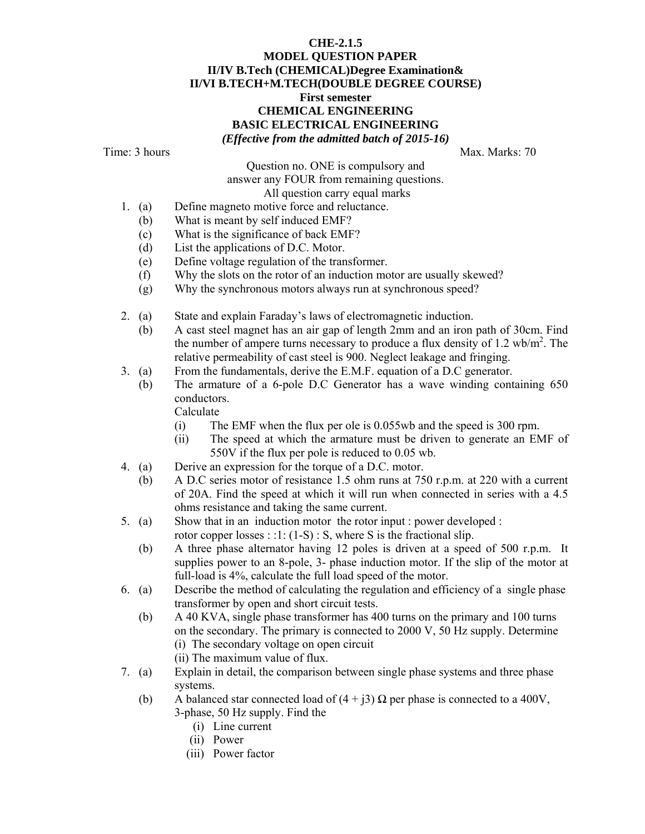## **CHE-2.1.5 MODEL QUESTION PAPER II/IV B.Tech (CHEMICAL)Degree Examination& II/VI B.TECH+M.TECH(DOUBLE DEGREE COURSE) First semester CHEMICAL ENGINEERING BASIC ELECTRICAL ENGINEERING**  *(Effective from the admitted batch of 2015-16)*

Time: 3 hours Max. Marks: 70

Question no. ONE is compulsory and answer any FOUR from remaining questions. All question carry equal marks

- 1. (a) Define magneto motive force and reluctance.
	- (b) What is meant by self induced EMF?
	- (c) What is the significance of back EMF?
	- (d) List the applications of D.C. Motor.
	- (e) Define voltage regulation of the transformer.
	- (f) Why the slots on the rotor of an induction motor are usually skewed?
	- (g) Why the synchronous motors always run at synchronous speed?
- 2. (a) State and explain Faraday's laws of electromagnetic induction.
	- (b) A cast steel magnet has an air gap of length 2mm and an iron path of 30cm. Find the number of ampere turns necessary to produce a flux density of  $1.2 \text{ wb/m}^2$ . The relative permeability of cast steel is 900. Neglect leakage and fringing.
- 3. (a) From the fundamentals, derive the E.M.F. equation of a D.C generator.
	- (b) The armature of a 6-pole D.C Generator has a wave winding containing 650 conductors.

Calculate

- (i) The EMF when the flux per ole is 0.055wb and the speed is 300 rpm.
- (ii) The speed at which the armature must be driven to generate an EMF of 550V if the flux per pole is reduced to 0.05 wb.
- 4. (a) Derive an expression for the torque of a D.C. motor.
	- (b) A D.C series motor of resistance 1.5 ohm runs at 750 r.p.m. at 220 with a current of 20A. Find the speed at which it will run when connected in series with a 4.5 ohms resistance and taking the same current.
- 5. (a) Show that in an induction motor the rotor input : power developed : rotor copper losses : :1: (1-S) : S, where S is the fractional slip.
	- (b) A three phase alternator having 12 poles is driven at a speed of 500 r.p.m. It supplies power to an 8-pole, 3- phase induction motor. If the slip of the motor at full-load is 4%, calculate the full load speed of the motor.
- 6. (a) Describe the method of calculating the regulation and efficiency of a single phase transformer by open and short circuit tests.
	- (b) A 40 KVA, single phase transformer has 400 turns on the primary and 100 turns on the secondary. The primary is connected to 2000 V, 50 Hz supply. Determine (i) The secondary voltage on open circuit
		- (ii) The maximum value of flux.
- 7. (a) Explain in detail, the comparison between single phase systems and three phase systems.
	- (b) A balanced star connected load of  $(4 + i3)$  Q per phase is connected to a 400V, 3-phase, 50 Hz supply. Find the
		- (i) Line current
		- (ii) Power
		- (iii) Power factor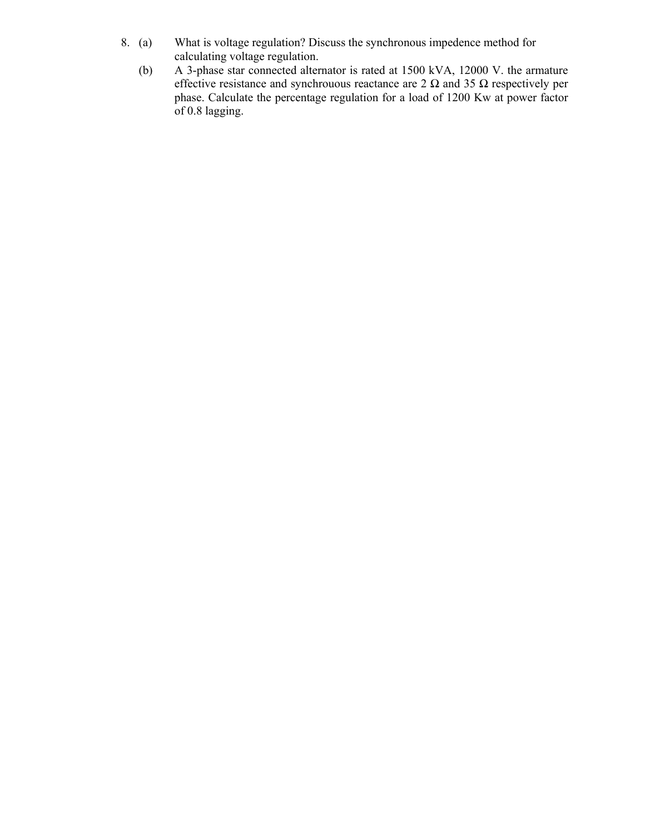- 8. (a) What is voltage regulation? Discuss the synchronous impedence method for calculating voltage regulation.<br>(b) A 3-phase star connected alter.
	- (b) A 3-phase star connected alternator is rated at 1500 kVA, 12000 V. the armature effective resistance and synchrouous reactance are 2  $\Omega$  and 35  $\Omega$  respectively per phase. Calculate the percentage regulation for a load of 1200 Kw at power factor of 0.8 lagging.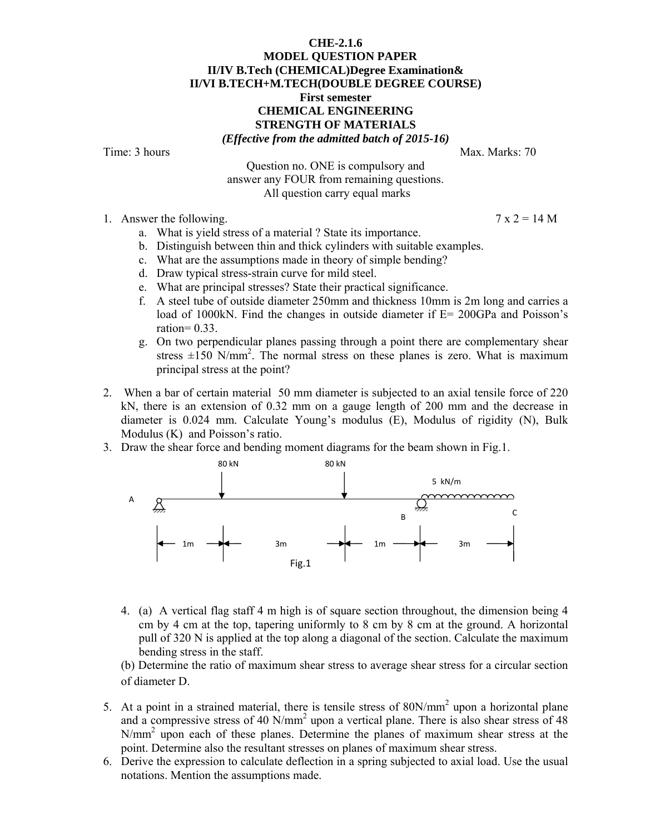#### **CHE-2.1.6 MODEL QUESTION PAPER II/IV B.Tech (CHEMICAL)Degree Examination& II/VI B.TECH+M.TECH(DOUBLE DEGREE COURSE) First semester CHEMICAL ENGINEERING STRENGTH OF MATERIALS**  *(Effective from the admitted batch of 2015-16)*

Time: 3 hours Max. Marks: 70

Question no. ONE is compulsory and answer any FOUR from remaining questions. All question carry equal marks

1. Answer the following.  $7 \times 2 = 14$  M

- a. What is yield stress of a material ? State its importance.
- b. Distinguish between thin and thick cylinders with suitable examples.
- c. What are the assumptions made in theory of simple bending?
- d. Draw typical stress-strain curve for mild steel.
- e. What are principal stresses? State their practical significance.
- f. A steel tube of outside diameter 250mm and thickness 10mm is 2m long and carries a load of 1000kN. Find the changes in outside diameter if E= 200GPa and Poisson's ration=  $0.33$ .
- g. On two perpendicular planes passing through a point there are complementary shear stress  $\pm 150$  N/mm<sup>2</sup>. The normal stress on these planes is zero. What is maximum principal stress at the point?
- 2. When a bar of certain material 50 mm diameter is subjected to an axial tensile force of 220 kN, there is an extension of 0.32 mm on a gauge length of 200 mm and the decrease in diameter is 0.024 mm. Calculate Young's modulus (E), Modulus of rigidity (N), Bulk Modulus (K) and Poisson's ratio.
- 3. Draw the shear force and bending moment diagrams for the beam shown in Fig.1.



4. (a) A vertical flag staff 4 m high is of square section throughout, the dimension being 4 cm by 4 cm at the top, tapering uniformly to 8 cm by 8 cm at the ground. A horizontal pull of 320 N is applied at the top along a diagonal of the section. Calculate the maximum bending stress in the staff.

(b) Determine the ratio of maximum shear stress to average shear stress for a circular section of diameter D.

- 5. At a point in a strained material, there is tensile stress of  $80N/mm^2$  upon a horizontal plane and a compressive stress of 40 N/mm<sup>2</sup> upon a vertical plane. There is also shear stress of 48 N/mm<sup>2</sup> upon each of these planes. Determine the planes of maximum shear stress at the point. Determine also the resultant stresses on planes of maximum shear stress.
- 6. Derive the expression to calculate deflection in a spring subjected to axial load. Use the usual notations. Mention the assumptions made.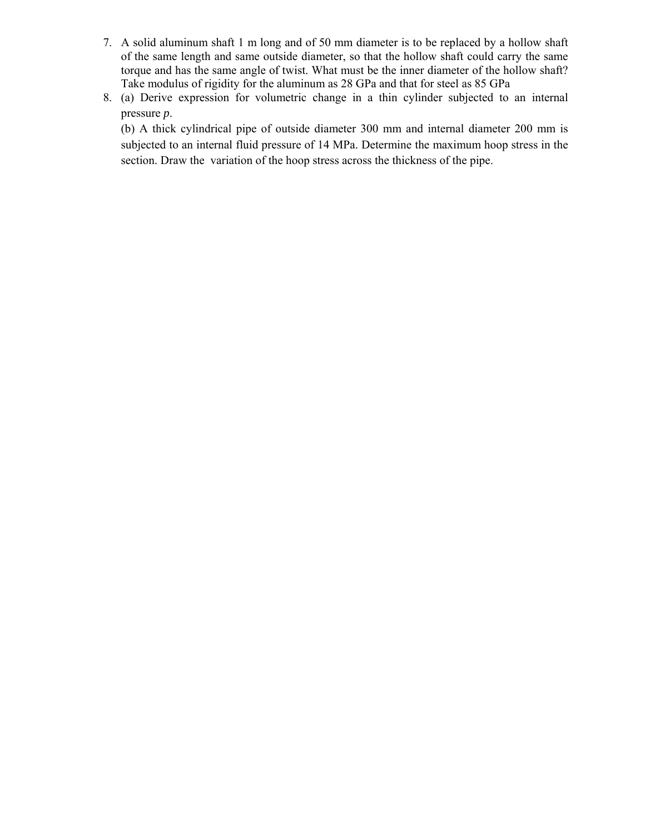- 7. A solid aluminum shaft 1 m long and of 50 mm diameter is to be replaced by a hollow shaft of the same length and same outside diameter, so that the hollow shaft could carry the same torque and has the same angle of twist. What must be the inner diameter of the hollow shaft? Take modulus of rigidity for the aluminum as 28 GPa and that for steel as 85 GPa
- 8. (a) Derive expression for volumetric change in a thin cylinder subjected to an internal pressure *p*.

(b) A thick cylindrical pipe of outside diameter 300 mm and internal diameter 200 mm is subjected to an internal fluid pressure of 14 MPa. Determine the maximum hoop stress in the section. Draw the variation of the hoop stress across the thickness of the pipe.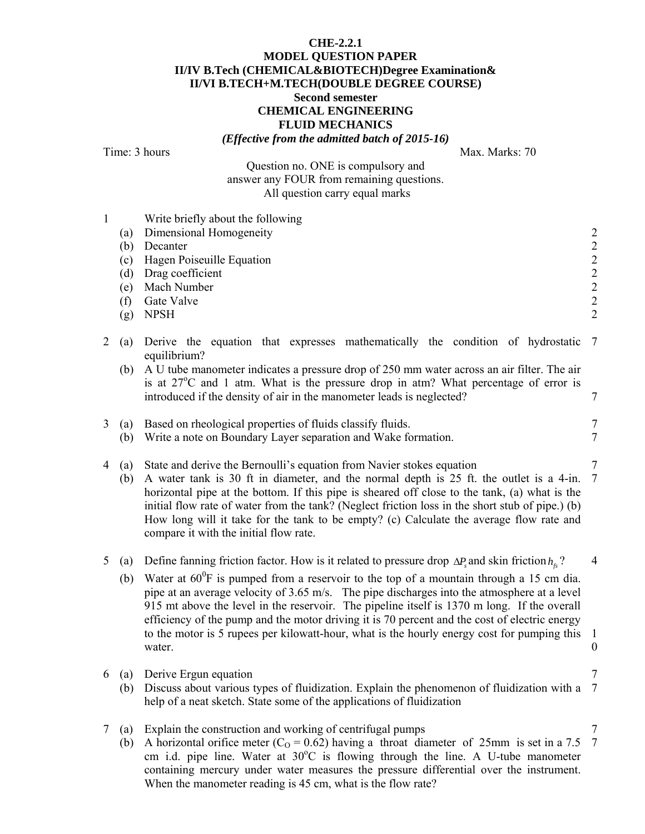## **CHE-2.2.1 MODEL QUESTION PAPER II/IV B.Tech (CHEMICAL&BIOTECH)Degree Examination& II/VI B.TECH+M.TECH(DOUBLE DEGREE COURSE) Second semester CHEMICAL ENGINEERING FLUID MECHANICS**  *(Effective from the admitted batch of 2015-16)*

Time: 3 hours Max. Marks: 70

Question no. ONE is compulsory and

answer any FOUR from remaining questions. All question carry equal marks

| $\mathbf{1}$ | (a)<br>(b)<br>(c)<br>(d)<br>(e)<br>(f)<br>(g) | Write briefly about the following<br>Dimensional Homogeneity<br>Decanter<br>Hagen Poiseuille Equation<br>Drag coefficient<br>Mach Number<br>Gate Valve<br><b>NPSH</b>                                                                                                                                                                                                                                                                                                                                                                                                                                                  | $\begin{array}{c} 2 \\ 2 \\ 2 \end{array}$<br>$\begin{array}{c} 2 \\ 2 \\ 2 \end{array}$ |
|--------------|-----------------------------------------------|------------------------------------------------------------------------------------------------------------------------------------------------------------------------------------------------------------------------------------------------------------------------------------------------------------------------------------------------------------------------------------------------------------------------------------------------------------------------------------------------------------------------------------------------------------------------------------------------------------------------|------------------------------------------------------------------------------------------|
| 2            | (a)<br>(b)                                    | Derive the equation that expresses mathematically the condition of hydrostatic<br>equilibrium?<br>A U tube manometer indicates a pressure drop of 250 mm water across an air filter. The air<br>is at $27^{\circ}$ C and 1 atm. What is the pressure drop in atm? What percentage of error is                                                                                                                                                                                                                                                                                                                          | 7                                                                                        |
| 3            | (a)                                           | introduced if the density of air in the manometer leads is neglected?<br>Based on rheological properties of fluids classify fluids.                                                                                                                                                                                                                                                                                                                                                                                                                                                                                    | 7<br>7                                                                                   |
| 4            | (b)<br>(a)<br>(b)                             | Write a note on Boundary Layer separation and Wake formation.<br>State and derive the Bernoulli's equation from Navier stokes equation<br>A water tank is 30 ft in diameter, and the normal depth is 25 ft. the outlet is a 4-in.<br>horizontal pipe at the bottom. If this pipe is sheared off close to the tank, (a) what is the<br>initial flow rate of water from the tank? (Neglect friction loss in the short stub of pipe.) (b)<br>How long will it take for the tank to be empty? (c) Calculate the average flow rate and<br>compare it with the initial flow rate.                                            | 7<br>7<br>7                                                                              |
| 5            | (a)<br>(b)                                    | Define fanning friction factor. How is it related to pressure drop $\Delta P$ and skin friction $h_{\epsilon}$ ?<br>Water at $60^0$ F is pumped from a reservoir to the top of a mountain through a 15 cm dia.<br>pipe at an average velocity of 3.65 m/s. The pipe discharges into the atmosphere at a level<br>915 mt above the level in the reservoir. The pipeline itself is 1370 m long. If the overall<br>efficiency of the pump and the motor driving it is 70 percent and the cost of electric energy<br>to the motor is 5 rupees per kilowatt-hour, what is the hourly energy cost for pumping this<br>water. | 4<br>-1<br>$\boldsymbol{0}$                                                              |
|              | (b)                                           | 6 (a) Derive Ergun equation<br>Discuss about various types of fluidization. Explain the phenomenon of fluidization with a 7<br>help of a neat sketch. State some of the applications of fluidization                                                                                                                                                                                                                                                                                                                                                                                                                   |                                                                                          |
| 7            | (a)<br>(b)                                    | Explain the construction and working of centrifugal pumps<br>A horizontal orifice meter ( $C_0$ = 0.62) having a throat diameter of 25mm is set in a 7.5<br>cm i.d. pipe line. Water at 30°C is flowing through the line. A U-tube manometer<br>containing mercury under water measures the pressure differential over the instrument.                                                                                                                                                                                                                                                                                 | 7<br>$\overline{7}$                                                                      |

When the manometer reading is 45 cm, what is the flow rate?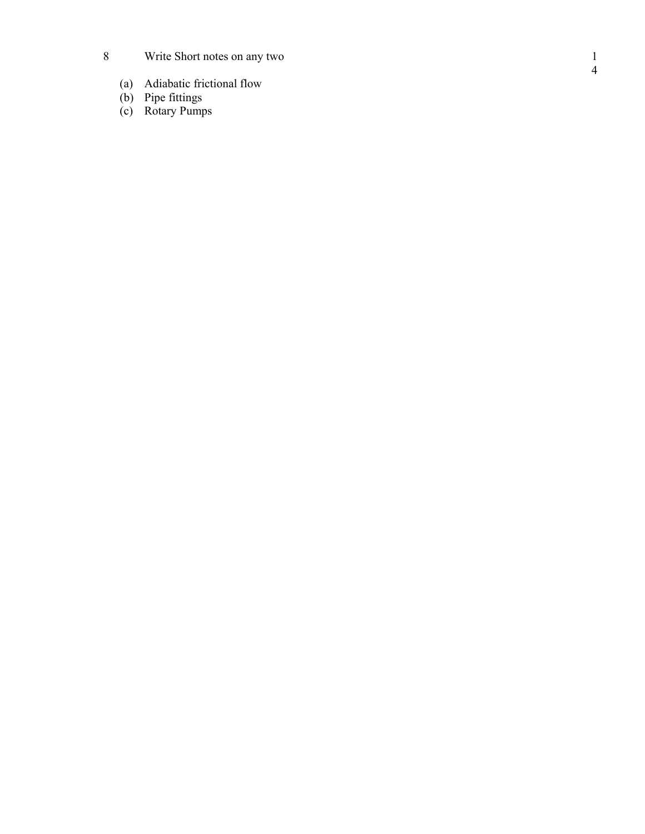- $8\,$ Write Short notes on any two
- (a) Adiabatic frictional flow
- (b) Pipe fittings
- (c) Rotary Pumps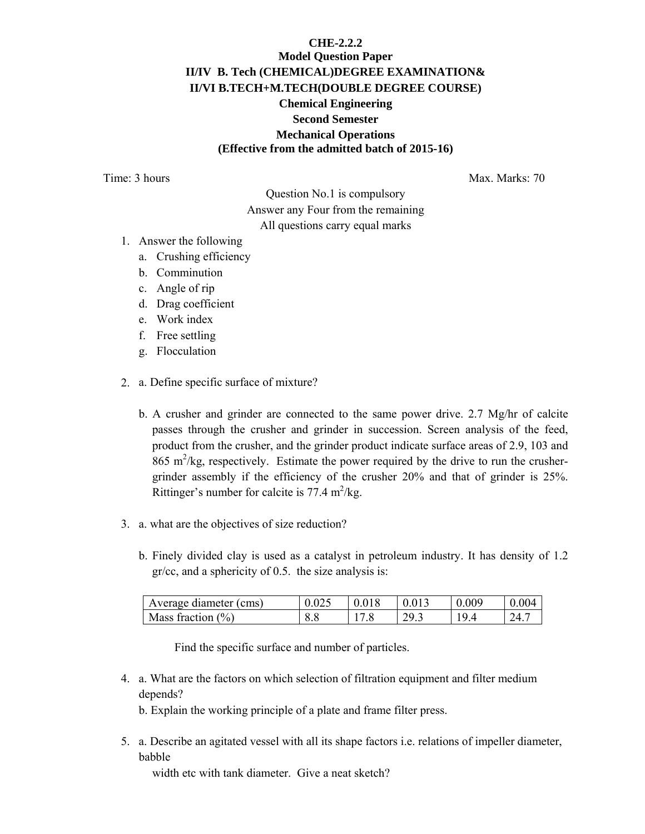# **CHE-2.2.2 Model Question Paper II/IV B. Tech (CHEMICAL)DEGREE EXAMINATION& II/VI B.TECH+M.TECH(DOUBLE DEGREE COURSE) Chemical Engineering Second Semester Mechanical Operations (Effective from the admitted batch of 2015-16)**

Time: 3 hours Max. Marks: 70

Question No.1 is compulsory Answer any Four from the remaining All questions carry equal marks

- 1. Answer the following
	- a. Crushing efficiency
	- b. Comminution
	- c. Angle of rip
	- d. Drag coefficient
	- e. Work index
	- f. Free settling
	- g. Flocculation
- 2. a. Define specific surface of mixture?
	- b. A crusher and grinder are connected to the same power drive. 2.7 Mg/hr of calcite passes through the crusher and grinder in succession. Screen analysis of the feed, product from the crusher, and the grinder product indicate surface areas of 2.9, 103 and 865 m<sup>2</sup>/kg, respectively. Estimate the power required by the drive to run the crushergrinder assembly if the efficiency of the crusher 20% and that of grinder is 25%. Rittinger's number for calcite is  $77.4 \text{ m}^2/\text{kg}$ .
- 3. a. what are the objectives of size reduction?
	- b. Finely divided clay is used as a catalyst in petroleum industry. It has density of 1.2 gr/cc, and a sphericity of 0.5. the size analysis is:

| Average diameter (cms) |  | 013        | .009 |  |
|------------------------|--|------------|------|--|
| Mass fraction $(\% )$  |  | <i>- -</i> |      |  |

Find the specific surface and number of particles.

4. a. What are the factors on which selection of filtration equipment and filter medium depends?

b. Explain the working principle of a plate and frame filter press.

5. a. Describe an agitated vessel with all its shape factors i.e. relations of impeller diameter, babble

width etc with tank diameter. Give a neat sketch?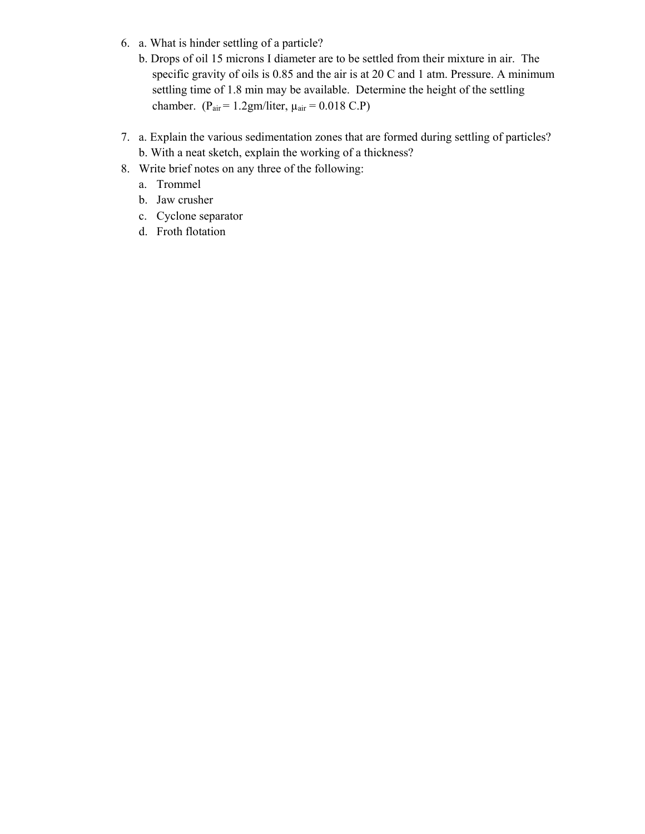- 6. a. What is hinder settling of a particle?
	- b. Drops of oil 15 microns I diameter are to be settled from their mixture in air. The specific gravity of oils is 0.85 and the air is at 20 C and 1 atm. Pressure. A minimum settling time of 1.8 min may be available. Determine the height of the settling chamber. ( $P_{air} = 1.2gm/liter$ ,  $\mu_{air} = 0.018$  C.P)
- 7. a. Explain the various sedimentation zones that are formed during settling of particles? b. With a neat sketch, explain the working of a thickness?
- 8. Write brief notes on any three of the following:
	- a. Trommel
	- b. Jaw crusher
	- c. Cyclone separator
	- d. Froth flotation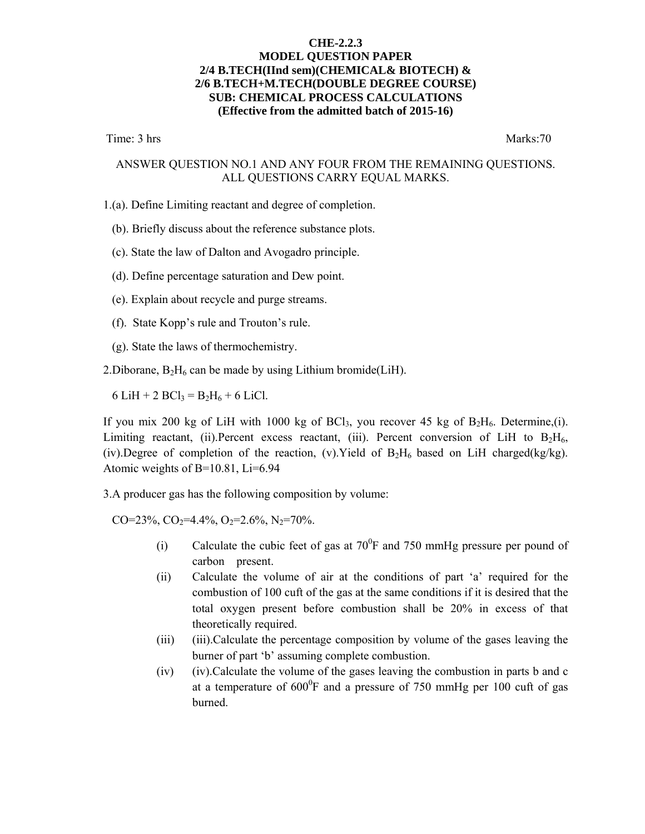#### **CHE-2.2.3 MODEL QUESTION PAPER 2/4 B.TECH(IInd sem)(CHEMICAL& BIOTECH) & 2/6 B.TECH+M.TECH(DOUBLE DEGREE COURSE) SUB: CHEMICAL PROCESS CALCULATIONS (Effective from the admitted batch of 2015-16)**

Time: 3 hrs Marks:70

#### ANSWER QUESTION NO.1 AND ANY FOUR FROM THE REMAINING QUESTIONS. ALL QUESTIONS CARRY EQUAL MARKS.

- 1.(a). Define Limiting reactant and degree of completion.
	- (b). Briefly discuss about the reference substance plots.
	- (c). State the law of Dalton and Avogadro principle.
	- (d). Define percentage saturation and Dew point.
	- (e). Explain about recycle and purge streams.
	- (f). State Kopp's rule and Trouton's rule.
	- (g). State the laws of thermochemistry.
- 2. Diborane,  $B_2H_6$  can be made by using Lithium bromide(LiH).

6 LiH + 2 BCl<sub>3</sub> = B<sub>2</sub>H<sub>6</sub> + 6 LiCl.

If you mix 200 kg of LiH with 1000 kg of BCl<sub>3</sub>, you recover 45 kg of  $B_2H_6$ . Determine,(i). Limiting reactant, (ii). Percent excess reactant, (iii). Percent conversion of LiH to  $B_2H_6$ , (iv).Degree of completion of the reaction, (v).Yield of  $B_2H_6$  based on LiH charged(kg/kg). Atomic weights of B=10.81, Li=6.94

3.A producer gas has the following composition by volume:

CO=23%, CO<sub>2</sub>=4.4%, O<sub>2</sub>=2.6%, N<sub>2</sub>=70%.

- (i) Calculate the cubic feet of gas at  $70^0$ F and 750 mmHg pressure per pound of carbon present.
- (ii) Calculate the volume of air at the conditions of part 'a' required for the combustion of 100 cuft of the gas at the same conditions if it is desired that the total oxygen present before combustion shall be 20% in excess of that theoretically required.
- (iii) (iii).Calculate the percentage composition by volume of the gases leaving the burner of part 'b' assuming complete combustion.
- (iv) (iv).Calculate the volume of the gases leaving the combustion in parts b and c at a temperature of  $600^{\circ}$ F and a pressure of 750 mmHg per 100 cuft of gas burned.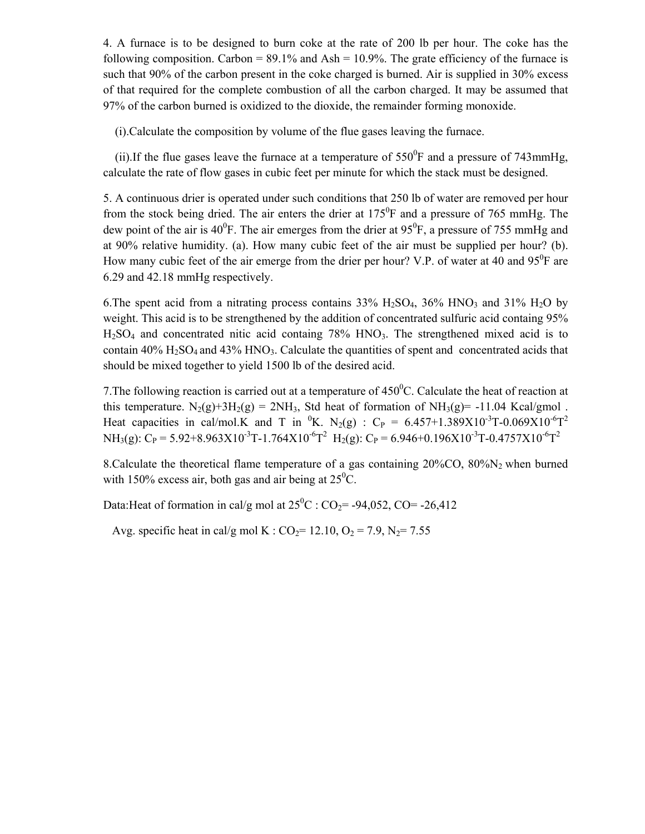4. A furnace is to be designed to burn coke at the rate of 200 lb per hour. The coke has the following composition. Carbon =  $89.1\%$  and Ash =  $10.9\%$ . The grate efficiency of the furnace is such that 90% of the carbon present in the coke charged is burned. Air is supplied in 30% excess of that required for the complete combustion of all the carbon charged. It may be assumed that 97% of the carbon burned is oxidized to the dioxide, the remainder forming monoxide.

(i).Calculate the composition by volume of the flue gases leaving the furnace.

(ii). If the flue gases leave the furnace at a temperature of  $550^{\circ}$ F and a pressure of 743mmHg, calculate the rate of flow gases in cubic feet per minute for which the stack must be designed.

5. A continuous drier is operated under such conditions that 250 lb of water are removed per hour from the stock being dried. The air enters the drier at  $175^{\circ}$ F and a pressure of 765 mmHg. The dew point of the air is 40<sup>0</sup>F. The air emerges from the drier at  $95^{\circ}$ F, a pressure of 755 mmHg and at 90% relative humidity. (a). How many cubic feet of the air must be supplied per hour? (b). How many cubic feet of the air emerge from the drier per hour? V.P. of water at 40 and  $95^{\circ}$ F are 6.29 and 42.18 mmHg respectively.

6. The spent acid from a nitrating process contains  $33\%$  H<sub>2</sub>SO<sub>4</sub>,  $36\%$  HNO<sub>3</sub> and  $31\%$  H<sub>2</sub>O by weight. This acid is to be strengthened by the addition of concentrated sulfuric acid containg 95% H<sub>2</sub>SO<sub>4</sub> and concentrated nitic acid containg 78% HNO<sub>3</sub>. The strengthened mixed acid is to contain  $40\%$  H<sub>2</sub>SO<sub>4</sub> and  $43\%$  HNO<sub>3</sub>. Calculate the quantities of spent and concentrated acids that should be mixed together to yield 1500 lb of the desired acid.

7. The following reaction is carried out at a temperature of  $450^{\circ}$ C. Calculate the heat of reaction at this temperature.  $N_2(g)+3H_2(g) = 2NH_3$ , Std heat of formation of  $NH_3(g) = -11.04$  Kcal/gmol. Heat capacities in cal/mol.K and T in <sup>0</sup>K. N<sub>2</sub>(g) : C<sub>P</sub> = 6.457+1.389X10<sup>-3</sup>T-0.069X10<sup>-6</sup>T<sup>2</sup> NH<sub>3</sub>(g): C<sub>P</sub> = 5.92+8.963X10<sup>-3</sup>T-1.764X10<sup>-6</sup>T<sup>2</sup> H<sub>2</sub>(g): C<sub>P</sub> = 6.946+0.196X10<sup>-3</sup>T-0.4757X10<sup>-6</sup>T<sup>2</sup>

8.Calculate the theoretical flame temperature of a gas containing 20%CO, 80%N2 when burned with 150% excess air, both gas and air being at  $25^{\circ}$ C.

Data:Heat of formation in cal/g mol at  $25^0$ C : CO<sub>2</sub>= -94,052, CO= -26,412

Avg. specific heat in cal/g mol K :  $CO_2 = 12.10$ ,  $O_2 = 7.9$ ,  $N_2 = 7.55$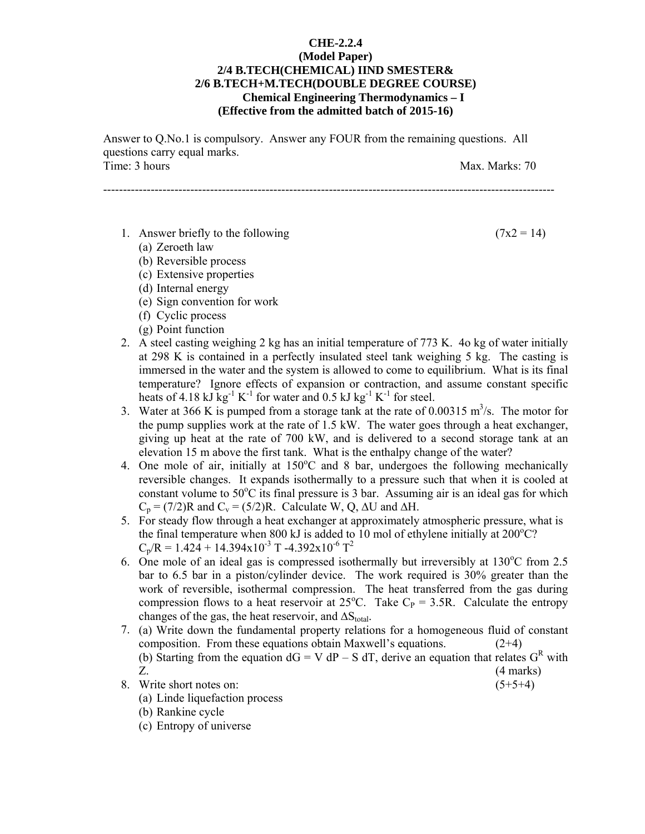## **CHE-2.2.4 (Model Paper) 2/4 B.TECH(CHEMICAL) IIND SMESTER& 2/6 B.TECH+M.TECH(DOUBLE DEGREE COURSE) Chemical Engineering Thermodynamics – I (Effective from the admitted batch of 2015-16)**

Answer to Q.No.1 is compulsory. Answer any FOUR from the remaining questions. All questions carry equal marks. Time: 3 hours Max. Marks: 70

------------------------------------------------------------------------------------------------------------------

1. Answer briefly to the following  $(7x2 = 14)$ 

(a) Zeroeth law

- (b) Reversible process
- (c) Extensive properties
- (d) Internal energy
- (e) Sign convention for work
- (f) Cyclic process
- (g) Point function
- 2. A steel casting weighing 2 kg has an initial temperature of 773 K. 4o kg of water initially at 298 K is contained in a perfectly insulated steel tank weighing 5 kg. The casting is immersed in the water and the system is allowed to come to equilibrium. What is its final temperature? Ignore effects of expansion or contraction, and assume constant specific heats of 4.18 kJ kg<sup>-1</sup> K<sup>-1</sup> for water and 0.5 kJ kg<sup>-1</sup> K<sup>-1</sup> for steel.
- 3. Water at 366 K is pumped from a storage tank at the rate of 0.00315  $\text{m}^3$ /s. The motor for the pump supplies work at the rate of 1.5 kW. The water goes through a heat exchanger, giving up heat at the rate of 700 kW, and is delivered to a second storage tank at an elevation 15 m above the first tank. What is the enthalpy change of the water?
- 4. One mole of air, initially at  $150^{\circ}$ C and 8 bar, undergoes the following mechanically reversible changes. It expands isothermally to a pressure such that when it is cooled at constant volume to  $50^{\circ}$ C its final pressure is 3 bar. Assuming air is an ideal gas for which  $C_p = (7/2)R$  and  $C_v = (5/2)R$ . Calculate W, Q, ∆U and ∆H.
- 5. For steady flow through a heat exchanger at approximately atmospheric pressure, what is the final temperature when 800 kJ is added to 10 mol of ethylene initially at  $200^{\circ}$ C?  $C_p/R = 1.424 + 14.394x10^{-3}$  T -4.392x10<sup>-6</sup> T<sup>2</sup>
- 6. One mole of an ideal gas is compressed isothermally but irreversibly at  $130^{\circ}$ C from 2.5 bar to 6.5 bar in a piston/cylinder device. The work required is 30% greater than the work of reversible, isothermal compression. The heat transferred from the gas during compression flows to a heat reservoir at  $25^{\circ}$ C. Take C<sub>P</sub> = 3.5R. Calculate the entropy changes of the gas, the heat reservoir, and  $\Delta S_{total}$ .
- 7. (a) Write down the fundamental property relations for a homogeneous fluid of constant composition. From these equations obtain Maxwell's equations. (2+4) (b) Starting from the equation  $dG = V dP - S dT$ , derive an equation that relates  $G<sup>R</sup>$  with Z. (4 marks)
- 8. Write short notes on:  $(5+5+4)$ 
	- (a) Linde liquefaction process
	- (b) Rankine cycle
	- (c) Entropy of universe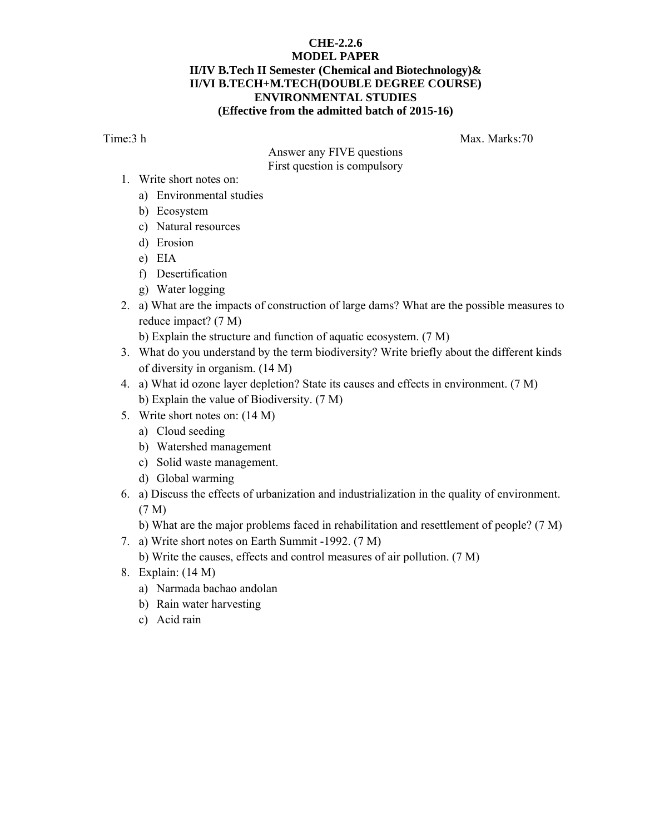## **CHE-2.2.6 MODEL PAPER II/IV B.Tech II Semester (Chemical and Biotechnology)& II/VI B.TECH+M.TECH(DOUBLE DEGREE COURSE) ENVIRONMENTAL STUDIES (Effective from the admitted batch of 2015-16)**

Time:3 h Max. Marks:70

Answer any FIVE questions First question is compulsory

- 1. Write short notes on:
	- a) Environmental studies
	- b) Ecosystem
	- c) Natural resources
	- d) Erosion
	- e) EIA
	- f) Desertification
	- g) Water logging
- 2. a) What are the impacts of construction of large dams? What are the possible measures to reduce impact? (7 M)

b) Explain the structure and function of aquatic ecosystem. (7 M)

- 3. What do you understand by the term biodiversity? Write briefly about the different kinds of diversity in organism. (14 M)
- 4. a) What id ozone layer depletion? State its causes and effects in environment. (7 M) b) Explain the value of Biodiversity. (7 M)
- 5. Write short notes on: (14 M)
	- a) Cloud seeding
	- b) Watershed management
	- c) Solid waste management.
	- d) Global warming
- 6. a) Discuss the effects of urbanization and industrialization in the quality of environment. (7 M)
	- b) What are the major problems faced in rehabilitation and resettlement of people? (7 M)
- 7. a) Write short notes on Earth Summit -1992. (7 M)
	- b) Write the causes, effects and control measures of air pollution. (7 M)
- 8. Explain: (14 M)
	- a) Narmada bachao andolan
	- b) Rain water harvesting
	- c) Acid rain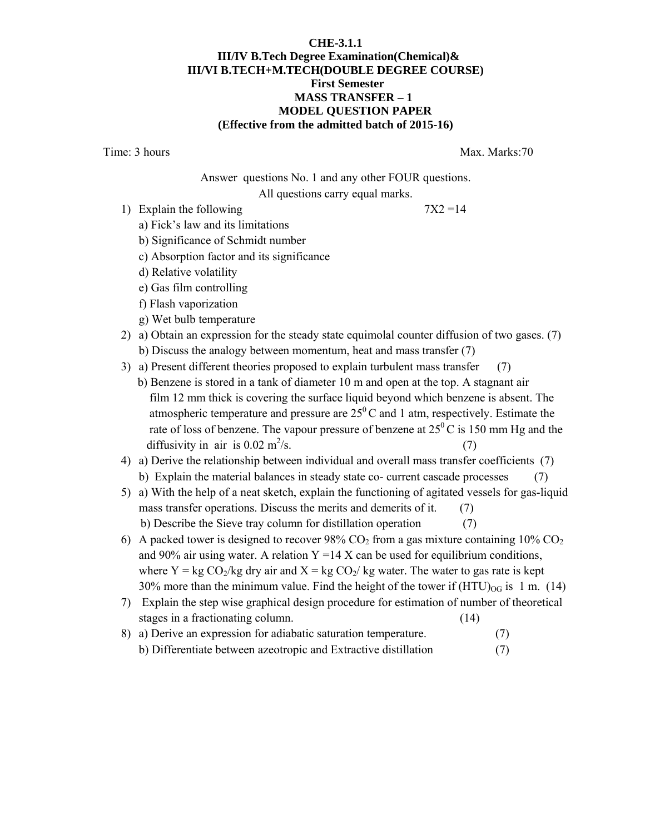#### **CHE-3.1.1 III/IV B.Tech Degree Examination(Chemical)& III/VI B.TECH+M.TECH(DOUBLE DEGREE COURSE) First Semester MASS TRANSFER – 1 MODEL QUESTION PAPER (Effective from the admitted batch of 2015-16)**

Time: 3 hours Max. Marks:70

Answer questions No. 1 and any other FOUR questions. All questions carry equal marks.

1) Explain the following  $7X2 = 14$ 

- a) Fick's law and its limitations
- b) Significance of Schmidt number
- c) Absorption factor and its significance
- d) Relative volatility
- e) Gas film controlling
- f) Flash vaporization
- g) Wet bulb temperature
- 2) a) Obtain an expression for the steady state equimolal counter diffusion of two gases. (7) b) Discuss the analogy between momentum, heat and mass transfer (7)
- 3) a) Present different theories proposed to explain turbulent mass transfer (7)
	- b) Benzene is stored in a tank of diameter 10 m and open at the top. A stagnant air film 12 mm thick is covering the surface liquid beyond which benzene is absent. The atmospheric temperature and pressure are  $25^{\circ}$ C and 1 atm, respectively. Estimate the rate of loss of benzene. The vapour pressure of benzene at  $25^{\circ}$ C is 150 mm Hg and the diffusivity in air is  $0.02 \text{ m}^2/\text{s}$ .  $\sqrt{s}$ . (7)

# 4) a) Derive the relationship between individual and overall mass transfer coefficients (7)

- b) Explain the material balances in steady state co- current cascade processes (7)
- 5) a) With the help of a neat sketch, explain the functioning of agitated vessels for gas-liquid mass transfer operations. Discuss the merits and demerits of it. (7) b) Describe the Sieve tray column for distillation operation (7)
- 6) A packed tower is designed to recover  $98\%$  CO<sub>2</sub> from a gas mixture containing  $10\%$  CO<sub>2</sub> and 90% air using water. A relation  $Y = 14$  X can be used for equilibrium conditions, where Y = kg  $CO_2/kg$  dry air and X = kg  $CO_2$ /kg water. The water to gas rate is kept 30% more than the minimum value. Find the height of the tower if  $(HTU)_{OG}$  is 1 m. (14)
- 7) Explain the step wise graphical design procedure for estimation of number of theoretical stages in a fractionating column. (14)
- 8) a) Derive an expression for adiabatic saturation temperature. (7) b) Differentiate between azeotropic and Extractive distillation (7)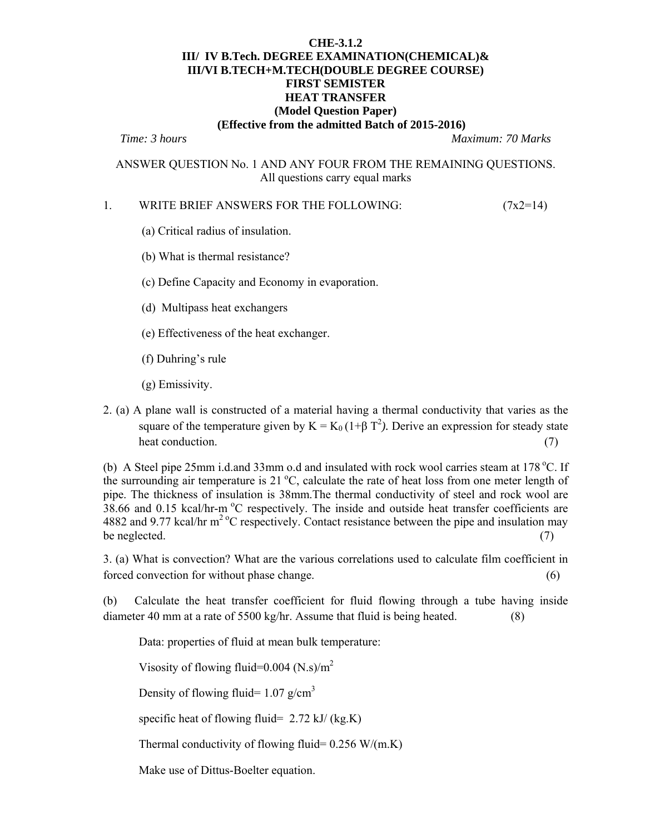#### **CHE-3.1.2 III/ IV B.Tech. DEGREE EXAMINATION(CHEMICAL)& III/VI B.TECH+M.TECH(DOUBLE DEGREE COURSE) FIRST SEMISTER HEAT TRANSFER (Model Question Paper) (Effective from the admitted Batch of 2015-2016)**

*Time: 3 hours Maximum: 70 Marks* 

ANSWER QUESTION No. 1 AND ANY FOUR FROM THE REMAINING QUESTIONS. All questions carry equal marks

#### 1. WRITE BRIEF ANSWERS FOR THE FOLLOWING: (7x2=14)

- (a) Critical radius of insulation.
- (b) What is thermal resistance?
- (c) Define Capacity and Economy in evaporation.
- (d) Multipass heat exchangers
- (e) Effectiveness of the heat exchanger.
- (f) Duhring's rule
- (g) Emissivity.
- 2. (a) A plane wall is constructed of a material having a thermal conductivity that varies as the square of the temperature given by  $K = K_0 (1+\beta T^2)$ . Derive an expression for steady state heat conduction. (7) (3) the conduction of  $\mathcal{L}$

(b) A Steel pipe 25mm i.d.and 33mm o.d and insulated with rock wool carries steam at  $178^{\circ}$ C. If the surrounding air temperature is 21  $^{\circ}$ C, calculate the rate of heat loss from one meter length of pipe. The thickness of insulation is 38mm.The thermal conductivity of steel and rock wool are 38.66 and 0.15 kcal/hr-m  $\rm{^{\circ}C}$  respectively. The inside and outside heat transfer coefficients are 4882 and 9.77 kcal/hr  $m^2$ <sup>o</sup>C respectively. Contact resistance between the pipe and insulation may be neglected.  $(7)$ 

3. (a) What is convection? What are the various correlations used to calculate film coefficient in forced convection for without phase change. (6)

(b) Calculate the heat transfer coefficient for fluid flowing through a tube having inside diameter 40 mm at a rate of 5500 kg/hr. Assume that fluid is being heated. (8)

Data: properties of fluid at mean bulk temperature:

Visosity of flowing fluid= $0.004$  (N.s)/m<sup>2</sup>

Density of flowing fluid=  $1.07$  g/cm<sup>3</sup>

specific heat of flowing fluid=  $2.72$  kJ/ (kg.K)

Thermal conductivity of flowing fluid=  $0.256$  W/(m.K)

Make use of Dittus-Boelter equation.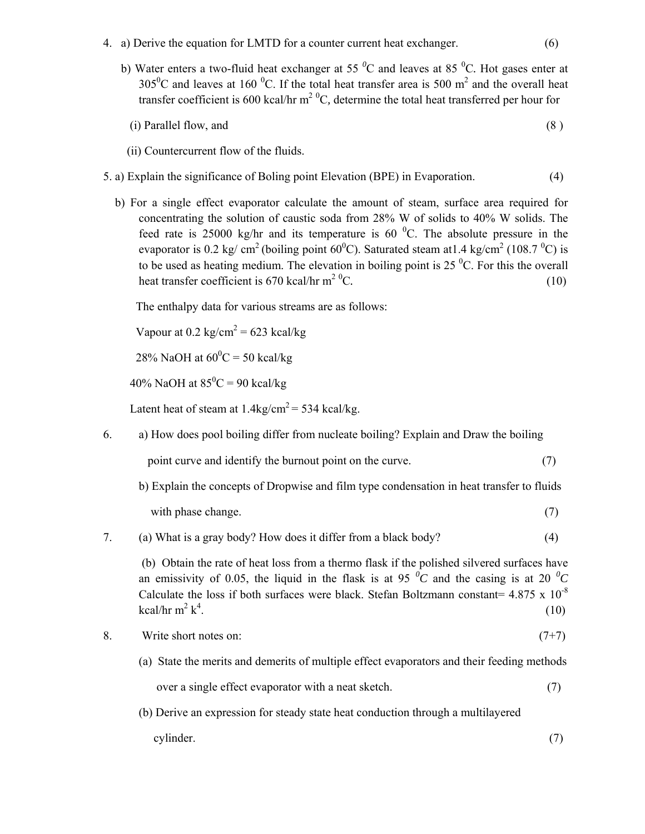- 4. a) Derive the equation for LMTD for a counter current heat exchanger. (6)
- b) Water enters a two-fluid heat exchanger at 55 <sup>o</sup>C and leaves at 85 <sup>o</sup>C. Hot gases enter at 305<sup>0</sup>C and leaves at 160<sup>0</sup>C. If the total heat transfer area is 500 m<sup>2</sup> and the overall heat transfer coefficient is 600 kcal/hr m<sup>2 o</sup>C, determine the total heat transferred per hour for

(i) Parallel flow, and 
$$
(8)
$$

- (ii) Countercurrent flow of the fluids.
- 5. a) Explain the significance of Boling point Elevation (BPE) in Evaporation. (4)
	- b) For a single effect evaporator calculate the amount of steam, surface area required for concentrating the solution of caustic soda from 28% W of solids to 40% W solids. The feed rate is 25000 kg/hr and its temperature is 60  $^{\circ}$ C. The absolute pressure in the evaporator is 0.2 kg/ cm<sup>2</sup> (boiling point 60<sup>0</sup>C). Saturated steam at 1.4 kg/cm<sup>2</sup> (108.7<sup>0</sup>C) is to be used as heating medium. The elevation in boiling point is  $25<sup>0</sup>C$ . For this the overall heat transfer coefficient is 670 kcal/hr  $m^2$  <sup>0</sup>C. C*.* (10)

The enthalpy data for various streams are as follows:

Vapour at  $0.2 \text{ kg/cm}^2 = 623 \text{ kcal/kg}$ 

28% NaOH at  $60^{\circ}$ C = 50 kcal/kg

40% NaOH at  $85^{\circ}$ C = 90 kcal/kg

Latent heat of steam at  $1.4 \text{kg/cm}^2 = 534 \text{ kcal/kg}$ .

6. a) How does pool boiling differ from nucleate boiling? Explain and Draw the boiling

point curve and identify the burnout point on the curve. (7)

 b) Explain the concepts of Dropwise and film type condensation in heat transfer to fluids with phase change. (7)

#### 7. (a) What is a gray body? How does it differ from a black body? (4)

 (b) Obtain the rate of heat loss from a thermo flask if the polished silvered surfaces have an emissivity of 0.05, the liquid in the flask is at 95  $^0C$  and the casing is at 20  $^0C$ Calculate the loss if both surfaces were black. Stefan Boltzmann constant=  $4.875 \times 10^{-8}$ kcal/hr m<sup>2</sup>  $k^4$ .  $(10)$ 

- 8. Write short notes on:  $(7+7)$ 
	- (a) State the merits and demerits of multiple effect evaporators and their feeding methods over a single effect evaporator with a neat sketch. (7)
	- (b) Derive an expression for steady state heat conduction through a multilayered
	- cylinder. (7)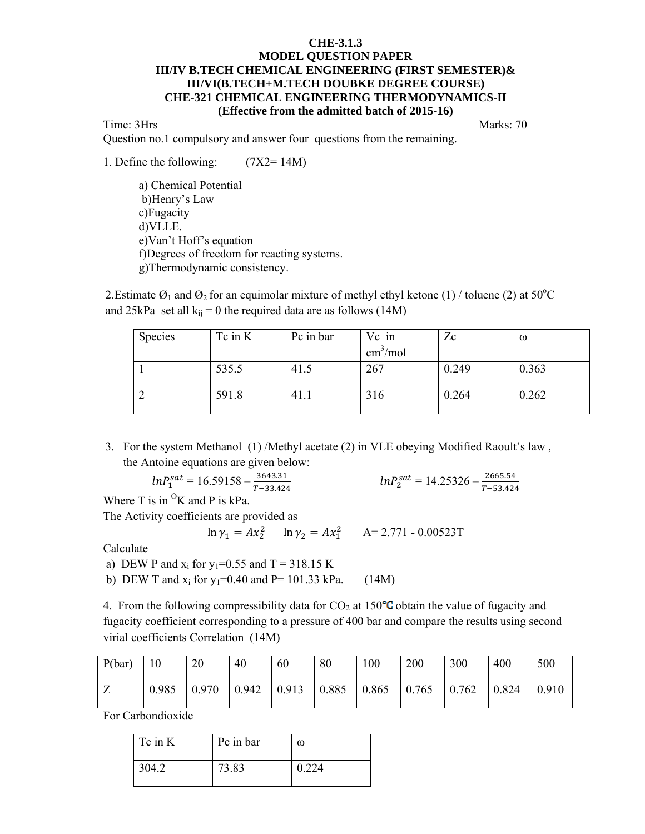#### **CHE-3.1.3 MODEL QUESTION PAPER III/IV B.TECH CHEMICAL ENGINEERING (FIRST SEMESTER)& III/VI(B.TECH+M.TECH DOUBKE DEGREE COURSE) CHE-321 CHEMICAL ENGINEERING THERMODYNAMICS-II (Effective from the admitted batch of 2015-16)**

Time: 3Hrs Marks: 70

Question no.1 compulsory and answer four questions from the remaining.

1. Define the following: (7X2= 14M)

 a) Chemical Potential b)Henry's Law c)Fugacity d)VLLE. e)Van't Hoff's equation f)Degrees of freedom for reacting systems. g)Thermodynamic consistency.

2. Estimate  $\mathcal{O}_1$  and  $\mathcal{O}_2$  for an equimolar mixture of methyl ethyl ketone (1) / toluene (2) at 50<sup>o</sup>C and 25kPa set all  $k_{ij} = 0$  the required data are as follows (14M)

| <b>Species</b> | $Tc$ in $K$ | Pc in bar | Vc in                    | Zc    | $\omega$ |
|----------------|-------------|-----------|--------------------------|-------|----------|
|                |             |           | $\text{cm}^3/\text{mol}$ |       |          |
|                | 535.5       | 41.5      | 267                      | 0.249 | 0.363    |
|                | 591.8       | 41.1      | 316                      | 0.264 | 0.262    |

3. For the system Methanol (1) /Methyl acetate (2) in VLE obeying Modified Raoult's law , the Antoine equations are given below:

$$
lnP_1^{sat} = 16.59158 - \frac{3643.31}{T - 33.424}
$$
  $lnP_2^s$ 

$$
ln P_2^{sat} = 14.25326 - \frac{2665.54}{T - 53.424}
$$

Where T is in  ${}^{0}$ K and P is kPa.

The Activity coefficients are provided as

 $\ln \gamma_1 = Ax_2^2$   $\ln \gamma_2 = Ax_1^2$   $A = 2.771 - 0.00523T$ 

Calculate

- a) DEW P and  $x_i$  for  $y_1=0.55$  and T = 318.15 K
- b) DEW T and  $x_i$  for  $y_1=0.40$  and P= 101.33 kPa. (14M)

4. From the following compressibility data for  $CO<sub>2</sub>$  at 150°C obtain the value of fugacity and fugacity coefficient corresponding to a pressure of 400 bar and compare the results using second virial coefficients Correlation (14M)

| P(bar) | 10    | 20    | 40    | 60    | 80            | 100   | 200   | 300   | 400   | 500   |
|--------|-------|-------|-------|-------|---------------|-------|-------|-------|-------|-------|
| Z      | 0.985 | 0.970 | 0.942 | 0.913 | $\vert$ 0.885 | 0.865 | 0.765 | 0.762 | 0.824 | 0.910 |

For Carbondioxide

| Tc in K | Pc in bar | ω     |
|---------|-----------|-------|
| 304.2   | 73.83     | 0.224 |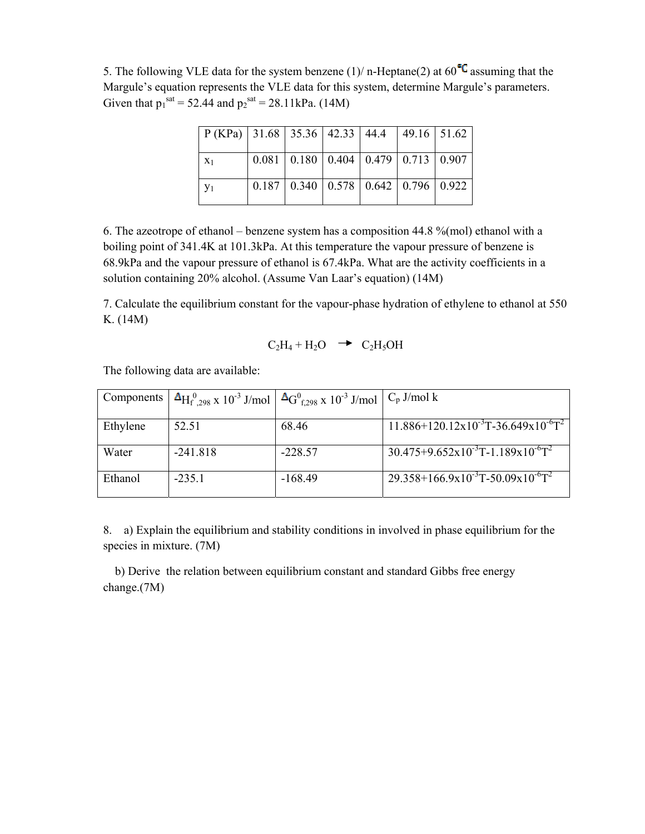5. The following VLE data for the system benzene (1)/ n-Heptane(2) at  $60^{\circ}$ G assuming that the Margule's equation represents the VLE data for this system, determine Margule's parameters. Given that  $p_1^{\text{sat}} = 52.44$  and  $p_2^{\text{sat}} = 28.11 \text{kPa}$ . (14M)

| $P (KPa)   31.68   35.36   42.33   44.4   49.16   51.62$ |  |  |                                                 |  |
|----------------------------------------------------------|--|--|-------------------------------------------------|--|
| $X_1$                                                    |  |  | $0.081$   0.180   0.404   0.479   0.713   0.907 |  |
| $y_1$                                                    |  |  | $0.187$   0.340   0.578   0.642   0.796   0.922 |  |

6. The azeotrope of ethanol – benzene system has a composition 44.8 %(mol) ethanol with a boiling point of 341.4K at 101.3kPa. At this temperature the vapour pressure of benzene is 68.9kPa and the vapour pressure of ethanol is 67.4kPa. What are the activity coefficients in a solution containing 20% alcohol. (Assume Van Laar's equation) (14M)

7. Calculate the equilibrium constant for the vapour-phase hydration of ethylene to ethanol at 550 K. (14M)

$$
C_2H_4 + H_2O \rightarrow C_2H_5OH
$$

The following data are available:

|          |            | Components $\Delta H_{f_{298}x}^{0}$ 10 <sup>-3</sup> J/mol $\Delta G_{f_{298}x}^{0}$ 10 <sup>-3</sup> J/mol $\vert C_{p}$ J/mol k |                                                              |
|----------|------------|------------------------------------------------------------------------------------------------------------------------------------|--------------------------------------------------------------|
| Ethylene | 52.51      | 68.46                                                                                                                              | $11.886+120.12x10^{-3}T-36.649x10^{-6}T^2$                   |
| Water    | $-241.818$ | $-228.57$                                                                                                                          | $30.475 + 9.652 \times 10^{-3} T - 1.189 \times 10^{-6} T^2$ |
| Ethanol  | $-235.1$   | $-168.49$                                                                                                                          | $29.358+166.9x10^{-3}T-50.09x10^{-6}T^2$                     |

8. a) Explain the equilibrium and stability conditions in involved in phase equilibrium for the species in mixture. (7M)

 b) Derive the relation between equilibrium constant and standard Gibbs free energy change.(7M)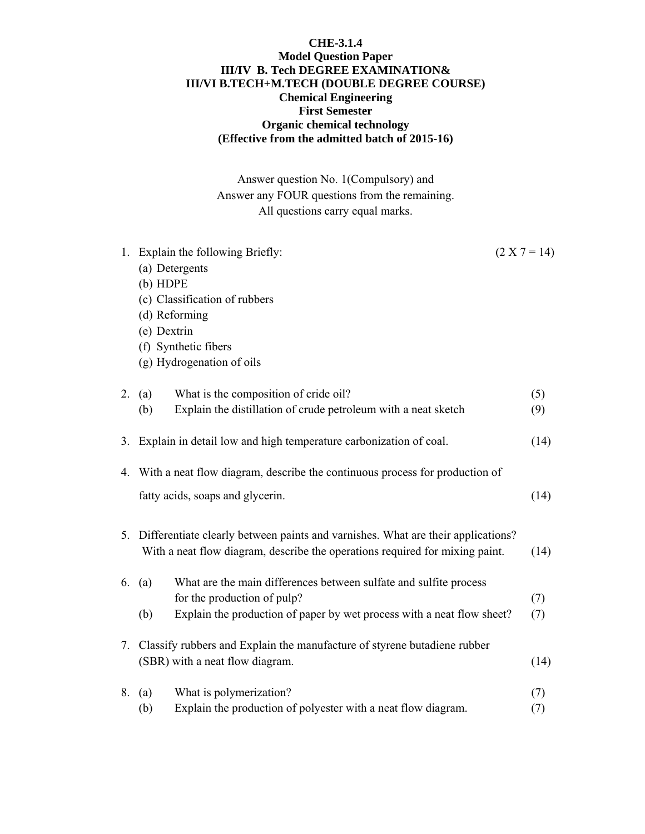## **CHE-3.1.4 Model Question Paper III/IV B. Tech DEGREE EXAMINATION& III/VI B.TECH+M.TECH (DOUBLE DEGREE COURSE) Chemical Engineering First Semester Organic chemical technology (Effective from the admitted batch of 2015-16)**

Answer question No. 1(Compulsory) and Answer any FOUR questions from the remaining. All questions carry equal marks.

| 1. | Explain the following Briefly:<br>$(2 X 7 = 14)$                                    |      |  |  |  |  |  |  |
|----|-------------------------------------------------------------------------------------|------|--|--|--|--|--|--|
|    | (a) Detergents                                                                      |      |  |  |  |  |  |  |
|    | $(b)$ HDPE                                                                          |      |  |  |  |  |  |  |
|    | (c) Classification of rubbers                                                       |      |  |  |  |  |  |  |
|    | (d) Reforming                                                                       |      |  |  |  |  |  |  |
|    | (e) Dextrin                                                                         |      |  |  |  |  |  |  |
|    | (f) Synthetic fibers                                                                |      |  |  |  |  |  |  |
|    | (g) Hydrogenation of oils                                                           |      |  |  |  |  |  |  |
| 2. | What is the composition of cride oil?<br>(a)                                        | (5)  |  |  |  |  |  |  |
|    | Explain the distillation of crude petroleum with a neat sketch<br>(b)               | (9)  |  |  |  |  |  |  |
|    | 3. Explain in detail low and high temperature carbonization of coal.                | (14) |  |  |  |  |  |  |
|    | 4. With a neat flow diagram, describe the continuous process for production of      |      |  |  |  |  |  |  |
|    | fatty acids, soaps and glycerin.                                                    | (14) |  |  |  |  |  |  |
|    | 5. Differentiate clearly between paints and varnishes. What are their applications? |      |  |  |  |  |  |  |
|    | With a neat flow diagram, describe the operations required for mixing paint.        | (14) |  |  |  |  |  |  |
|    | What are the main differences between sulfate and sulfite process<br>6. $(a)$       |      |  |  |  |  |  |  |
|    | for the production of pulp?                                                         | (7)  |  |  |  |  |  |  |
|    | Explain the production of paper by wet process with a neat flow sheet?<br>(b)       | (7)  |  |  |  |  |  |  |
|    | 7. Classify rubbers and Explain the manufacture of styrene butadiene rubber         |      |  |  |  |  |  |  |
|    | (SBR) with a neat flow diagram.                                                     | (14) |  |  |  |  |  |  |
| 8. | What is polymerization?<br>(a)                                                      | (7)  |  |  |  |  |  |  |
|    | Explain the production of polyester with a neat flow diagram.<br>(b)                | (7)  |  |  |  |  |  |  |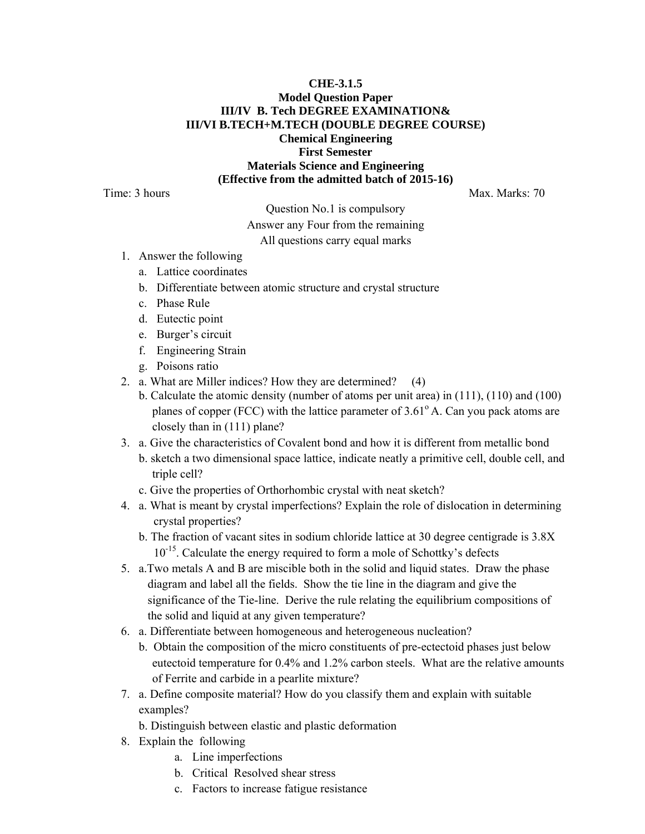## **CHE-3.1.5 Model Question Paper III/IV B. Tech DEGREE EXAMINATION& III/VI B.TECH+M.TECH (DOUBLE DEGREE COURSE) Chemical Engineering First Semester Materials Science and Engineering (Effective from the admitted batch of 2015-16)**

Time: 3 hours Max. Marks: 70

Question No.1 is compulsory

#### Answer any Four from the remaining

All questions carry equal marks

- 1. Answer the following
	- a. Lattice coordinates
	- b. Differentiate between atomic structure and crystal structure
	- c. Phase Rule
	- d. Eutectic point
	- e. Burger's circuit
	- f. Engineering Strain
	- g. Poisons ratio
- 2. a. What are Miller indices? How they are determined? (4)
	- b. Calculate the atomic density (number of atoms per unit area) in (111), (110) and (100) planes of copper (FCC) with the lattice parameter of  $3.61^\circ$  A. Can you pack atoms are closely than in (111) plane?
- 3. a. Give the characteristics of Covalent bond and how it is different from metallic bond
	- b. sketch a two dimensional space lattice, indicate neatly a primitive cell, double cell, and triple cell?
	- c. Give the properties of Orthorhombic crystal with neat sketch?
- 4. a. What is meant by crystal imperfections? Explain the role of dislocation in determining crystal properties?
	- b. The fraction of vacant sites in sodium chloride lattice at 30 degree centigrade is 3.8X 10<sup>-15</sup>. Calculate the energy required to form a mole of Schottky's defects
- 5. a.Two metals A and B are miscible both in the solid and liquid states. Draw the phase diagram and label all the fields. Show the tie line in the diagram and give the significance of the Tie-line. Derive the rule relating the equilibrium compositions of the solid and liquid at any given temperature?
- 6. a. Differentiate between homogeneous and heterogeneous nucleation?
	- b. Obtain the composition of the micro constituents of pre-ectectoid phases just below eutectoid temperature for 0.4% and 1.2% carbon steels. What are the relative amounts of Ferrite and carbide in a pearlite mixture?
- 7. a. Define composite material? How do you classify them and explain with suitable examples?
	- b. Distinguish between elastic and plastic deformation
- 8. Explain the following
	- a. Line imperfections
	- b. Critical Resolved shear stress
	- c. Factors to increase fatigue resistance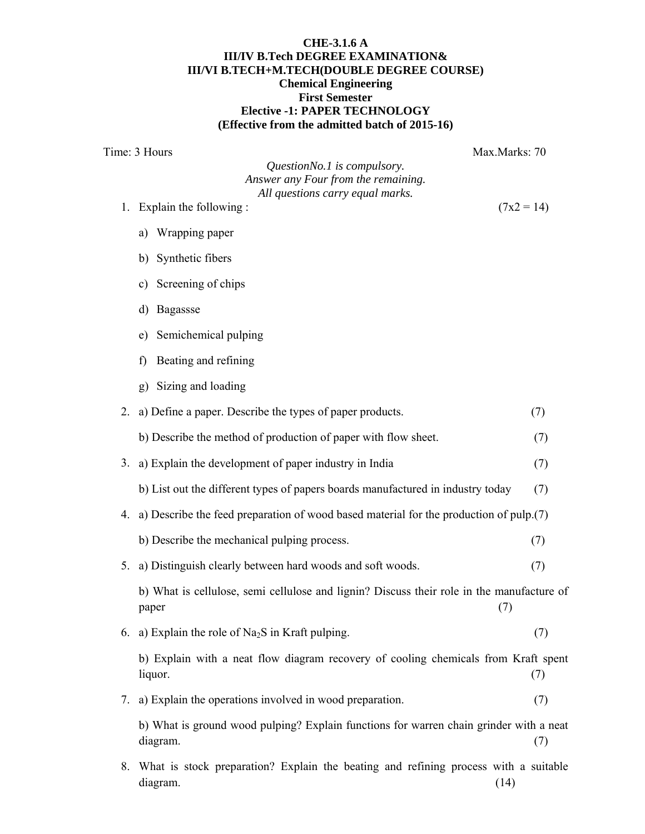### **CHE-3.1.6 A III/IV B.Tech DEGREE EXAMINATION& III/VI B.TECH+M.TECH(DOUBLE DEGREE COURSE) Chemical Engineering First Semester Elective -1: PAPER TECHNOLOGY (Effective from the admitted batch of 2015-16)**

Time: 3 Hours Max.Marks: 70 *QuestionNo.1 is compulsory. Answer any Four from the remaining. All questions carry equal marks.*  1. Explain the following :  $(7x2 = 14)$ a) Wrapping paper b) Synthetic fibers c) Screening of chips d) Bagassse e) Semichemical pulping f) Beating and refining g) Sizing and loading 2. a) Define a paper. Describe the types of paper products. (7) b) Describe the method of production of paper with flow sheet. (7) 3. a) Explain the development of paper industry in India (7) b) List out the different types of papers boards manufactured in industry today (7) 4. a) Describe the feed preparation of wood based material for the production of pulp.(7) b) Describe the mechanical pulping process. (7) 5. a) Distinguish clearly between hard woods and soft woods. (7) b) What is cellulose, semi cellulose and lignin? Discuss their role in the manufacture of  $paper$  (7) 6. a) Explain the role of Na<sub>2</sub>S in Kraft pulping.  $(7)$ b) Explain with a neat flow diagram recovery of cooling chemicals from Kraft spent  $liquor.$  (7) 7. a) Explain the operations involved in wood preparation. (7) b) What is ground wood pulping? Explain functions for warren chain grinder with a neat diagram. (7) 8. What is stock preparation? Explain the beating and refining process with a suitable diagram. (14)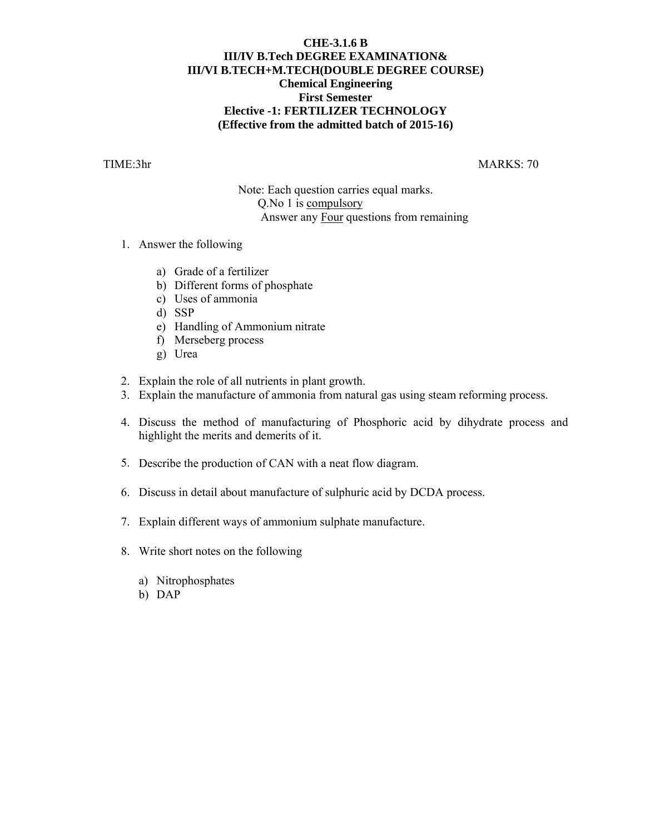## **CHE-3.1.6 B III/IV B.Tech DEGREE EXAMINATION& III/VI B.TECH+M.TECH(DOUBLE DEGREE COURSE) Chemical Engineering First Semester Elective -1: FERTILIZER TECHNOLOGY (Effective from the admitted batch of 2015-16)**

TIME:3hr MARKS: 70

Note: Each question carries equal marks. Q.No 1 is compulsory Answer any Four questions from remaining

- 1. Answer the following
	- a) Grade of a fertilizer
	- b) Different forms of phosphate
	- c) Uses of ammonia
	- d) SSP
	- e) Handling of Ammonium nitrate
	- f) Merseberg process
	- g) Urea
- 2. Explain the role of all nutrients in plant growth.
- 3. Explain the manufacture of ammonia from natural gas using steam reforming process.
- 4. Discuss the method of manufacturing of Phosphoric acid by dihydrate process and highlight the merits and demerits of it.
- 5. Describe the production of CAN with a neat flow diagram.
- 6. Discuss in detail about manufacture of sulphuric acid by DCDA process.
- 7. Explain different ways of ammonium sulphate manufacture.
- 8. Write short notes on the following
	- a) Nitrophosphates
	- b) DAP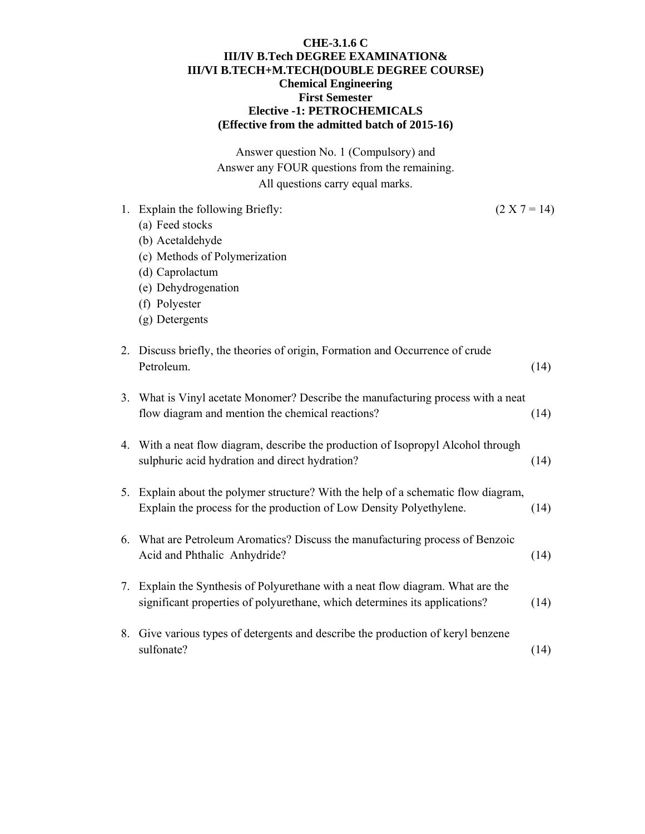## **CHE-3.1.6 C III/IV B.Tech DEGREE EXAMINATION& III/VI B.TECH+M.TECH(DOUBLE DEGREE COURSE) Chemical Engineering First Semester Elective -1: PETROCHEMICALS (Effective from the admitted batch of 2015-16)**

Answer question No. 1 (Compulsory) and Answer any FOUR questions from the remaining. All questions carry equal marks.

|    | 1. Explain the following Briefly:                                                                                                                             | $(2 X 7 = 14)$ |      |
|----|---------------------------------------------------------------------------------------------------------------------------------------------------------------|----------------|------|
|    | (a) Feed stocks                                                                                                                                               |                |      |
|    | (b) Acetaldehyde                                                                                                                                              |                |      |
|    | (c) Methods of Polymerization                                                                                                                                 |                |      |
|    | (d) Caprolactum                                                                                                                                               |                |      |
|    | (e) Dehydrogenation                                                                                                                                           |                |      |
|    | (f) Polyester                                                                                                                                                 |                |      |
|    | (g) Detergents                                                                                                                                                |                |      |
|    | 2. Discuss briefly, the theories of origin, Formation and Occurrence of crude<br>Petroleum.                                                                   |                | (14) |
|    | 3. What is Vinyl acetate Monomer? Describe the manufacturing process with a neat<br>flow diagram and mention the chemical reactions?                          |                | (14) |
|    | 4. With a neat flow diagram, describe the production of Isopropyl Alcohol through<br>sulphuric acid hydration and direct hydration?                           |                | (14) |
|    | 5. Explain about the polymer structure? With the help of a schematic flow diagram,<br>Explain the process for the production of Low Density Polyethylene.     |                | (14) |
| 6. | What are Petroleum Aromatics? Discuss the manufacturing process of Benzoic<br>Acid and Phthalic Anhydride?                                                    |                | (14) |
|    | 7. Explain the Synthesis of Polyurethane with a neat flow diagram. What are the<br>significant properties of polyurethane, which determines its applications? |                | (14) |
| 8. | Give various types of detergents and describe the production of keryl benzene<br>sulfonate?                                                                   |                | (14) |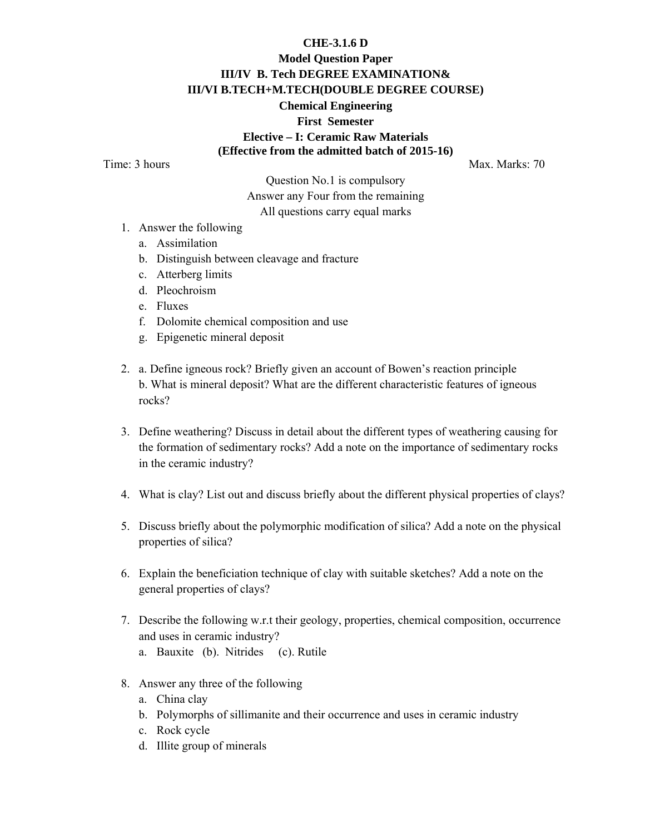#### **CHE-3.1.6 D**

# **Model Question Paper III/IV B. Tech DEGREE EXAMINATION& III/VI B.TECH+M.TECH(DOUBLE DEGREE COURSE) Chemical Engineering First Semester Elective – I: Ceramic Raw Materials (Effective from the admitted batch of 2015-16)**

Time: 3 hours Max. Marks: 70

Question No.1 is compulsory Answer any Four from the remaining All questions carry equal marks

- 1. Answer the following
	- a. Assimilation
	- b. Distinguish between cleavage and fracture
	- c. Atterberg limits
	- d. Pleochroism
	- e. Fluxes
	- f. Dolomite chemical composition and use
	- g. Epigenetic mineral deposit
- 2. a. Define igneous rock? Briefly given an account of Bowen's reaction principle b. What is mineral deposit? What are the different characteristic features of igneous rocks?
- 3. Define weathering? Discuss in detail about the different types of weathering causing for the formation of sedimentary rocks? Add a note on the importance of sedimentary rocks in the ceramic industry?
- 4. What is clay? List out and discuss briefly about the different physical properties of clays?
- 5. Discuss briefly about the polymorphic modification of silica? Add a note on the physical properties of silica?
- 6. Explain the beneficiation technique of clay with suitable sketches? Add a note on the general properties of clays?
- 7. Describe the following w.r.t their geology, properties, chemical composition, occurrence and uses in ceramic industry?
	- a. Bauxite (b). Nitrides (c). Rutile
- 8. Answer any three of the following
	- a. China clay
	- b. Polymorphs of sillimanite and their occurrence and uses in ceramic industry
	- c. Rock cycle
	- d. Illite group of minerals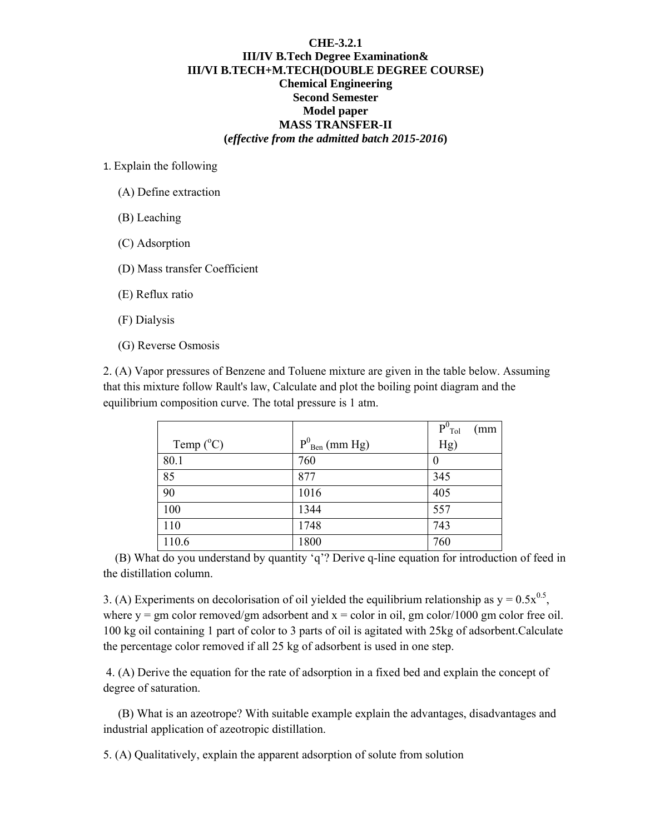#### **CHE-3.2.1 III/IV B.Tech Degree Examination& III/VI B.TECH+M.TECH(DOUBLE DEGREE COURSE) Chemical Engineering Second Semester Model paper MASS TRANSFER-II (***effective from the admitted batch 2015-2016***)**

1. Explain the following

- (A) Define extraction
- (B) Leaching
- (C) Adsorption
- (D) Mass transfer Coefficient

(E) Reflux ratio

- (F) Dialysis
- (G) Reverse Osmosis

2. (A) Vapor pressures of Benzene and Toluene mixture are given in the table below. Assuming that this mixture follow Rault's law, Calculate and plot the boiling point diagram and the equilibrium composition curve. The total pressure is 1 atm.

|                    |                               | $P^0$ <sub>Tol</sub><br>(mm) |
|--------------------|-------------------------------|------------------------------|
| Temp $(^{\circ}C)$ | $P^{0}_{\text{ Ben}}$ (mm Hg) | Hg)                          |
| 80.1               | 760                           | 0                            |
| 85                 | 877                           | 345                          |
| 90                 | 1016                          | 405                          |
| 100                | 1344                          | 557                          |
| 110                | 1748                          | 743                          |
| 110.6              | 1800                          | 760                          |

 (B) What do you understand by quantity 'q'? Derive q-line equation for introduction of feed in the distillation column.

3. (A) Experiments on decolorisation of oil yielded the equilibrium relationship as  $y = 0.5x^{0.5}$ , where  $y = gm$  color removed/gm adsorbent and  $x = color$  in oil, gm color/1000 gm color free oil. 100 kg oil containing 1 part of color to 3 parts of oil is agitated with 25kg of adsorbent.Calculate the percentage color removed if all 25 kg of adsorbent is used in one step.

 4. (A) Derive the equation for the rate of adsorption in a fixed bed and explain the concept of degree of saturation.

 (B) What is an azeotrope? With suitable example explain the advantages, disadvantages and industrial application of azeotropic distillation.

5. (A) Qualitatively, explain the apparent adsorption of solute from solution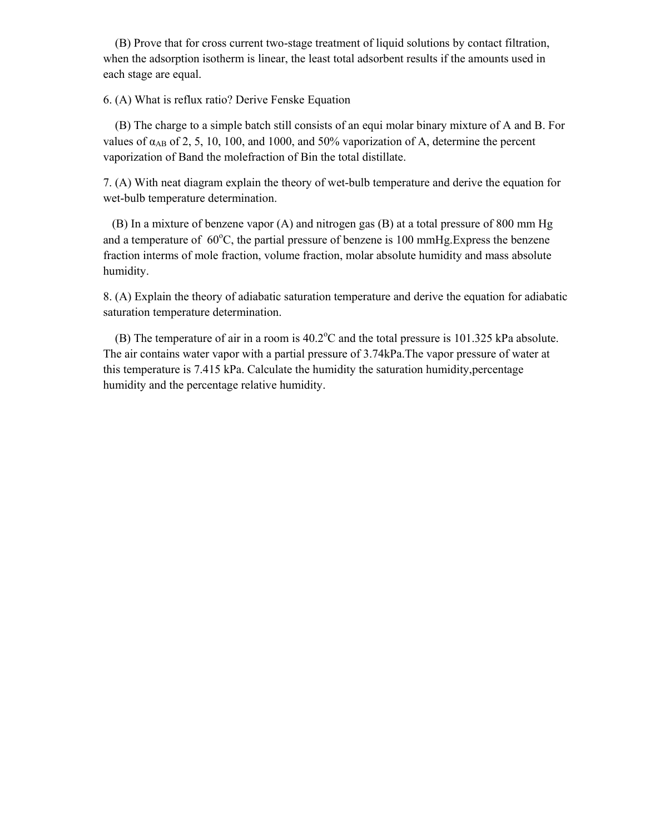(B) Prove that for cross current two-stage treatment of liquid solutions by contact filtration, when the adsorption isotherm is linear, the least total adsorbent results if the amounts used in each stage are equal.

6. (A) What is reflux ratio? Derive Fenske Equation

 (B) The charge to a simple batch still consists of an equi molar binary mixture of A and B. For values of  $\alpha_{AB}$  of 2, 5, 10, 100, and 1000, and 50% vaporization of A, determine the percent vaporization of Band the molefraction of Bin the total distillate.

7. (A) With neat diagram explain the theory of wet-bulb temperature and derive the equation for wet-bulb temperature determination.

 (B) In a mixture of benzene vapor (A) and nitrogen gas (B) at a total pressure of 800 mm Hg and a temperature of  $60^{\circ}$ C, the partial pressure of benzene is 100 mmHg. Express the benzene fraction interms of mole fraction, volume fraction, molar absolute humidity and mass absolute humidity.

8. (A) Explain the theory of adiabatic saturation temperature and derive the equation for adiabatic saturation temperature determination.

(B) The temperature of air in a room is  $40.2^{\circ}$ C and the total pressure is 101.325 kPa absolute. The air contains water vapor with a partial pressure of 3.74kPa.The vapor pressure of water at this temperature is 7.415 kPa. Calculate the humidity the saturation humidity,percentage humidity and the percentage relative humidity.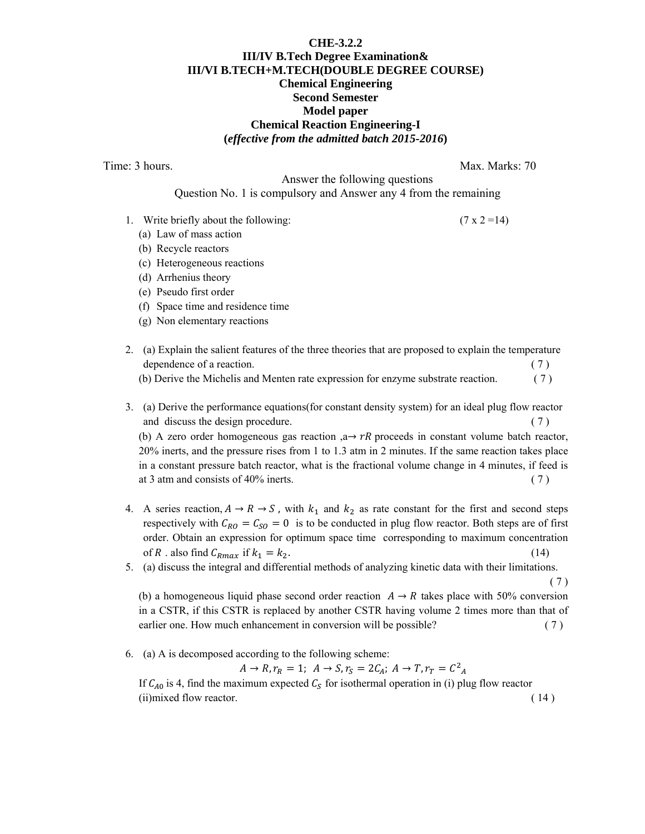#### **CHE-3.2.2 III/IV B.Tech Degree Examination& III/VI B.TECH+M.TECH(DOUBLE DEGREE COURSE) Chemical Engineering Second Semester Model paper Chemical Reaction Engineering-I (***effective from the admitted batch 2015-2016***)**

Time: 3 hours. Max. Marks: 70

( 7 )

 Answer the following questions Question No. 1 is compulsory and Answer any 4 from the remaining

- 1. Write briefly about the following:  $(7 \times 2 = 14)$ 
	- (a) Law of mass action
	- (b) Recycle reactors
	- (c) Heterogeneous reactions
	- (d) Arrhenius theory
	- (e) Pseudo first order
	- (f) Space time and residence time
	- (g) Non elementary reactions
- 2. (a) Explain the salient features of the three theories that are proposed to explain the temperature dependence of a reaction. (7) (b) Derive the Michelis and Menten rate expression for enzyme substrate reaction. ( 7 )
- 3. (a) Derive the performance equations(for constant density system) for an ideal plug flow reactor and discuss the design procedure. (7) (b) A zero order homogeneous gas reaction ,a  $\rightarrow$  rR proceeds in constant volume batch reactor, 20% inerts, and the pressure rises from 1 to 1.3 atm in 2 minutes. If the same reaction takes place in a constant pressure batch reactor, what is the fractional volume change in 4 minutes, if feed is at 3 atm and consists of 40% inerts.  $(7)$
- 4. A series reaction,  $A \rightarrow R \rightarrow S$ , with  $k_1$  and  $k_2$  as rate constant for the first and second steps respectively with  $C_{RO} = C_{SO} = 0$  is to be conducted in plug flow reactor. Both steps are of first order. Obtain an expression for optimum space time corresponding to maximum concentration of R . also find  $C_{Rmax}$  if  $k_1 = k_2$ . (14)
- 5. (a) discuss the integral and differential methods of analyzing kinetic data with their limitations.

(b) a homogeneous liquid phase second order reaction  $A \rightarrow R$  takes place with 50% conversion in a CSTR, if this CSTR is replaced by another CSTR having volume 2 times more than that of earlier one. How much enhancement in conversion will be possible? (7)

6. (a) A is decomposed according to the following scheme:

 $A \to R, r_R = 1; A \to S, r_S = 2C_A; A \to T, r_T = C^2_A$ 

If  $C_{A0}$  is 4, find the maximum expected  $C_S$  for isothermal operation in (i) plug flow reactor  $(i)$  mixed flow reactor.  $(14)$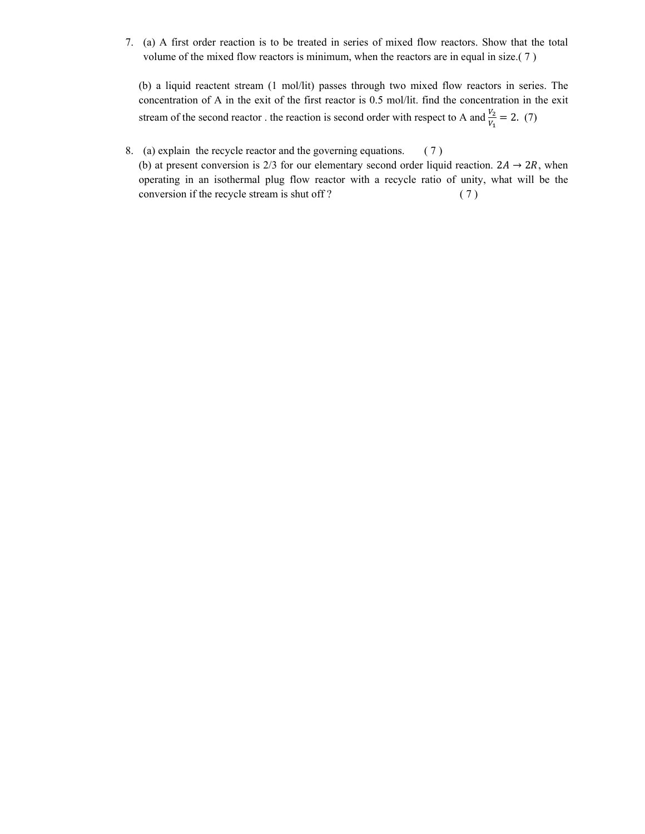7. (a) A first order reaction is to be treated in series of mixed flow reactors. Show that the total volume of the mixed flow reactors is minimum, when the reactors are in equal in size.( 7 )

(b) a liquid reactent stream (1 mol/lit) passes through two mixed flow reactors in series. The concentration of A in the exit of the first reactor is 0.5 mol/lit. find the concentration in the exit stream of the second reactor . the reaction is second order with respect to A and  $\frac{V_2}{V_1} = 2$ . (7)

8. (a) explain the recycle reactor and the governing equations. ( 7 ) (b) at present conversion is 2/3 for our elementary second order liquid reaction.  $2A \rightarrow 2R$ , when operating in an isothermal plug flow reactor with a recycle ratio of unity, what will be the conversion if the recycle stream is shut off ? (7)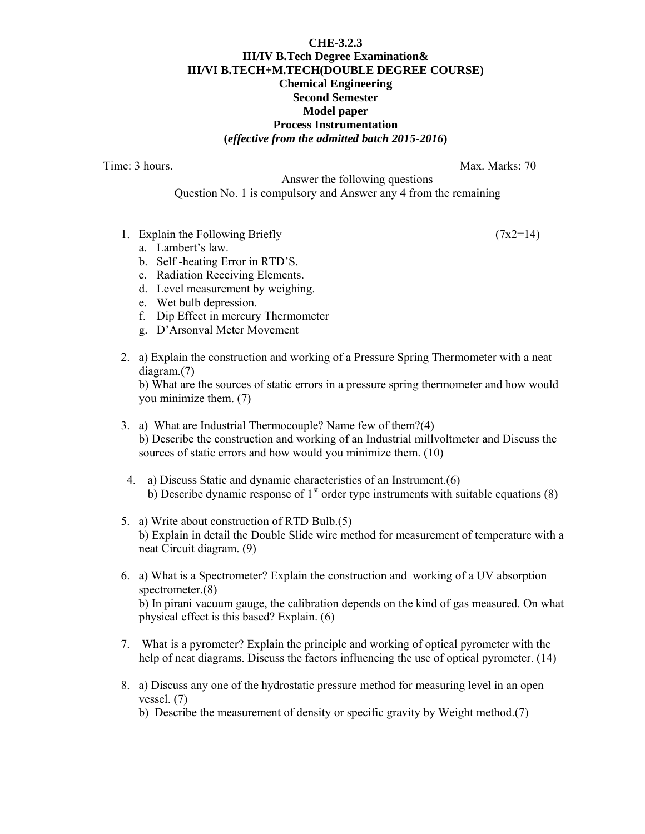## **CHE-3.2.3 III/IV B.Tech Degree Examination& III/VI B.TECH+M.TECH(DOUBLE DEGREE COURSE) Chemical Engineering Second Semester Model paper Process Instrumentation (***effective from the admitted batch 2015-2016***)**

Time: 3 hours. Max. Marks: 70

 Answer the following questions Question No. 1 is compulsory and Answer any 4 from the remaining

- 1. Explain the Following Briefly  $(7x2=14)$ 
	- a. Lambert's law.
	- b. Self -heating Error in RTD'S.
	- c. Radiation Receiving Elements.
	- d. Level measurement by weighing.
	- e. Wet bulb depression.
	- f. Dip Effect in mercury Thermometer
	- g. D'Arsonval Meter Movement
- 2. a) Explain the construction and working of a Pressure Spring Thermometer with a neat diagram.(7)

b) What are the sources of static errors in a pressure spring thermometer and how would you minimize them. (7)

- 3. a) What are Industrial Thermocouple? Name few of them?(4) b) Describe the construction and working of an Industrial millvoltmeter and Discuss the sources of static errors and how would you minimize them. (10)
- 4. a) Discuss Static and dynamic characteristics of an Instrument.(6) b) Describe dynamic response of  $1<sup>st</sup>$  order type instruments with suitable equations (8)
- 5. a) Write about construction of RTD Bulb.(5) b) Explain in detail the Double Slide wire method for measurement of temperature with a neat Circuit diagram. (9)
- 6. a) What is a Spectrometer? Explain the construction and working of a UV absorption spectrometer.(8) b) In pirani vacuum gauge, the calibration depends on the kind of gas measured. On what physical effect is this based? Explain. (6)
- 7. What is a pyrometer? Explain the principle and working of optical pyrometer with the help of neat diagrams. Discuss the factors influencing the use of optical pyrometer. (14)
- 8. a) Discuss any one of the hydrostatic pressure method for measuring level in an open vessel. (7)

b) Describe the measurement of density or specific gravity by Weight method.(7)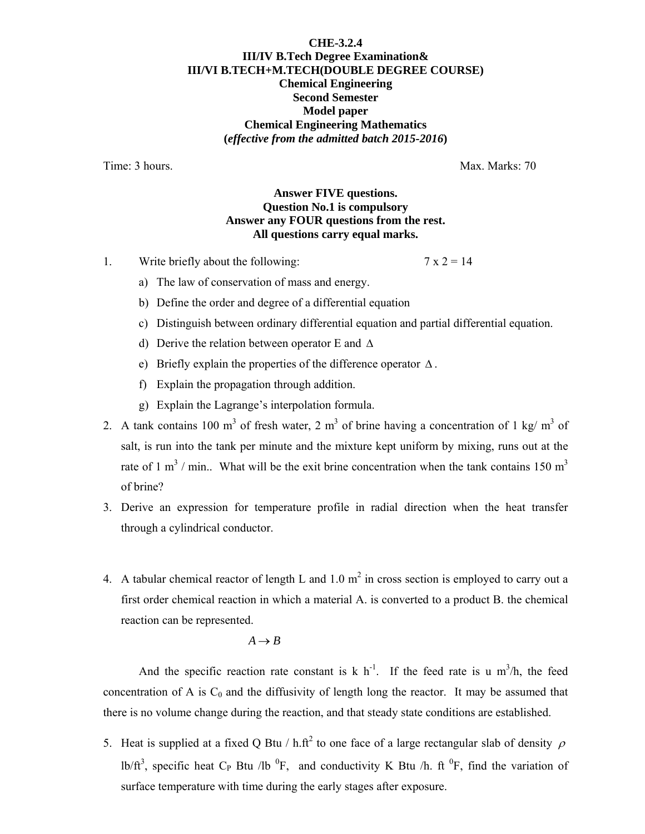## **CHE-3.2.4 III/IV B.Tech Degree Examination& III/VI B.TECH+M.TECH(DOUBLE DEGREE COURSE) Chemical Engineering Second Semester Model paper Chemical Engineering Mathematics (***effective from the admitted batch 2015-2016***)**

Time: 3 hours. Now the state of the state of the Max. Marks: 70

## **Answer FIVE questions. Question No.1 is compulsory Answer any FOUR questions from the rest. All questions carry equal marks.**

1. Write briefly about the following:  $7 \times 2 = 14$ 

- a) The law of conservation of mass and energy.
- b) Define the order and degree of a differential equation
- c) Distinguish between ordinary differential equation and partial differential equation.
- d) Derive the relation between operator E and ∆
- e) Briefly explain the properties of the difference operator ∆ .
- f) Explain the propagation through addition.
- g) Explain the Lagrange's interpolation formula.
- 2. A tank contains 100 m<sup>3</sup> of fresh water, 2 m<sup>3</sup> of brine having a concentration of 1 kg/ m<sup>3</sup> of salt, is run into the tank per minute and the mixture kept uniform by mixing, runs out at the rate of 1 m<sup>3</sup> / min.. What will be the exit brine concentration when the tank contains 150 m<sup>3</sup> of brine?
- 3. Derive an expression for temperature profile in radial direction when the heat transfer through a cylindrical conductor.
- 4. A tabular chemical reactor of length L and 1.0  $m^2$  in cross section is employed to carry out a first order chemical reaction in which a material A. is converted to a product B. the chemical reaction can be represented.

$$
A \to B
$$

And the specific reaction rate constant is k  $h^{-1}$ . If the feed rate is u m<sup>3</sup>/h, the feed concentration of A is  $C_0$  and the diffusivity of length long the reactor. It may be assumed that there is no volume change during the reaction, and that steady state conditions are established.

5. Heat is supplied at a fixed Q Btu / h.ft<sup>2</sup> to one face of a large rectangular slab of density  $\rho$ lb/ft<sup>3</sup>, specific heat C<sub>P</sub> Btu /lb<sup>0</sup>F, and conductivity K Btu /h. ft<sup>0</sup>F, find the variation of surface temperature with time during the early stages after exposure.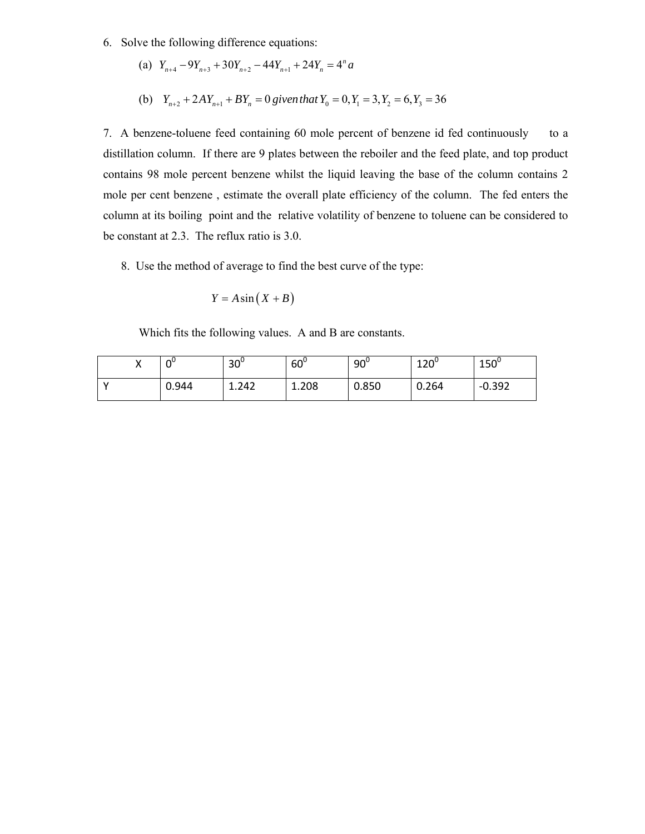- 6. Solve the following difference equations:
	- (a)  $Y_{n+4} 9Y_{n+3} + 30Y_{n+2} 44Y_{n+1} + 24Y_n = 4^n a$
	- (b)  $Y_{n+2} + 2AY_{n+1} + BY_n = 0$  given that  $Y_0 = 0, Y_1 = 3, Y_2 = 6, Y_3 = 36$

7. A benzene-toluene feed containing 60 mole percent of benzene id fed continuously to a distillation column. If there are 9 plates between the reboiler and the feed plate, and top product contains 98 mole percent benzene whilst the liquid leaving the base of the column contains 2 mole per cent benzene , estimate the overall plate efficiency of the column. The fed enters the column at its boiling point and the relative volatility of benzene to toluene can be considered to be constant at 2.3. The reflux ratio is 3.0.

8. Use the method of average to find the best curve of the type:

$$
Y = A\sin\left(X + B\right)
$$

Which fits the following values. A and B are constants.

| ΩU    | $30^{\circ}$ | $60^{\circ}$ | $90^{\circ}$ | 12 $\sim$<br>ᅭᆇᇦ | $150^\circ$ |
|-------|--------------|--------------|--------------|------------------|-------------|
| 0.944 | 1.242        | 1.208        | 0.850        | 0.264            | $-0.392$    |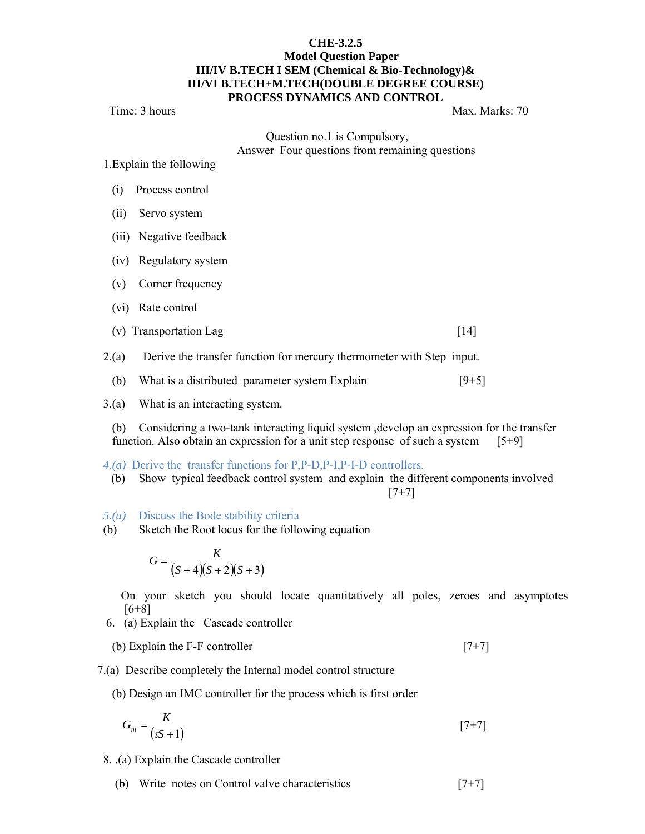#### **CHE-3.2.5**

#### **Model Question Paper III/IV B.TECH I SEM (Chemical & Bio-Technology)& III/VI B.TECH+M.TECH(DOUBLE DEGREE COURSE) PROCESS DYNAMICS AND CONTROL**

#### Time: 3 hours Max. Marks: 70

 Question no.1 is Compulsory, Answer Four questions from remaining questions

1.Explain the following

- (i) Process control
- (ii) Servo system
- (iii) Negative feedback
- (iv) Regulatory system
- (v) Corner frequency
- (vi) Rate control
- (v) Transportation Lag  $[14]$
- 2.(a) Derive the transfer function for mercury thermometer with Step input.
	- (b) What is a distributed parameter system Explain  $[9+5]$
- 3.(a) What is an interacting system.

 (b) Considering a two-tank interacting liquid system ,develop an expression for the transfer function. Also obtain an expression for a unit step response of such a system [5+9]

- *4.(a)* Derive the transfer functions for P,P-D,P-I,P-I-D controllers.
- (b) Show typical feedback control system and explain the different components involved  $[7+7]$
- *5.(a)* Discuss the Bode stability criteria
- (b) Sketch the Root locus for the following equation

$$
G = \frac{K}{(S+4)(S+2)(S+3)}
$$

 On your sketch you should locate quantitatively all poles, zeroes and asymptotes  $[6+8]$ 

- 6. (a) Explain the Cascade controller
- (b) Explain the F-F controller  $[7+7]$
- 7.(a) Describe completely the Internal model control structure
	- (b) Design an IMC controller for the process which is first order

$$
G_m = \frac{K}{(\tau S + 1)}\tag{7+7}
$$

- 8. .(a) Explain the Cascade controller
	- (b) Write notes on Control valve characteristics [7+7]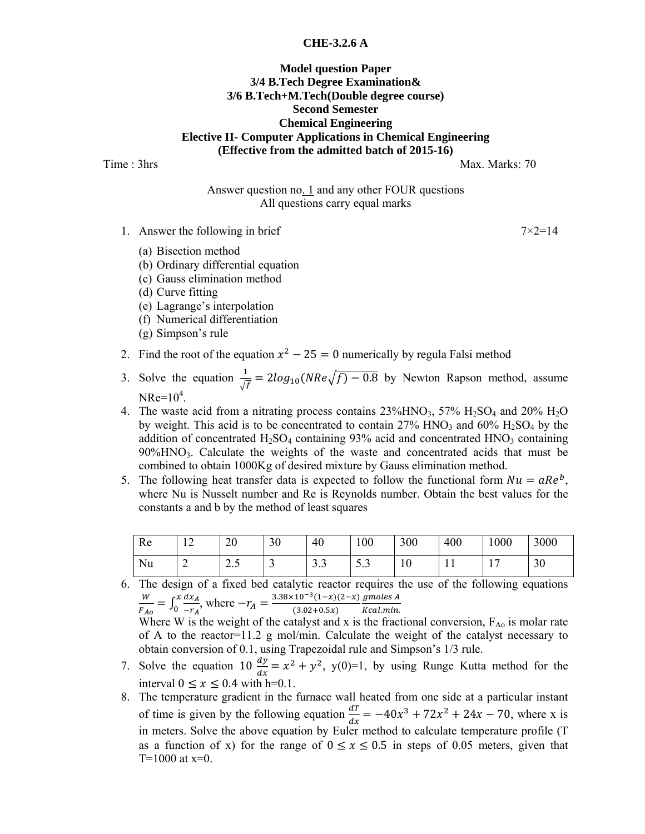#### **CHE-3.2.6 A**

#### **Model question Paper 3/4 B.Tech Degree Examination& 3/6 B.Tech+M.Tech(Double degree course) Second Semester Chemical Engineering Elective II- Computer Applications in Chemical Engineering (Effective from the admitted batch of 2015-16)**

Time : 3hrs Max. Marks: 70

Answer question no. 1 and any other FOUR questions All questions carry equal marks

1. Answer the following in brief  $7\times2=14$ 

- (a) Bisection method
- (b) Ordinary differential equation
- (c) Gauss elimination method
- (d) Curve fitting
- (e) Lagrange's interpolation
- (f) Numerical differentiation
- (g) Simpson's rule
- 2. Find the root of the equation  $x^2 25 = 0$  numerically by regula Falsi method
- 3. Solve the equation  $\frac{1}{\sqrt{f}} = 2\log_{10}(NRe\sqrt{f}) 0.8$  by Newton Rapson method, assume  $NRe = 10^4$ .
- 4. The waste acid from a nitrating process contains  $23\%$ HNO<sub>3</sub>,  $57\%$  H<sub>2</sub>SO<sub>4</sub> and  $20\%$  H<sub>2</sub>O by weight. This acid is to be concentrated to contain  $27\%$  HNO<sub>3</sub> and  $60\%$  H<sub>2</sub>SO<sub>4</sub> by the addition of concentrated  $H_2SO_4$  containing 93% acid and concentrated  $HNO_3$  containing  $90\%$ HNO<sub>3</sub>. Calculate the weights of the waste and concentrated acids that must be combined to obtain 1000Kg of desired mixture by Gauss elimination method.
- 5. The following heat transfer data is expected to follow the functional form  $Nu = aRe<sup>b</sup>$ , where Nu is Nusselt number and Re is Reynolds number. Obtain the best values for the constants a and b by the method of least squares

| Re | $\overline{\phantom{0}}$ | 20  | 30 | 40                    | 100  | 300            | 400 | 1000 | 3000 |
|----|--------------------------|-----|----|-----------------------|------|----------------|-----|------|------|
| Nu | ∼                        | ں ۔ | ັ  | $\sim$ $\sim$<br>ر. ر | ر. ر | 1 <sub>0</sub> | 1 T | . .  | 30   |

6. The design of a fixed bed catalytic reactor requires the use of the following equations W  $\frac{W}{F_{A0}} = \int_0^x \frac{dx_A}{-r_A}$  $-\frac{x}{a} \frac{dx_A}{x_A}$ , where  $-r_A = \frac{3.38 \times 10^{-3} (1-x) (2-x)}{(3.02 + 0.5x)}$ gmoles A

Kcal.min. Where W is the weight of the catalyst and x is the fractional conversion,  $F_{A_0}$  is molar rate of A to the reactor=11.2 g mol/min. Calculate the weight of the catalyst necessary to obtain conversion of 0.1, using Trapezoidal rule and Simpson's 1/3 rule.

- 7. Solve the equation 10  $\frac{dy}{dx} = x^2 + y^2$ , y(0)=1, by using Runge Kutta method for the interval  $0 \le x \le 0.4$  with h=0.1.
- 8. The temperature gradient in the furnace wall heated from one side at a particular instant of time is given by the following equation  $\frac{dT}{dx} = -40x^3 + 72x^2 + 24x - 70$ , where x is in meters. Solve the above equation by Euler method to calculate temperature profile (T as a function of x) for the range of  $0 \le x \le 0.5$  in steps of 0.05 meters, given that  $T=1000$  at x=0.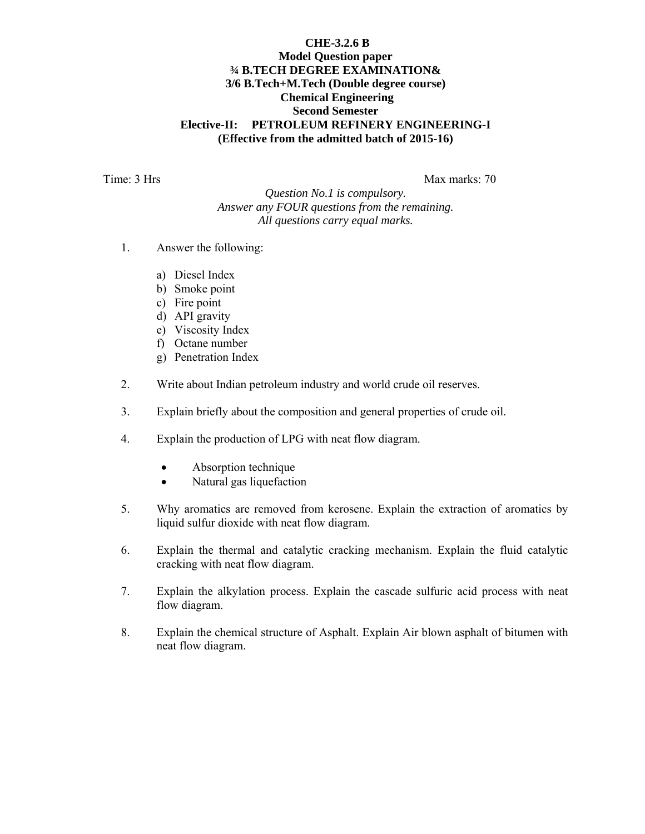#### **CHE-3.2.6 B Model Question paper ¾ B.TECH DEGREE EXAMINATION& 3/6 B.Tech+M.Tech (Double degree course) Chemical Engineering Second Semester Elective-II: PETROLEUM REFINERY ENGINEERING-I (Effective from the admitted batch of 2015-16)**

Time: 3 Hrs Max marks: 70

*Question No.1 is compulsory. Answer any FOUR questions from the remaining. All questions carry equal marks.* 

- 1. Answer the following:
	- a) Diesel Index
	- b) Smoke point
	- c) Fire point
	- d) API gravity
	- e) Viscosity Index
	- f) Octane number
	- g) Penetration Index
- 2. Write about Indian petroleum industry and world crude oil reserves.
- 3. Explain briefly about the composition and general properties of crude oil.
- 4. Explain the production of LPG with neat flow diagram.
	- Absorption technique
	- Natural gas liquefaction
- 5. Why aromatics are removed from kerosene. Explain the extraction of aromatics by liquid sulfur dioxide with neat flow diagram.
- 6. Explain the thermal and catalytic cracking mechanism. Explain the fluid catalytic cracking with neat flow diagram.
- 7. Explain the alkylation process. Explain the cascade sulfuric acid process with neat flow diagram.
- 8. Explain the chemical structure of Asphalt. Explain Air blown asphalt of bitumen with neat flow diagram.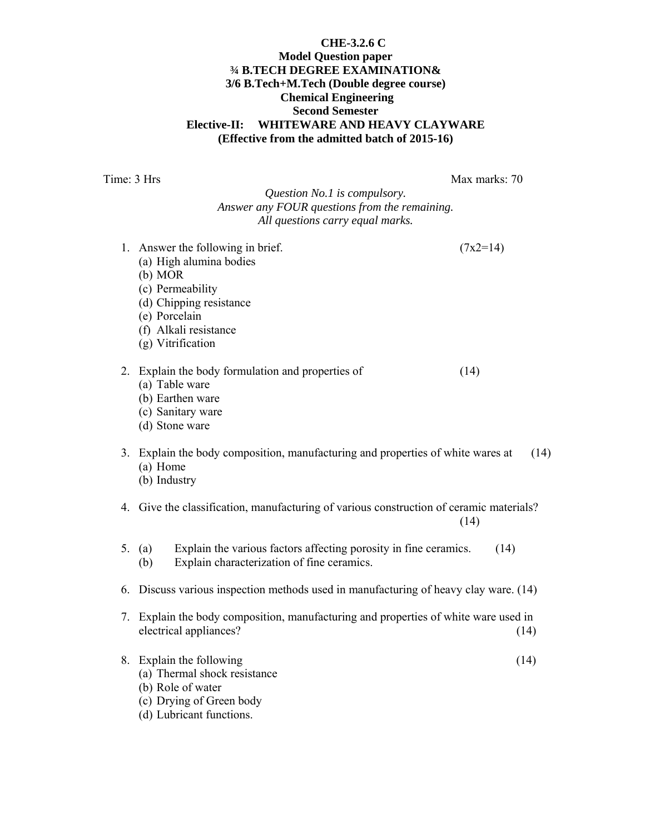#### **CHE-3.2.6 C Model Question paper ¾ B.TECH DEGREE EXAMINATION& 3/6 B.Tech+M.Tech (Double degree course) Chemical Engineering Second Semester Elective-II: WHITEWARE AND HEAVY CLAYWARE (Effective from the admitted batch of 2015-16)**

Time: 3 Hrs Max marks: 70

## *Question No.1 is compulsory. Answer any FOUR questions from the remaining. All questions carry equal marks.*

- 1. Answer the following in brief.  $(7x2=14)$ (a) High alumina bodies (b) MOR (c) Permeability (d) Chipping resistance (e) Porcelain (f) Alkali resistance (g) Vitrification 2. Explain the body formulation and properties of (14) (a) Table ware (b) Earthen ware (c) Sanitary ware (d) Stone ware 3. Explain the body composition, manufacturing and properties of white wares at (14) (a) Home (b) Industry 4. Give the classification, manufacturing of various construction of ceramic materials? (14)
- 5. (a) Explain the various factors affecting porosity in fine ceramics. (14) (b) Explain characterization of fine ceramics.
- 6. Discuss various inspection methods used in manufacturing of heavy clay ware. (14)
- 7. Explain the body composition, manufacturing and properties of white ware used in electrical appliances? (14)
- 8. Explain the following (14) (a) Thermal shock resistance
	- (b) Role of water
	- (c) Drying of Green body
	- (d) Lubricant functions.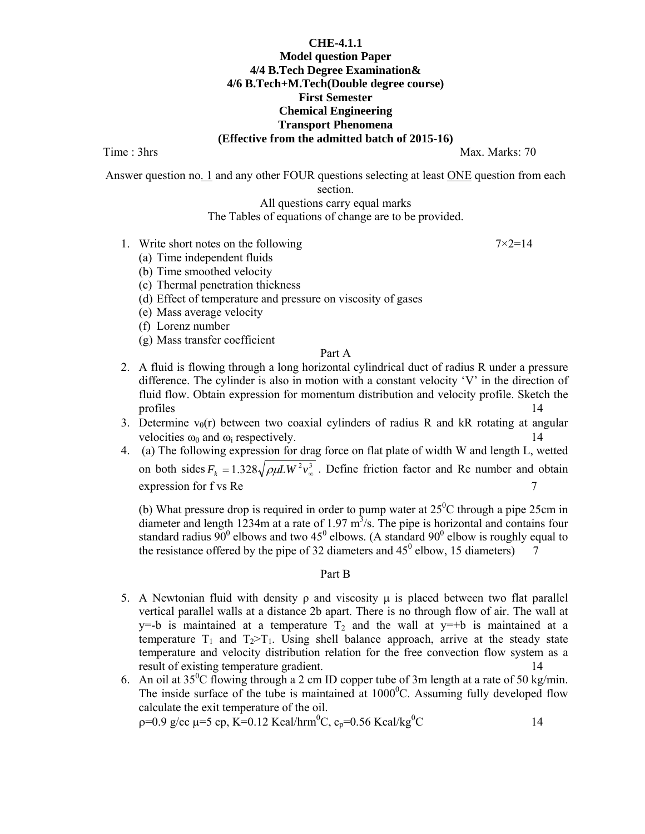### **CHE-4.1.1 Model question Paper 4/4 B.Tech Degree Examination& 4/6 B.Tech+M.Tech(Double degree course) First Semester Chemical Engineering Transport Phenomena (Effective from the admitted batch of 2015-16)**

Time : 3hrs Max. Marks: 70

Answer question no. 1 and any other FOUR questions selecting at least ONE question from each section.

## All questions carry equal marks

The Tables of equations of change are to be provided.

- 1. Write short notes on the following  $7\times2=14$ 
	- (a) Time independent fluids
	- (b) Time smoothed velocity
	- (c) Thermal penetration thickness
	- (d) Effect of temperature and pressure on viscosity of gases
	- (e) Mass average velocity
	- (f) Lorenz number
	- (g) Mass transfer coefficient

## Part A

- 2. A fluid is flowing through a long horizontal cylindrical duct of radius R under a pressure difference. The cylinder is also in motion with a constant velocity 'V' in the direction of fluid flow. Obtain expression for momentum distribution and velocity profile. Sketch the profiles 14
- 3. Determine  $v_{\theta}(r)$  between two coaxial cylinders of radius R and kR rotating at angular velocities  $\omega_0$  and  $\omega_i$  respectively.
- 4. (a) The following expression for drag force on flat plate of width W and length L, wetted on both sides  $F_k = 1.328 \sqrt{\rho \mu L W^2 v_{\infty}^3}$ . Define friction factor and Re number and obtain  $\alpha$  expression for f vs Re  $\alpha$

(b) What pressure drop is required in order to pump water at  $25^{\circ}$ C through a pipe 25cm in diameter and length  $1234m$  at a rate of 1.97  $m^3/s$ . The pipe is horizontal and contains four standard radius  $90^0$  elbows and two 45<sup>0</sup> elbows. (A standard  $90^0$  elbow is roughly equal to the resistance offered by the pipe of 32 diameters and  $45^{\circ}$  elbow, 15 diameters)  $\overline{7}$ 

#### Part B

- 5. A Newtonian fluid with density  $ρ$  and viscosity  $μ$  is placed between two flat parallel vertical parallel walls at a distance 2b apart. There is no through flow of air. The wall at y=-b is maintained at a temperature  $T_2$  and the wall at y=+b is maintained at a temperature  $T_1$  and  $T_2>T_1$ . Using shell balance approach, arrive at the steady state temperature and velocity distribution relation for the free convection flow system as a result of existing temperature gradient. 14
- 6. An oil at  $35^{\circ}$ C flowing through a 2 cm ID copper tube of 3m length at a rate of 50 kg/min. The inside surface of the tube is maintained at  $1000^{\circ}$ C. Assuming fully developed flow calculate the exit temperature of the oil. ρ=0.9 g/cc μ=5 cp, K=0.12 Kcal/hrm<sup>0</sup>C, c<sub>p</sub>=0.56 Kcal/kg<sup>0</sup>  $\sim$  14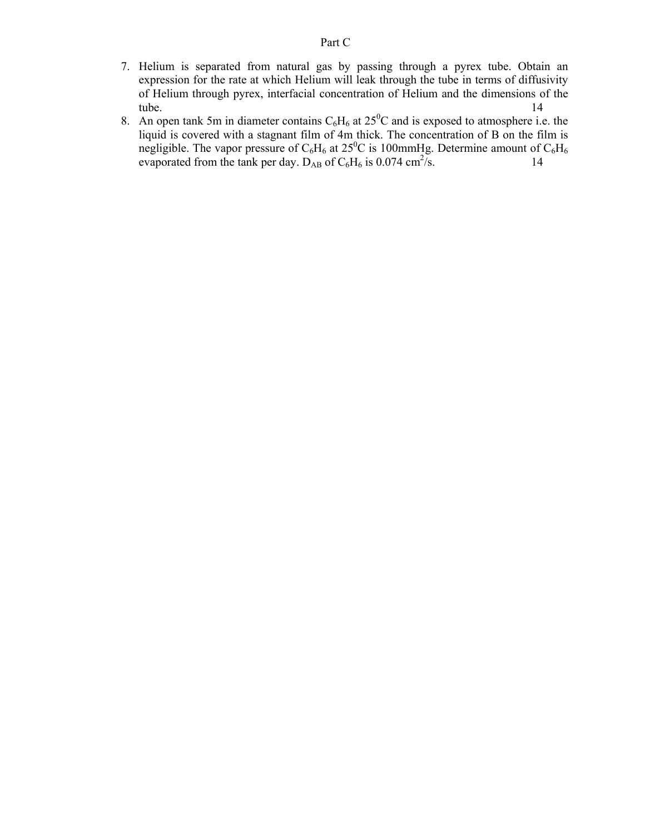- 7. Helium is separated from natural gas by passing through a pyrex tube. Obtain an expression for the rate at which Helium will leak through the tube in terms of diffusivity of Helium through pyrex, interfacial concentration of Helium and the dimensions of the tube. 14
- 8. An open tank 5m in diameter contains  $C_6H_6$  at  $25^0C$  and is exposed to atmosphere i.e. the liquid is covered with a stagnant film of 4m thick. The concentration of B on the film is negligible. The vapor pressure of  $C_6H_6$  at  $25^0C$  is 100mmHg. Determine amount of  $C_6H_6$ evaporated from the tank per day.  $D_{AB}$  of  $C_6H_6$  is 0.074 cm<sup>2</sup>/s. 14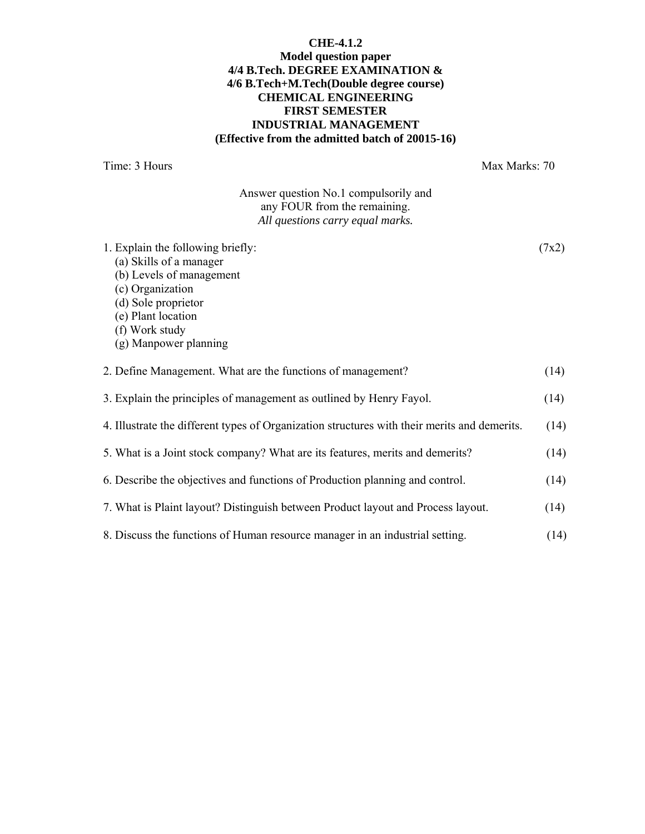#### **CHE-4.1.2 Model question paper 4/4 B.Tech. DEGREE EXAMINATION & 4/6 B.Tech+M.Tech(Double degree course) CHEMICAL ENGINEERING FIRST SEMESTER INDUSTRIAL MANAGEMENT (Effective from the admitted batch of 20015-16)**

Time: 3 Hours Max Marks: 70

Answer question No.1 compulsorily and any FOUR from the remaining. *All questions carry equal marks.* 

| 1. Explain the following briefly:<br>(a) Skills of a manager<br>(b) Levels of management<br>(c) Organization<br>(d) Sole proprietor<br>(e) Plant location<br>(f) Work study<br>(g) Manpower planning | (7x2) |
|------------------------------------------------------------------------------------------------------------------------------------------------------------------------------------------------------|-------|
| 2. Define Management. What are the functions of management?                                                                                                                                          | (14)  |
| 3. Explain the principles of management as outlined by Henry Fayol.                                                                                                                                  | (14)  |
| 4. Illustrate the different types of Organization structures with their merits and demerits.                                                                                                         | (14)  |
| 5. What is a Joint stock company? What are its features, merits and demerits?                                                                                                                        | (14)  |
| 6. Describe the objectives and functions of Production planning and control.                                                                                                                         | (14)  |
| 7. What is Plaint layout? Distinguish between Product layout and Process layout.                                                                                                                     | (14)  |
| 8. Discuss the functions of Human resource manager in an industrial setting.                                                                                                                         | (14)  |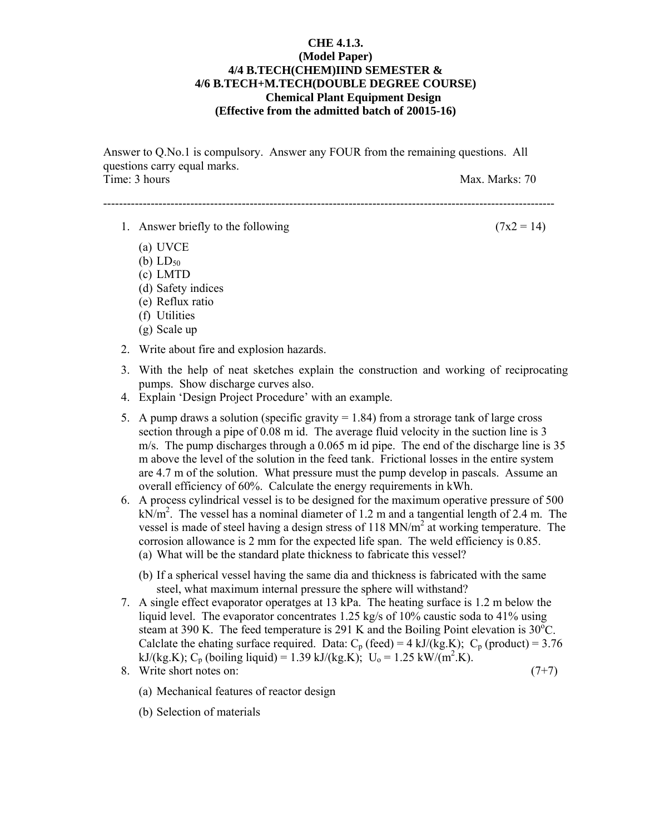#### **CHE 4.1.3. (Model Paper) 4/4 B.TECH(CHEM)IIND SEMESTER & 4/6 B.TECH+M.TECH(DOUBLE DEGREE COURSE) Chemical Plant Equipment Design (Effective from the admitted batch of 20015-16)**

Answer to Q.No.1 is compulsory. Answer any FOUR from the remaining questions. All questions carry equal marks. Time: 3 hours Max. Marks: 70

------------------------------------------------------------------------------------------------------------------

- 1. Answer briefly to the following  $(7x2 = 14)$ 
	- (a) UVCE
	- (b)  $LD_{50}$
	- (c) LMTD
	- (d) Safety indices
	- (e) Reflux ratio
	- (f) Utilities
	- (g) Scale up
- 2. Write about fire and explosion hazards.
- 3. With the help of neat sketches explain the construction and working of reciprocating pumps. Show discharge curves also.
- 4. Explain 'Design Project Procedure' with an example.
- 5. A pump draws a solution (specific gravity  $= 1.84$ ) from a strorage tank of large cross section through a pipe of 0.08 m id. The average fluid velocity in the suction line is 3 m/s. The pump discharges through a 0.065 m id pipe. The end of the discharge line is 35 m above the level of the solution in the feed tank. Frictional losses in the entire system are 4.7 m of the solution. What pressure must the pump develop in pascals. Assume an overall efficiency of 60%. Calculate the energy requirements in kWh.
- 6. A process cylindrical vessel is to be designed for the maximum operative pressure of 500  $kN/m<sup>2</sup>$ . The vessel has a nominal diameter of 1.2 m and a tangential length of 2.4 m. The vessel is made of steel having a design stress of 118 MN/ $m<sup>2</sup>$  at working temperature. The corrosion allowance is 2 mm for the expected life span. The weld efficiency is 0.85. (a) What will be the standard plate thickness to fabricate this vessel?
	- (b) If a spherical vessel having the same dia and thickness is fabricated with the same steel, what maximum internal pressure the sphere will withstand?
- 7. A single effect evaporator operatges at 13 kPa. The heating surface is 1.2 m below the liquid level. The evaporator concentrates 1.25 kg/s of 10% caustic soda to 41% using steam at 390 K. The feed temperature is 291 K and the Boiling Point elevation is  $30^{\circ}$ C. Calclate the ehating surface required. Data:  $C_p$  (feed) = 4 kJ/(kg.K);  $C_p$  (product) = 3.76 kJ/(kg.K); C<sub>p</sub> (boiling liquid) = 1.39 kJ/(kg.K); U<sub>0</sub> = 1.25 kW/(m<sup>2</sup>.K).
- 8. Write short notes on:  $(7+7)$ 
	- (a) Mechanical features of reactor design
	- (b) Selection of materials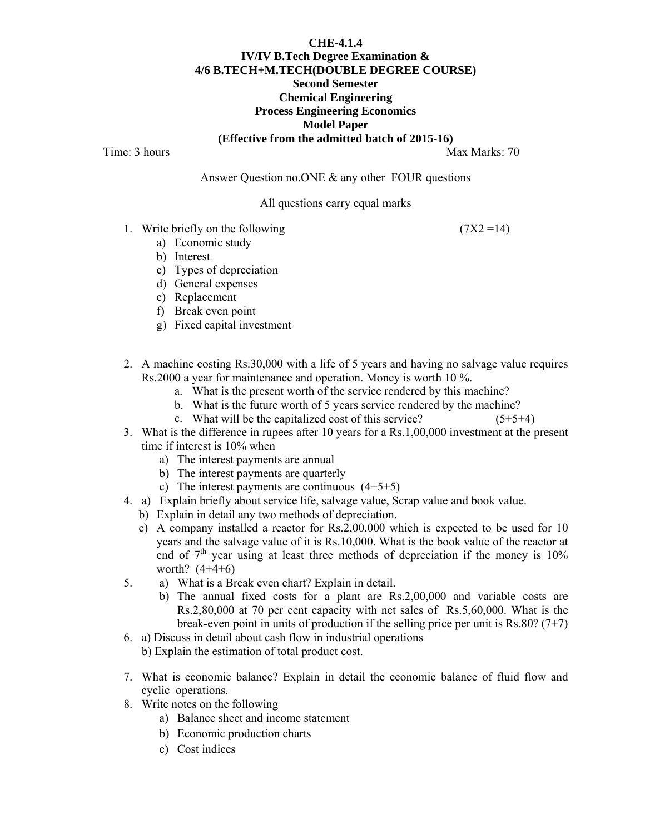## **CHE-4.1.4 IV/IV B.Tech Degree Examination & 4/6 B.TECH+M.TECH(DOUBLE DEGREE COURSE) Second Semester Chemical Engineering Process Engineering Economics Model Paper (Effective from the admitted batch of 2015-16)**

Time: 3 hours Max Marks: 70

Answer Question no.ONE & any other FOUR questions

#### All questions carry equal marks

1. Write briefly on the following  $(7X2 = 14)$ 

- a) Economic study
- b) Interest
- c) Types of depreciation
- d) General expenses
- e) Replacement
- f) Break even point
- g) Fixed capital investment
- 2. A machine costing Rs.30,000 with a life of 5 years and having no salvage value requires Rs.2000 a year for maintenance and operation. Money is worth 10 %.
	- a. What is the present worth of the service rendered by this machine?
	- b. What is the future worth of 5 years service rendered by the machine?
	- c. What will be the capitalized cost of this service?  $(5+5+4)$
- 3. What is the difference in rupees after 10 years for a Rs.1,00,000 investment at the present time if interest is 10% when
	- a) The interest payments are annual
	- b) The interest payments are quarterly
	- c) The interest payments are continuous  $(4+5+5)$
- 4. a) Explain briefly about service life, salvage value, Scrap value and book value.
	- b) Explain in detail any two methods of depreciation.
	- c) A company installed a reactor for Rs.2,00,000 which is expected to be used for 10 years and the salvage value of it is Rs.10,000. What is the book value of the reactor at end of  $7<sup>th</sup>$  year using at least three methods of depreciation if the money is  $10<sup>o</sup>$ worth?  $(4+4+6)$
- 5. a) What is a Break even chart? Explain in detail.
	- b) The annual fixed costs for a plant are Rs.2,00,000 and variable costs are Rs.2,80,000 at 70 per cent capacity with net sales of Rs.5,60,000. What is the break-even point in units of production if the selling price per unit is Rs.80?  $(7+7)$
- 6. a) Discuss in detail about cash flow in industrial operations b) Explain the estimation of total product cost.
- 7. What is economic balance? Explain in detail the economic balance of fluid flow and cyclic operations.
- 8. Write notes on the following
	- a) Balance sheet and income statement
	- b) Economic production charts
	- c) Cost indices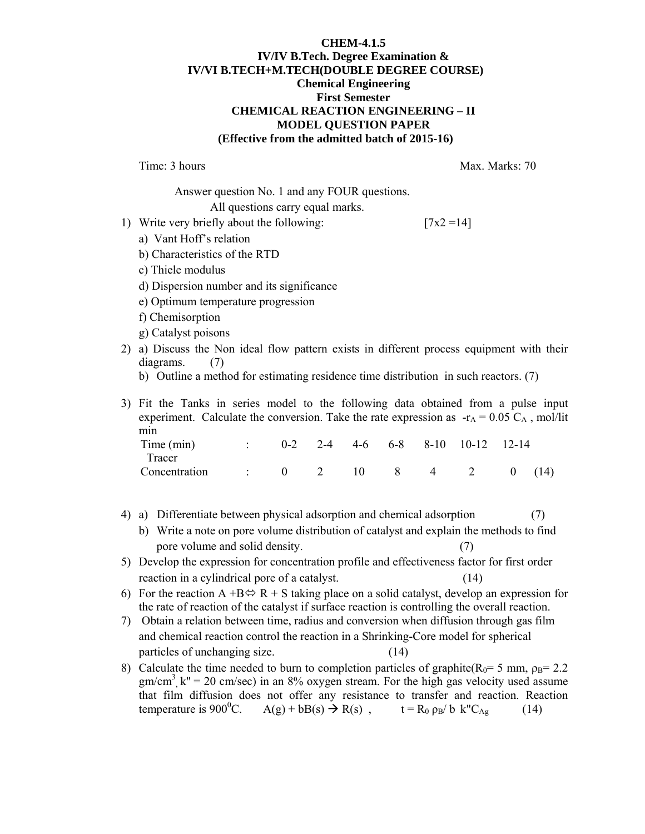#### **CHEM-4.1.5 IV/IV B.Tech. Degree Examination & IV/VI B.TECH+M.TECH(DOUBLE DEGREE COURSE) Chemical Engineering First Semester CHEMICAL REACTION ENGINEERING – II MODEL QUESTION PAPER (Effective from the admitted batch of 2015-16)**

Time: 3 hours Max. Marks: 70

Answer question No. 1 and any FOUR questions.

All questions carry equal marks.

1) Write very briefly about the following:  $[7x2 = 14]$ 

- a) Vant Hoff's relation
- b) Characteristics of the RTD
- c) Thiele modulus
- d) Dispersion number and its significance
- e) Optimum temperature progression
- f) Chemisorption
- g) Catalyst poisons
- 2) a) Discuss the Non ideal flow pattern exists in different process equipment with their diagrams. (7)
	- b) Outline a method for estimating residence time distribution in such reactors. (7)
- 3) Fit the Tanks in series model to the following data obtained from a pulse input experiment. Calculate the conversion. Take the rate expression as  $-r_A = 0.05 C_A$ , mol/lit min

| Time (min)    |                                  |  |  | $0-2$ 2-4 4-6 6-8 8-10 10-12 12-14 |  |
|---------------|----------------------------------|--|--|------------------------------------|--|
| <b>Tracer</b> |                                  |  |  |                                    |  |
| Concentration | $\therefore$ 0 2 10 8 4 2 0 (14) |  |  |                                    |  |

- 4) a) Differentiate between physical adsorption and chemical adsorption (7)
	- b) Write a note on pore volume distribution of catalyst and explain the methods to find pore volume and solid density. (7)
- 5) Develop the expression for concentration profile and effectiveness factor for first order reaction in a cylindrical pore of a catalyst. (14)
- 6) For the reaction A +B $\Leftrightarrow$  R + S taking place on a solid catalyst, develop an expression for the rate of reaction of the catalyst if surface reaction is controlling the overall reaction.
- 7) Obtain a relation between time, radius and conversion when diffusion through gas film and chemical reaction control the reaction in a Shrinking-Core model for spherical particles of unchanging size. (14)
- 8) Calculate the time needed to burn to completion particles of graphite( $R_0$ = 5 mm,  $\rho_B$ = 2.2  $gm/cm<sup>3</sup>$ ,  $k'' = 20$  cm/sec) in an 8% oxygen stream. For the high gas velocity used assume that film diffusion does not offer any resistance to transfer and reaction. Reaction temperature is 900<sup>°</sup>C.  $A(g) + bB(s) \rightarrow R(s)$ ,  $t = R_0 \rho_B/b \ k''C_{Ag}$  (14)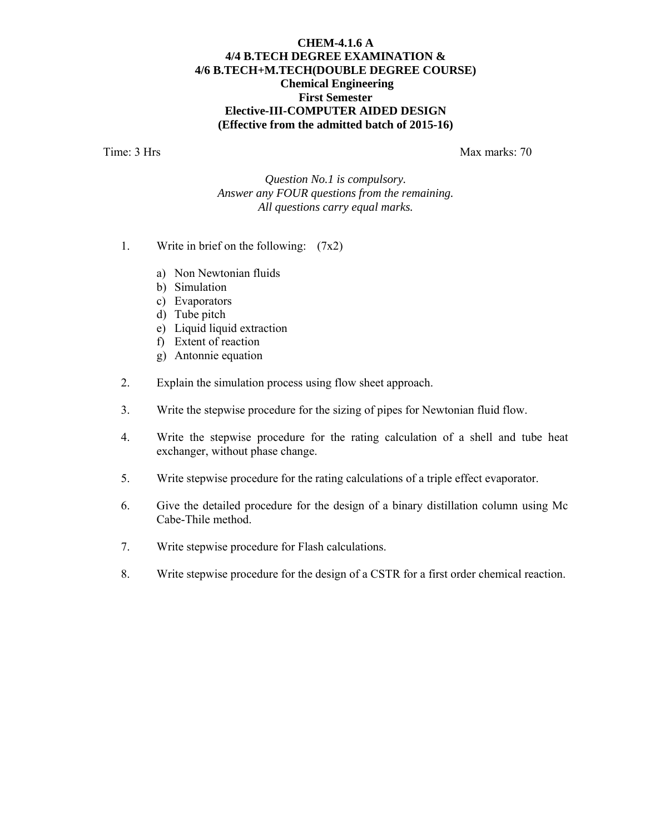#### **CHEM-4.1.6 A 4/4 B.TECH DEGREE EXAMINATION & 4/6 B.TECH+M.TECH(DOUBLE DEGREE COURSE) Chemical Engineering First Semester Elective-III-COMPUTER AIDED DESIGN (Effective from the admitted batch of 2015-16)**

Time: 3 Hrs Max marks: 70

*Question No.1 is compulsory. Answer any FOUR questions from the remaining. All questions carry equal marks.* 

- 1. Write in brief on the following:  $(7x2)$ 
	- a) Non Newtonian fluids
	- b) Simulation
	- c) Evaporators
	- d) Tube pitch
	- e) Liquid liquid extraction
	- f) Extent of reaction
	- g) Antonnie equation
- 2. Explain the simulation process using flow sheet approach.
- 3. Write the stepwise procedure for the sizing of pipes for Newtonian fluid flow.
- 4. Write the stepwise procedure for the rating calculation of a shell and tube heat exchanger, without phase change.
- 5. Write stepwise procedure for the rating calculations of a triple effect evaporator.
- 6. Give the detailed procedure for the design of a binary distillation column using Mc Cabe-Thile method.
- 7. Write stepwise procedure for Flash calculations.
- 8. Write stepwise procedure for the design of a CSTR for a first order chemical reaction.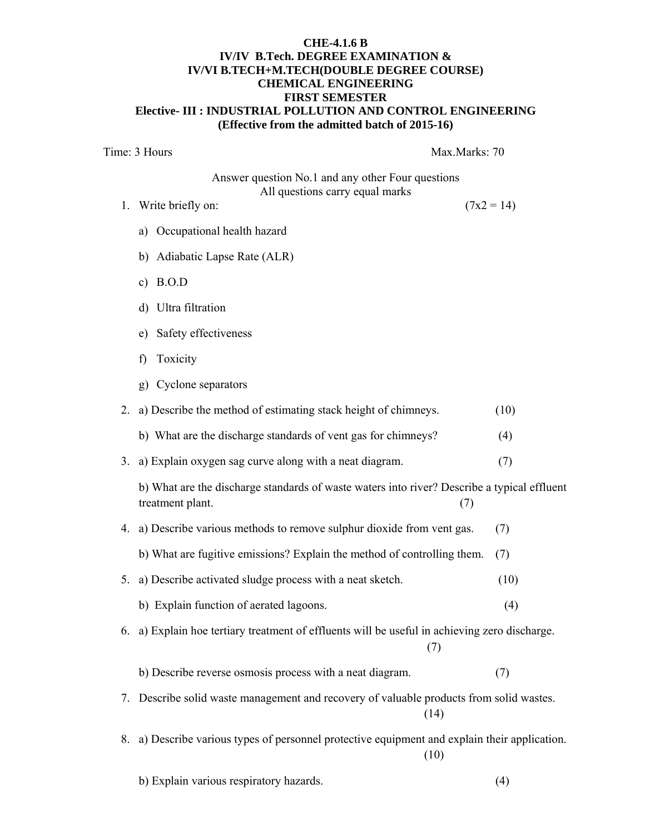#### **CHE-4.1.6 B IV/IV B.Tech. DEGREE EXAMINATION & IV/VI B.TECH+M.TECH(DOUBLE DEGREE COURSE) CHEMICAL ENGINEERING FIRST SEMESTER Elective- III : INDUSTRIAL POLLUTION AND CONTROL ENGINEERING (Effective from the admitted batch of 2015-16)**

Time: 3 Hours Max.Marks: 70

Answer question No.1 and any other Four questions All questions carry equal marks

- 1. Write briefly on:  $(7x2 = 14)$ 
	- a) Occupational health hazard
	- b) Adiabatic Lapse Rate (ALR)
	- c) B.O.D
	- d) Ultra filtration
	- e) Safety effectiveness
	- f) Toxicity
	- g) Cyclone separators

|    | 2. a) Describe the method of estimating stack height of chimneys.                                               | (10) |  |  |  |  |
|----|-----------------------------------------------------------------------------------------------------------------|------|--|--|--|--|
|    | b) What are the discharge standards of vent gas for chimneys?                                                   | (4)  |  |  |  |  |
| 3. | a) Explain oxygen sag curve along with a neat diagram.                                                          | (7)  |  |  |  |  |
|    | b) What are the discharge standards of waste waters into river? Describe a typical effluent<br>treatment plant. | (7)  |  |  |  |  |
|    | 4. a) Describe various methods to remove sulphur dioxide from vent gas.                                         | (7)  |  |  |  |  |
|    | b) What are fugitive emissions? Explain the method of controlling them.                                         | (7)  |  |  |  |  |
| 5. | a) Describe activated sludge process with a neat sketch.                                                        | (10) |  |  |  |  |
|    | b) Explain function of aerated lagoons.                                                                         | (4)  |  |  |  |  |
| 6. | a) Explain hoe tertiary treatment of effluents will be useful in achieving zero discharge.<br>(7)               |      |  |  |  |  |
|    | b) Describe reverse osmosis process with a neat diagram.                                                        | (7)  |  |  |  |  |
| 7. | Describe solid waste management and recovery of valuable products from solid wastes.<br>(14)                    |      |  |  |  |  |
| 8. | a) Describe various types of personnel protective equipment and explain their application.<br>(10)              |      |  |  |  |  |
|    | b) Explain various respiratory hazards.                                                                         | (4)  |  |  |  |  |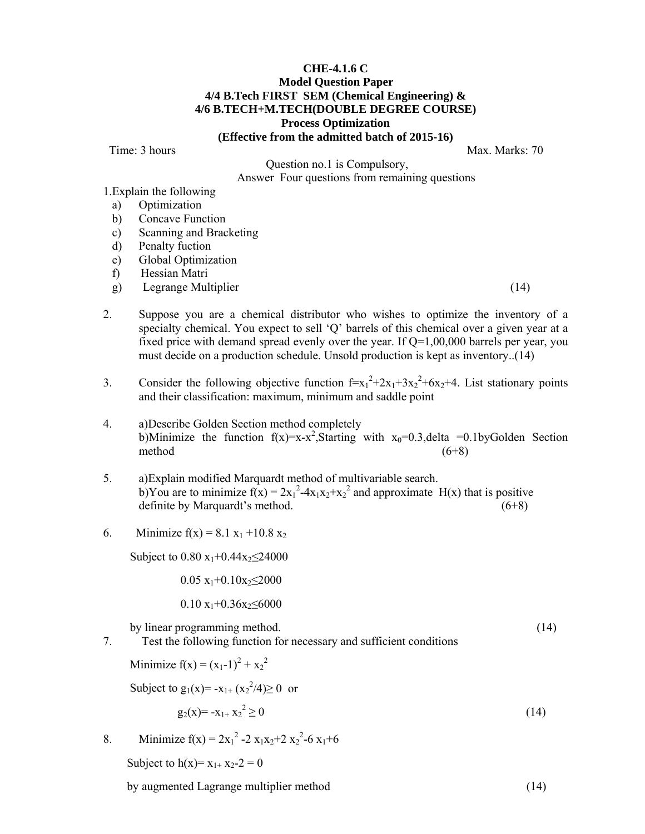#### **CHE-4.1.6 C Model Question Paper 4/4 B.Tech FIRST SEM (Chemical Engineering) & 4/6 B.TECH+M.TECH(DOUBLE DEGREE COURSE) Process Optimization (Effective from the admitted batch of 2015-16)**

Time: 3 hours Max. Marks: 70

 Question no.1 is Compulsory, Answer Four questions from remaining questions

1.Explain the following

- a) Optimization
- b) Concave Function
- c) Scanning and Bracketing
- d) Penalty fuction
- e) Global Optimization
- f) Hessian Matri
- g) Legrange Multiplier (14)
	-
- 2. Suppose you are a chemical distributor who wishes to optimize the inventory of a specialty chemical. You expect to sell 'Q' barrels of this chemical over a given year at a fixed price with demand spread evenly over the year. If  $Q=1,00,000$  barrels per year, you must decide on a production schedule. Unsold production is kept as inventory..(14)
- 3. Consider the following objective function  $f=x_1^2+2x_1+3x_2^2+6x_2+4$ . List stationary points and their classification: maximum, minimum and saddle point
- 4. a)Describe Golden Section method completely b)Minimize the function  $f(x)=x-x^2$ , Starting with  $x_0=0.3$ , delta =0.1byGolden Section method  $(6+8)$
- 5. a)Explain modified Marquardt method of multivariable search. b)You are to minimize  $f(x) = 2x_1^2-4x_1x_2+x_2^2$  and approximate H(x) that is positive definite by Marquardt's method. (6+8)
- 6. Minimize  $f(x) = 8.1 x_1 + 10.8 x_2$

Subject to  $0.80 x_1+0.44x_2 \leq 24000$ 

 $0.05 \text{ x}_1 + 0.10 \text{ x}_2 \leq 2000$ 

 $0.10 \text{ x}_1 + 0.36 \text{ x}_2 \le 6000$ 

by linear programming method. (14)

- 
- 7. Test the following function for necessary and sufficient conditions

Minimize  $f(x) = (x_1 - 1)^2 + x_2^2$ 

Subject to  $g_1(x) = -x_{1+} (x_2^2/4) \ge 0$  or

$$
g_2(x) = -x_{1+} x_2^2 \ge 0
$$
\n(14)

8. Minimize 
$$
f(x) = 2x_1^2 - 2x_1x_2 + 2x_2^2 - 6x_1 + 6
$$

Subject to  $h(x)=x_{1+}x_{2-}2=0$ 

by augmented Lagrange multiplier method (14)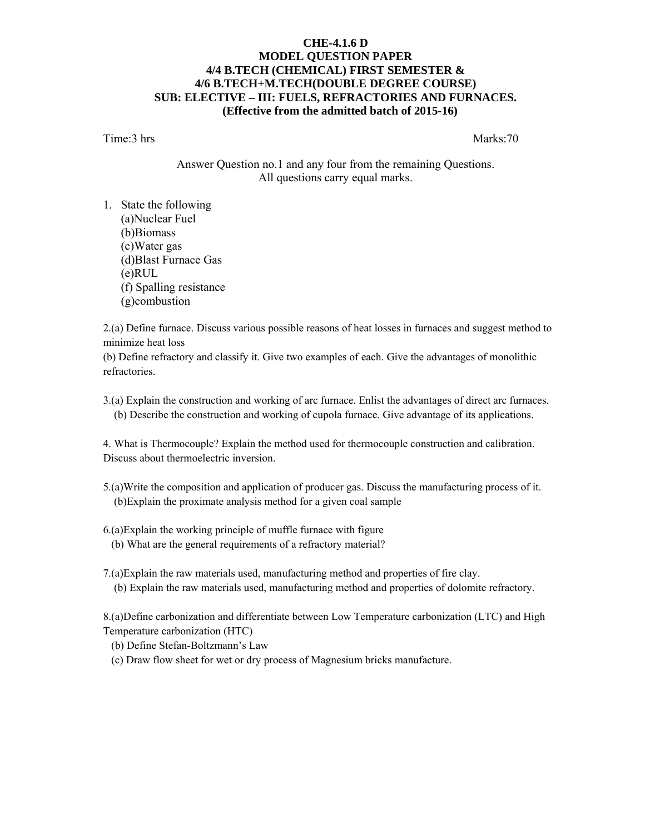#### **CHE-4.1.6 D MODEL QUESTION PAPER 4/4 B.TECH (CHEMICAL) FIRST SEMESTER & 4/6 B.TECH+M.TECH(DOUBLE DEGREE COURSE) SUB: ELECTIVE – III: FUELS, REFRACTORIES AND FURNACES. (Effective from the admitted batch of 2015-16)**

Time:3 hrs Marks:70

Answer Question no.1 and any four from the remaining Questions. All questions carry equal marks.

1. State the following (a)Nuclear Fuel (b)Biomass (c)Water gas (d)Blast Furnace Gas (e)RUL (f) Spalling resistance (g)combustion

2.(a) Define furnace. Discuss various possible reasons of heat losses in furnaces and suggest method to minimize heat loss

(b) Define refractory and classify it. Give two examples of each. Give the advantages of monolithic refractories.

3.(a) Explain the construction and working of arc furnace. Enlist the advantages of direct arc furnaces. (b) Describe the construction and working of cupola furnace. Give advantage of its applications.

4. What is Thermocouple? Explain the method used for thermocouple construction and calibration. Discuss about thermoelectric inversion.

- 5.(a)Write the composition and application of producer gas. Discuss the manufacturing process of it. (b)Explain the proximate analysis method for a given coal sample
- 6.(a)Explain the working principle of muffle furnace with figure (b) What are the general requirements of a refractory material?
- 7.(a)Explain the raw materials used, manufacturing method and properties of fire clay. (b) Explain the raw materials used, manufacturing method and properties of dolomite refractory.

8.(a)Define carbonization and differentiate between Low Temperature carbonization (LTC) and High Temperature carbonization (HTC)

(b) Define Stefan-Boltzmann's Law

(c) Draw flow sheet for wet or dry process of Magnesium bricks manufacture.